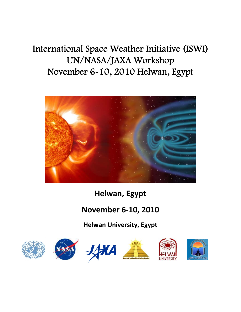# International Space Weather Initiative (ISWI) UN/NASA/JAXA Workshop November 6-10, 2010 Helwan, Egypt



**Helwan, Egypt** 

# **November 6‐10, 2010**

**Helwan University, Egypt**

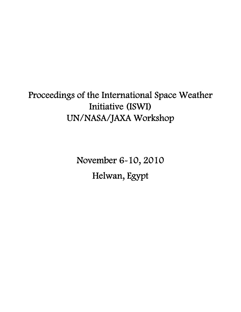# Proceedings of the International Space Weather Initiative (ISWI) UN/NASA/JAXA Workshop

November 6-10, 2010 Helwan, Egypt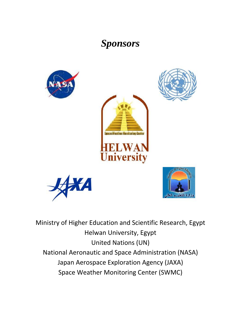# *Sponsors*

ance Weather Menitoring Conter

**University** 









Ministry of Higher Education and Scientific Research, Egypt Helwan University, Egypt United Nations (UN) National Aeronautic and Space Administration (NASA) Japan Aerospace Exploration Agency (JAXA) Space Weather Monitoring Center (SWMC)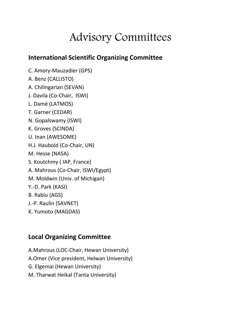# Advisory Committees

# **International Scientific Organizing Committee**

C. Amory‐Mauzadier (GPS) A. Benz (CALLISTO) A. Chilingarian (SEVAN) J. Davila (Co‐Chair, ISWI) L. Damé (LATMOS) T. Garner (CEDAR) N. Gopalswamy (ISWI) K. Groves (SCINDA) U. Inan (AWESOME) H.J. Haubold (Co‐Chair, UN) M. Hesse (NASA) S. Koutchmy ( IAP, France) A. Mahrous (Co‐Chair, ISWI/Egypt) M. Moldwin (Univ. of Michigan) Y.‐D. Park (KASI) B. Rabiu (AGS) J.‐P. Raulin (SAVNET) K. Yumoto (MAGDAS)

# **Local Organizing Committee**

A.Mahrous (LOC‐Chair, Hewan University) A.Omer (Vice president, Helwan University) G. Elgemai (Hewan University) M. Tharwat Heikal (Tanta University)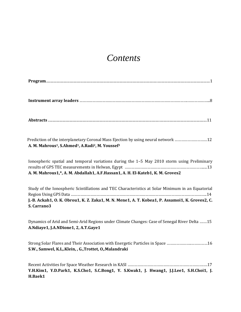# *Contents*

| рглога<br>. |
|-------------|
|-------------|

**Instrument array leaders** ……………………………………………………………………………………….………………...8

**Abstracts** ...................................................................................................................................................................................11

Prediction of the interplanetary Coronal Mass Ejection by using neural network …………………………12 **A. M. Mahrous1, S.Ahmed1, A.Radi2, M. Youssef3** 

Ionospheric spatial and temporal variations during the 1–5 May 2010 storm using Preliminary results of GPS TEC measurements in Helwan, Egypt ……………………………………………………………….....13 **A. M. Mahrous1,\*, A. M. Abdallah1, A.F.Hassan1, A. H. ElKateb1, K. M. Groves2**

Study of the Ionospheric Scintillations and TEC Characteristics at Solar Minimum in an Equatorial Region Using GPS Data ………………………………………………………………………………………………………….…..14 J.-B. Ackah1, O. K. Obrou1, K. Z. Zaka1, M. N. Mene1, A. T. Kobea1, P. Assamoi1, K. Groves2, C. **S . Carrano3**

Dynamics of Arid and Semi‐Arid Regions under Climate Changes: Case of Senegal River Delta ….…15 **A.Ndiaye1, J.A.NDione1, 2, A.T.Gaye1**

Strong Solar Flares and Their Association with Energetic Particles in Space …………………..……………16 **S.W., Samwel, K.L,.Klein, , G.,Trottet, O,.Malandraki**

Recent Activities for Space Weather Research in KASI …………………………………………………………….….17 **Y.H.Kim1, Y.D.Park1, K.S.Cho1, S.C.Bong1, Y. S.Kwak1, J. Hwang1, J.J.Lee1, S.H.Choi1, J. H.Baek1**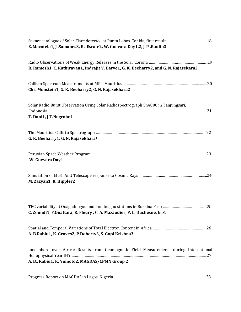| Savnet catalogue of Solar Flare detected at Punta Lobos-Conida, first result 18<br>E. Macotela1, J. Samanes3, R. Escate2, W. Guevara Day1,2, J-P. Raulin3 |
|-----------------------------------------------------------------------------------------------------------------------------------------------------------|
| R. Ramesh1, C. Kathiravan1, Indrajit V. Barve1, G. K. Beeharry2, and G. N. Rajasekara2                                                                    |
| Chr. Monstein1, G. K. Beeharry2, G. N. Rajasekhara2                                                                                                       |
| Solar Radio Burst Observation Using Solar Radiospectrograph Sn4000 in Tanjungsari,<br>T. Dani1, J.T.Nugroho1                                              |
| G. K. Beeharry1, G. N. Rajasekhara <sup>1</sup>                                                                                                           |
| W. Guevara Day1                                                                                                                                           |
| M. Zazyan1, R. Hippler2                                                                                                                                   |
| C. Zoundi1, F.Ouattara, R. Fleury, C. A. Mazaudier, P. L. Duchesne, G. S.                                                                                 |
| A. B.Rabiu1, K. Groves2, P.Doherty3, S. Gopi Krishna3                                                                                                     |
| Ionosphere over Africa: Results from Geomagnetic Field Measurements during International<br>A. B., Rabiu1, K. Yumoto2, MAGDAS/CPMN Group 2                |
|                                                                                                                                                           |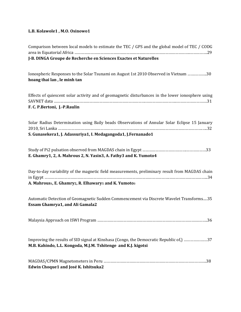#### **L.B. Kolawole1 , M.O. Osinowo1**

| Comparison between local models to estimate the TEC / GPS and the global model of TEC / CODG                                                                   |
|----------------------------------------------------------------------------------------------------------------------------------------------------------------|
| J-B. DINGA Groupe de Recherche en Sciences Exactes et Naturelles                                                                                               |
| Ionospheric Responses to the Solar Tsunami on August 1st 2010 Observed in Vietnam 30<br>hoang thai lan, le minh tan                                            |
| Effects of quiescent solar activity and of geomagnetic disturbances in the lower ionosphere using<br>F. C. P.Bertoni, J.-P.Raulin                              |
| Solar Radius Determination using Baily beads Observations of Annular Solar Eclipse 15 January<br>S. Gunasekera1, J. Adassuriya1, I. Medagangoda1, J.Fernanado1 |
|                                                                                                                                                                |
| E. Ghamry1, 2, A. Mahrous 2, N. Yasin3, A. Fathy3 and K. Yumoto4                                                                                               |
| Day-to-day variability of the magnetic field measurements, preliminary result from MAGDAS chain<br>A. Mahrous1, E. Ghamry2, R. Elhawary1 and K. Yumoto3        |
| Automatic Detection of Geomagnetic Sudden Commencement via Discrete Wavelet Transforms35<br><b>Essam Ghamrya1, and Ali Gamala2</b>                             |
|                                                                                                                                                                |
| Improving the results of SID signal at Kinshasa (Congo, the Democratic Republic of, m37<br>M.B. Kahindo, L.L. Kongoda, M.J.M. Tshitenge and K.J. kigotsi       |
| Edwin Choque1 and José K. Ishitsuka2                                                                                                                           |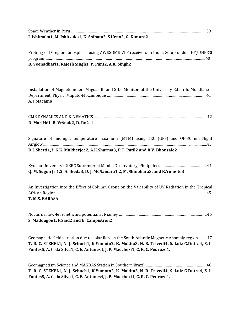| J. Ishitsuka1, M. Ishitsuka1, K. Shibata2, S.Ueno2, G. Kimura2 |  |
|----------------------------------------------------------------|--|

Probing of D‐region ionosphere using AWESOME VLF receivers in India: Setup under IHY/UNBSSI program **………………………………………………………………………………………………………………………….…..**40 **B. Veenadhari1, Rajesh Singh1, P. Pant2, A.K. Singh2**

Installation of Magnetometer‐ Magdas II and SIDs Monitor, at the University Eduardo Mondlane – Department Physic, Maputo‐Mozambique …………………………………………………………….………………….41 **A. J.Macamo**

| D. Maričić1, B. Vršnak2, D. Roša1 |  |
|-----------------------------------|--|

|  | Signature of midnight temperature maximum (MTM) using TEC (GPS) and OI630 nm Night |  |  |  |  |  |
|--|------------------------------------------------------------------------------------|--|--|--|--|--|
|  |                                                                                    |  |  |  |  |  |
|  | D.J. Shetti1,3, G.K. Mukherjee2, A.K. Sharma3, P.T. Patil2 and R.V. Bhonsale2      |  |  |  |  |  |

Kyushu University's SERC Subcenter at Manila Observatory, Philippines ……………………………………44 **Q. M. Sugon Jr.1,2, A. Ikeda3, D. J. McNamara1,2, M. Shinohara3, and K.Yumoto3**

An Investigation into the Effect of Column Ozone on the Variability of UV Radiation in the Tropical African Region ……………………………………………………………………………………………………………………..…..45 **T. M.S. BARASA**

Nocturnal low‐level jet wind potential at Niamey ……………………………………………………………..………..46 **S. Madougou1, F.Saïd2 and B. Campistron2**

Geomagnetic field variation due to solar flare in the South Atlantic Magnetic Anomaly region …..…47 T. R. C. STEKEL1, N. J. Schuch1, K.Yumoto2, K. Makita3, N. B. Trivedi4, S. Luiz G.Dutra4, S. L. **F ontes5, A. C. da Silva1, C. E. Antunes4, J. P. Maechezi1, C. R. C. Pedrozo1.**

Geomagnetism Science and MAGDAS Station in Southern Brazil **……………………………….………………**48 **T. R. C. STEKEL1, N. J. Schuch1, K.Yumoto2, K. Makita3, N. B. Trivedi4, S. Luiz G.Dutra4, S. L. Fontes5, A. C. da Silva1, C. E. Antunes4, J. P. Maechezi1, C. R. C. Pedrozo1.**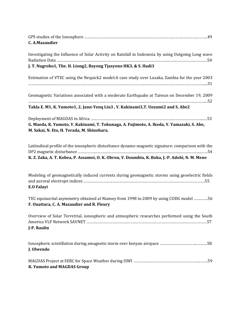| C. A.Mazaudier                                                                                                                                                                                      |
|-----------------------------------------------------------------------------------------------------------------------------------------------------------------------------------------------------|
| Investigating the Influence of Solar Activity on Rainfall in Indonesia by using Outgoing Long wave<br>J. T. Nugroho1, The. H. Liong2, Bayong Tjasyono HK3, & S. Hadi3                               |
|                                                                                                                                                                                                     |
| Estimation of VTEC using the Nequick2 model: A case study over Lusaka, Zambia for the year 2003                                                                                                     |
| Geomagnetic Variations associated with a moderate Earthquake at Taiwan on December 19, 2009                                                                                                         |
| Takla E. M1, K. Yumoto1, 2, Jann-Yenq Liu3, Y. Kakinami3, T. Uozumi2 and S. Abe2                                                                                                                    |
|                                                                                                                                                                                                     |
| G. Maeda, K. Yumoto, Y. Kakinami, T. Tokunaga, A. Fujimoto, A. Ikeda, Y. Yamazaki, S. Abe,<br>M. Sakai, N. Eto, H. Terada, M. Shinohara.                                                            |
| Latitudinal profile of the ionospheric disturbance dynamo magnetic signature: comparison with the<br>K. Z. Zaka, A. T. Kobea, P. Assamoi, O. K. Obrou, V. Doumbia, K. Boka, J.-P. Adohi, N. M. Mene |
| Modeling of geomagnetically induced currents during geomagnetic storms using geoelectric fields<br>E.O Falayi                                                                                       |
| TEC equinoctial asymmetry obtained at Niamey from 1998 to 2009 by using CODG model 56<br>F. Ouattara, C. A. Mazaudier and R. Fleury                                                                 |
| Overview of Solar Terretrial, ionospheric and atmospheric researches performed using the South<br>J-P. Raulin                                                                                       |
| J. Olwendo                                                                                                                                                                                          |
| K. Yumoto and MAGDAS Group                                                                                                                                                                          |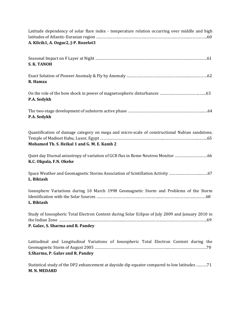| Latitude dependency of solar flare index - temperature relation occurring over middle and high<br>A. Kilcik1, A. Ozguc2, J-P. Rozelot3       |
|----------------------------------------------------------------------------------------------------------------------------------------------|
| S. K. TANOH                                                                                                                                  |
| R. Hamza                                                                                                                                     |
| P.A. Sedykh                                                                                                                                  |
| P.A. Sedykh                                                                                                                                  |
| Quantification of damage category on mega and micro-scale of constructional Nubian sandstone,<br>Mohamed Th. S. Heikal 1 and G. M. E. Kamh 2 |
| Quiet day Diurnal anisotropy of variation of GCR flux in Rome Neutron Monitor 66<br>K.C. Okpala, F.N. Okeke                                  |
| Space Weather and Geomagnetic Storms Association of Scintillation Activity 67<br>L. Biktash                                                  |
| Ionosphere Variations during 10 March 1998 Geomagnetic Storm and Problems of the Storm<br>L. Biktash                                         |
| Study of Ionospheric Total Electron Content during Solar Eclipse of July 2009 and January 2010 in<br>P. Galav, S. Sharma and R. Pandey       |
| Latitudinal and Longitudinal Variations of Ionospheric Total Electron Content during the<br>S.Sharma, P. Galav and R. Pandey                 |
| Statistical study of the DP2 enhancement at dayside dip equator compared to low latitudes 71                                                 |

### **M. N. MEDARD**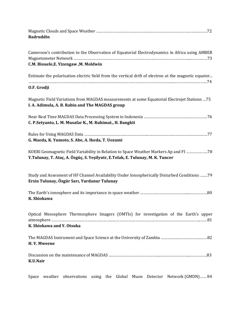| <b>Badruddin</b>                                                                                                                                                       |
|------------------------------------------------------------------------------------------------------------------------------------------------------------------------|
| Cameroon's contribution to the Observation of Equatorial Electrodynamics in Africa using AMBER<br>C.M. Biouele, E. Yizengaw, M. Moldwin                                |
| Estimate the polarization electric field from the vertical drift of electron at the magnetic equator<br>O.F. Grodji                                                    |
| Magnetic Field Variations from MAGDAS measurements at some Equatorial Electrojet Stations  75<br>I. A. Adimula, A. B. Rabiu and The MAGDAS group                       |
| C. P.Setyanto, L. M. Musafar K., M. Ruhimat., H. Bangkit                                                                                                               |
| G. Maeda, K. Yumoto, S. Abe, A. Ikeda, T. Uozumi                                                                                                                       |
| KOERI Geomagnetic Field Variability in Relation to Space Weather Markers Ap and FI 78<br>Y.Tulunay, T. Ataç, A. Özgüç, S. Yeşilyutr, E.Tolak, E. Tulunay, M. K. Tuncer |
| Study and Assesment of HF Channel Availability Under Ionospherically Disturbed Conditions 79<br>Ersin Tulunay, Özgür Sarı, Yurdanur Tulunay                            |
| K. Shiokawa                                                                                                                                                            |
| Optical Mesosphere Thermosphere Imagers (OMTIs) for investigation of the Earth's upper<br>K. Shiokawa and Y. Otsuka                                                    |
|                                                                                                                                                                        |
| H.V. Mweene                                                                                                                                                            |
| K.U.Nair                                                                                                                                                               |

Space weather observations using the Global Muon Detector Network (GMDN)…… 84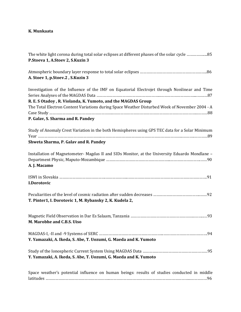#### **K. Munkaata**

| P.Stoeva 1, A.Stoev 2, S.Kuzin 3                                                                                                                                                                                                                                                                     |
|------------------------------------------------------------------------------------------------------------------------------------------------------------------------------------------------------------------------------------------------------------------------------------------------------|
| A. Stoev 1, p. Stoev. 2, S. Kuzin 3                                                                                                                                                                                                                                                                  |
| Investigation of the Influence of the IMF on Equatorial Electrojet through Nonlinear and Time<br>R. E. S Otadoy, R. Violanda, K. Yumoto, and the MAGDAS Group<br>The Total Electron Content Variations during Space Weather Disturbed Week of November 2004 - A<br>P. Galav, S. Sharma and R. Pandey |
| Study of Anomaly Crest Variation in the both Hemispheres using GPS TEC data for a Solar Minimum<br>Shweta Sharma, P. Galav and R. Pandey                                                                                                                                                             |
| Installation of Magnetometer- Magdas II and SIDs Monitor, at the University Eduardo Mondlane -<br>A. J. Macamo                                                                                                                                                                                       |
| I.Dorotovic                                                                                                                                                                                                                                                                                          |
| T. Pinter1, I. Dorotovic 1, M. Rybansky 2, K. Kudela 2,                                                                                                                                                                                                                                              |
| M. Marobhe and C.B.S. Uiso                                                                                                                                                                                                                                                                           |
| Y. Yamazaki, A. Ikeda, S. Abe, T. Uozumi, G. Maeda and K. Yumoto                                                                                                                                                                                                                                     |
| Y. Yamazaki, A. Ikeda, S. Abe, T. Uozumi, G. Maeda and K. Yumoto                                                                                                                                                                                                                                     |
| Space weather's notential influence on human beings; results of studies conducted in middle                                                                                                                                                                                                          |

Space weather's potential influence on human beings: results of studies conducted in middle latitudes …………………………………………………...………………………………………………………………...……………96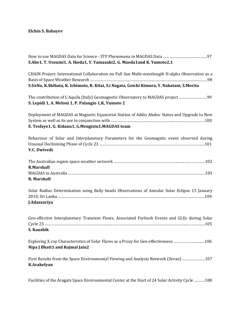### **Elchin S. Babayev**

| S.Abe1, T. Uozumi1, A. Ikeda1, Y. Yamazaki2, G. Maeda1and K. Yumoto2,1                                                 |
|------------------------------------------------------------------------------------------------------------------------|
| CHAIN Project: International Collaboration on Full Sun Multi-wavelength H-alpha Observation as a                       |
| S.UeNo, K.Shibata, K. Ichimoto, R. Kitai, S.i Nagata, Goichi Kimura, Y. Nakatani, S.Morita                             |
| S. Lepidi 1, A. Meloni 1, P. Palangio 1, K, Yumoto 2                                                                   |
| Deployment of MAGDAS at Magnetic Equatorial Station of Addis Ababa: Status and Upgrade to New                          |
| E. Tesfaye1, G. Kidanu1, G. Mengistu1, MAGDAS team                                                                     |
| Behaviour of Solar and Interplanetary Parameters for the Geomagntic event observed during<br>V.C. Dwivedi              |
| <b>R.Marshall</b>                                                                                                      |
| R. Marshall                                                                                                            |
| Solar Radius Determination using Baily beads Observations of Annular Solar Eclipse 15 January<br>J.Adassuriya          |
| Geo-effective Interplanetary Transient Flows, Associated Forbush Events and GLEs during Solar<br>S. Kaushik            |
| Exploring X-ray Characteristics of Solar Flares as a Proxy for Geo-effectiveness 106<br>Nipa J Bhatt1 and Rajmal Jain2 |
| First Results from the Space Environmental Viewing and Analysis Network (Sevan) 107<br><b>K.Arakelyan</b>              |
| Facilities of the Aragats Space Environmental Center at the Start of 24 Solar Activity Cycle 108                       |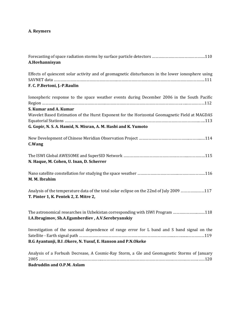### **A. Reymers**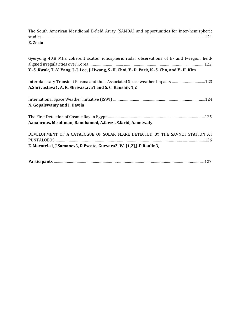| E. Zesta                                                                                                                                                                                     |
|----------------------------------------------------------------------------------------------------------------------------------------------------------------------------------------------|
| Gyeryong 40.8 MHz coherent scatter ionospheric radar observations of E- and F-region field-<br>Y.-S. Kwak, T.-Y. Yang, J.-J. Lee, J. Hwang, S.-H. Choi, Y.-D. Park, K.-S. Cho, and Y.-H. Kim |
| Interplanetary Transient Plasma and their Associated Space weather Impacts 123<br>A.Shrivastava1, A. K. Shrivastava1 and S. C. Kaushik 1,2                                                   |
| N. Gopalswamy and J. Davila                                                                                                                                                                  |
| A.mahrous, M.soliman, R.mohamed, A.fawzi, S.farid, A.metwaly                                                                                                                                 |
| DEVELOPMENT OF A CATALOGUE OF SOLAR FLARE DETECTED BY THE SAVNET STATION AT<br>E. Macotela1, J. Samanes3, R. Escate, Guevara2, W. [1,2], J-P. Raulin3,                                       |

The South American Meridional B-field Array (SAMBA) and opportunities for inter-hemispheric studies …………………………………………………...………………………………….……………………………...……………121

|--|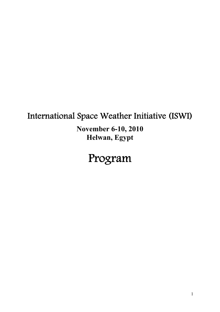# International Space Weather Initiative (ISWI)

**November 6-10, 2010 Helwan, Egypt** 

# Program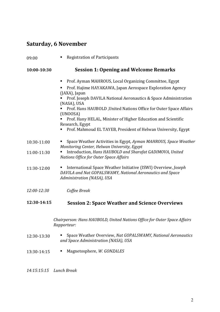### **Saturday, 6 November**

| 09:00       | <b>Registration of Participants</b><br>٠                                                                                                                       |  |  |
|-------------|----------------------------------------------------------------------------------------------------------------------------------------------------------------|--|--|
| 10:00-10:30 | <b>Session 1: Opening and Welcome Remarks</b>                                                                                                                  |  |  |
|             | Prof. Ayman MAHROUS, Local Organizing Committee, Egypt<br>ш                                                                                                    |  |  |
|             | Prof. Hajime HAYAKAWA, Japan Aerospace Exploration Agency<br>ш<br>(JAXA), Japan                                                                                |  |  |
|             | Prof. Joseph DAVILA National Aeronautics & Space Administration<br>(NASA), USA                                                                                 |  |  |
|             | Prof. Hans HAUBOLD , United Nations Office for Outer Space Affairs<br>(UNOOSA)                                                                                 |  |  |
|             | Prof. Hany HELAL, Minister of Higher Education and Scientific<br>Research, Egypt                                                                               |  |  |
|             | Prof. Mahmoud EL TAYEB, President of Helwan University, Egypt                                                                                                  |  |  |
| 10:30-11:00 | Space Weather Activities in Egypt, Ayman MAHROUS, Space Weather<br>п<br>Monitoring Center, Helwan University, Egypt                                            |  |  |
| 11:00-11:30 | Introduction, Hans HAUBOLD and Sharafat GADIMOVA, United<br>п<br><b>Nations Office for Outer Space Affairs</b>                                                 |  |  |
| 11:30-12:00 | International Space Weather Initiative (ISWI) Overview, Joseph<br>ш<br>DAVILA and Nat GOPALSWAMY, National Aeronautics and Space<br>Administration (NASA), USA |  |  |
| 12:00-12:30 | Coffee Break                                                                                                                                                   |  |  |

### **12:3014:15 Session 2: Space Weather and Science Overviews**

*Chairperson: Hans HAUBOLD, United Nations Office for Outer Space Affairs Rapporteur:* 

- 12:30‐13:30 Space Weather Overview, *Nat GOPALSWAMY, National Aeronautics and Space Administration (NASA), USA*
- 13:30‐14:15 Magnetosphere, *W. GONZALES*

*14:15:15:15 Lunch Break*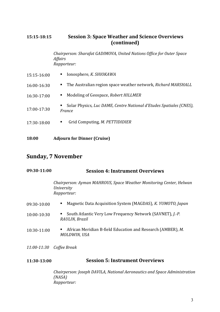### **15:1518:15 Session 3: Space Weather and Science Overviews (continued)**

*Chairperson: Sharafat GADIMOVA, United Nations Office for Outer Space Affairs Rapporteur:* 

| 15:15-16:00 | Ionosphere, K. SHIOKAWA<br>п.                                                      |
|-------------|------------------------------------------------------------------------------------|
| 16:00-16:30 | The Australian region space weather network, Richard MARSHALL<br>н.                |
| 16:30-17:00 | Modeling of Geospace, Robert HILLMER<br>$\blacksquare$                             |
| 17:00-17:30 | Solar Physics, Luc DAME, Centre National d'Etudes Spatiales (CNES),<br>٠<br>France |
| 17:30-18:00 | Grid Computing, M. PETTIDIDIER<br>۳                                                |
|             |                                                                                    |

**18:00 Adjourn for Dinner (Cruise)**

### **Sunday, 7 November**

| 09:30-11:00 | <b>Session 4: Instrument Overviews</b>                                                                  |  |  |
|-------------|---------------------------------------------------------------------------------------------------------|--|--|
|             | Chairperson: Ayman MAHROUS, Space Weather Monitoring Center, Helwan<br><i>University</i><br>Rapporteur: |  |  |
| 09:30-10:00 | Magnetic Data Acquisition System (MAGDAS), K. YUMOTO, Japan<br>■                                        |  |  |
| 10:00-10:30 | South Atlantic Very Low Frequency Network (SAVNET), <i>J.-P.</i><br>п<br>RAULIN, Brazil                 |  |  |
| 10:30-11:00 | African Meridian B-field Education and Research (AMBER), M.<br>٠<br>MOLDWIN, USA                        |  |  |
|             | 11:00-11:30 Coffee Break                                                                                |  |  |

### **11:3013:00 Session 5: Instrument Overviews**

*Chairperson: Joseph DAVILA, National Aeronautics and Space Administration (NASA) Rapporteur:*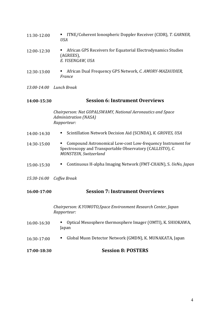| 11:30-12:00 | <b>ITNE/Coherent Ionospheric Doppler Receiver (CIDR), T. GARNER,</b><br>USA |
|-------------|-----------------------------------------------------------------------------|
|             |                                                                             |

- 12:00‐12:30 African GPS Receivers for Equatorial Electrodynamics Studies (AGREES), *E. YISENGAW, USA*
- 12:30‐13:00 African Dual Frequency GPS Network, *C. AMORYMAZAUDIER, France*

*13:0014:00 Lunch Break*

#### **14:0015:30 Session 6: Instrument Overviews**

*Chairperson: Nat GOPALSWAMY, National Aeronautics and Space Administration (NASA) Rapporteur:* 

- 14:00‐14:30 Scintillation Network Decision Aid (SCINDA), *K. GROVES, USA*
- 14:30‐15:00 Compound Astronomical Low‐cost Low‐frequency Instrument for Spectroscopy and Transportable Observatory (CALLISTO), *C. MONSTEIN, Switzerland*
- 15:00‐15:30 Continuous H‐alpha Imaging Network (FMT‐CHAIN), S. *UeNo, Japan*
- *15:3016:00 Coffee Break*

#### **16:0017:00 Session 7: Instrument Overviews**

*Chairperson: K.YUMOTO,Space Environment Research Center, Japan Rapporteur:* 

- 16:00‐16:30 Optical Mesosphere thermosphere Imager (OMTI), K. SHIOKAWA, Japan
- 16:30‐17:00 Global Muon Detector Network (GMDN), K. MUNAKATA, Japan
- **17:0018:30 Session 8: POSTERS**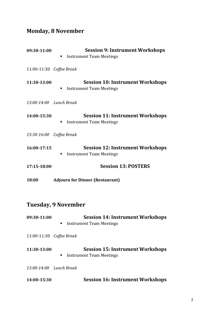# **Monday, 8 November**

| 09:30-11:00                | <b>Session 9: Instrument Workshops</b><br><b>Instrument Team Meetings</b><br>٠  |  |  |
|----------------------------|---------------------------------------------------------------------------------|--|--|
| 11:00-11:30 Coffee Break   |                                                                                 |  |  |
| 11:30-13:00                | Session 10: Instrument Workshops<br><b>Instrument Team Meetings</b><br>٠        |  |  |
| 13:00-14:00 Lunch Break    |                                                                                 |  |  |
| 14:00-15:30                | <b>Session 11: Instrument Workshops</b><br><b>Instrument Team Meetings</b><br>٠ |  |  |
| 15:30-16:00 Coffee Break   |                                                                                 |  |  |
| 16:00-17:15                | <b>Session 12: Instrument Workshops</b><br><b>Instrument Team Meetings</b><br>п |  |  |
| 17:15-18:00                | <b>Session 13: POSTERS</b>                                                      |  |  |
| 18:00                      | <b>Adjourn for Dinner (Restaurant)</b>                                          |  |  |
| <b>Tuesday, 9 November</b> |                                                                                 |  |  |
| 09:30-11:00                | <b>Session 14: Instrument Workshops</b><br><b>Instrument Team Meetings</b><br>٠ |  |  |
| 11:00-11:30 Coffee Break   |                                                                                 |  |  |
| 11:30-13:00                | <b>Session 15: Instrument Workshops</b><br><b>Instrument Team Meetings</b>      |  |  |
| 13:00-14:00 Lunch Break    |                                                                                 |  |  |
| 14:00-15:30                | <b>Session 16: Instrument Workshops</b>                                         |  |  |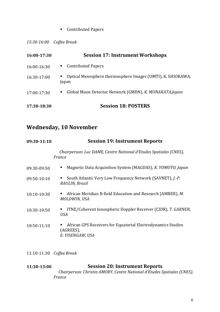### ■ Contributed Papers

*15:3016:00 Coffee Break*

| 16:00-17:30 | <b>Session 17: Instrument Workshops</b>                              |
|-------------|----------------------------------------------------------------------|
| 16:00-16:30 | <b>Contributed Papers</b><br>$\blacksquare$                          |
| 16:30-17:00 | Optical Mesosphere thermosphere Imager (OMTI), K. SHIOKAWA,<br>Japan |
| 17:00-17:30 | Global Muon Detector Network (GMDN), K. MUNAKATA, Japan<br>п         |
| 17:30-18:30 | <b>Session 18: POSTERS</b>                                           |

### **Wednesday, 10 November**

| 09:30-11:10 | <b>Session 19: Instrument Reports</b>                                                         |  |
|-------------|-----------------------------------------------------------------------------------------------|--|
|             | Chairperson: Luc DAME, Centre National d'Etudes Spatiales (CNES),<br>France                   |  |
| 09:30-09:50 | Magnetic Data Acquisition System (MAGDAS), K. YOMOTO, Japan                                   |  |
| 09:50-10:10 | South Atlantic Very Low Frequency Network (SAVNET), J.-P.<br>RAULIN, Brazil                   |  |
| 10:10-10:30 | African Meridian B-field Education and Research (AMBER), M.<br>MOLDWIN, USA                   |  |
| 10:30-10:50 | ITNE/Coherent Ionospheric Doppler Receiver (CIDR), T. GARNER,<br><b>USA</b>                   |  |
| 10:50-11:10 | African GPS Receivers for Equatorial Electrodynamics Studies<br>(AGREES),<br>E. YISENGAW, USA |  |

11:10‐11:30 *Coffee Break*

#### **11:3013:00 Session 20: Instrument Reports**

 *Chairperson: Christin AMORY, Centre National d'Etudes Spatiales (CNES), France*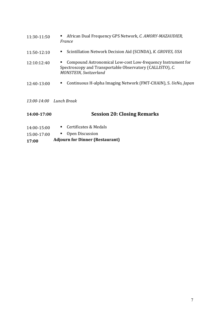| 11:30-11:50 | African Dual Frequency GPS Network, C. AMORY-MAZAUDIER,<br>France                                                                                        |
|-------------|----------------------------------------------------------------------------------------------------------------------------------------------------------|
| 11:50-12:10 | Scintillation Network Decision Aid (SCINDA), K. GROVES, USA                                                                                              |
| 12:10:12:40 | Compound Astronomical Low-cost Low-frequency Instrument for<br>Spectroscopy and Transportable Observatory (CALLISTO), C.<br><b>MONSTEIN, Switzerland</b> |
| 12:40-13:00 | Continuous H-alpha Imaging Network (FMT-CHAIN), S. <i>UeNo, Japan</i>                                                                                    |
|             | 13:00-14:00 Lunch Break                                                                                                                                  |

# **14:0017:00 Session 20: Closing Remarks**

- 14:00‐15:00 Certificates & Medals
- 15:00‐17:00 **•** Open Discussion

#### **17:00 Adjourn for Dinner (Restaurant)**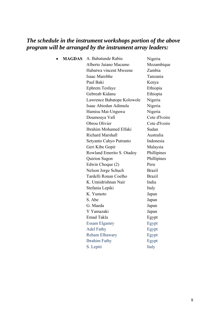### *The schedule in the instrument workshops portion of the above program will be arranged by the instrument array leaders:*

• **MAGDAS** A. Babatunde Rabiu Nigeria

 Alberto Juiano Macamo Mozambique Habatwa vincent Mweene Zambia Isaac Marobhe Tanzania Paul Baki Kenya Ephrem Tesfaye Ethiopia Gebreab Kidanu Ethiopia Lawrence Babatope Kolowole Nigeria Isaac Abiodun Adimula Nigeria Hamisu Mai-Unguwa Nigeria Doumouya Vafi Cote d'Ivoire Obrou Olivier Cote d'Ivoire Ibrahim Mohamed Elfaki Sudan Richard Marshall **Australia** Setyanto Cahyo Putranto Indonesia Geri Kibe Gopir Malaysia Rowland Emerito S. Otadoy Phillipines Quirion Sugon Phillipines Edwin Choque (2) Peru Nelson Jorge Schuch Brazil Tardelli Ronan Coelho Brazil K. Unnidrishnan Nair India Stefania Lepiki Italy K. Yumoto Japan S. Abe Japan G. Maeda Japan Y Yamazaki Japan Emad Takla Egypt Essam Elgamry Egypt Adel Fathy Egypt Reham Elhawary Egypt Ibrahim Fathy Egypt S. Lepiti Italy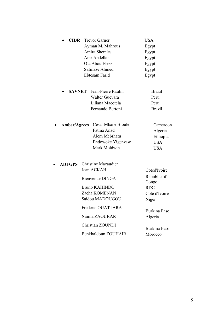| <b>CIDR</b>         | <b>Trevor Garner</b>                                                                          | <b>USA</b>                                                  |
|---------------------|-----------------------------------------------------------------------------------------------|-------------------------------------------------------------|
|                     | Ayman M. Mahrous                                                                              | Egypt                                                       |
|                     | Amira Shemies                                                                                 | Egypt                                                       |
|                     | Amr Abdellah                                                                                  | Egypt                                                       |
|                     | Ola Abou Elezz                                                                                | Egypt                                                       |
|                     | Safinaze Ahmed                                                                                | Egypt                                                       |
|                     | Ebtesam Farid                                                                                 | Egypt                                                       |
| <b>SAVNET</b>       | Jean-Pierre Raulin                                                                            | <b>Brazil</b>                                               |
|                     | Walter Guevara                                                                                | Peru                                                        |
|                     | Liliana Macotela                                                                              | Peru                                                        |
|                     | Fernando Bertoni                                                                              | <b>Brazil</b>                                               |
| <b>Amber/Agrees</b> | <b>Cesar Mbane Bioule</b><br>Fatma Anad<br>Alem Mebrhatu<br>Endowoke Yigenzaw<br>Mark Moldwin | Cameroon<br>Algeria<br>Ethiopia<br><b>USA</b><br><b>USA</b> |
| <b>ADFGPS</b>       | <b>Christine Mazaudier</b>                                                                    |                                                             |
|                     | Jean ACKAH                                                                                    | Coted'Ivoire                                                |
|                     | Bienvenue DINGA                                                                               | Republic of<br>Congo                                        |
|                     | <b>Bruno KAHINDO</b>                                                                          | <b>RDC</b>                                                  |
|                     | Zacha KOMENAN                                                                                 | Cote d'Ivoire                                               |
|                     | Saidou MADOUGOU                                                                               | Niger                                                       |
|                     | Frederic OUATTARA                                                                             | <b>Burkina Faso</b>                                         |
|                     | Naima ZAOURAR                                                                                 | Algeria                                                     |
|                     | <b>Christian ZOUNDI</b>                                                                       | Burkina Faso                                                |
|                     | Benkhaldoun ZOUHAIR                                                                           | Morocco                                                     |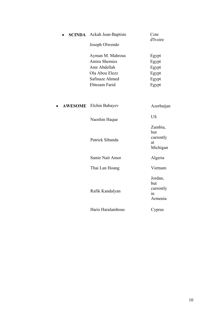| <b>SCINDA</b>  | Ackah Jean-Baptiste  | Cote<br>d'Ivoire                                              |
|----------------|----------------------|---------------------------------------------------------------|
|                | Joseph Olwendo       |                                                               |
|                | Ayman M. Mahrous     | Egypt                                                         |
|                | <b>Amira Shemies</b> | Egypt                                                         |
|                | Amr Abdellah         | Egypt                                                         |
|                | Ola Abou Elezz       | Egypt                                                         |
|                | Safinaze Ahmed       | Egypt                                                         |
|                | Ebtesam Farid        | Egypt                                                         |
| <b>AWESOME</b> | Elchin Babayev       | Azerbaijan                                                    |
|                |                      |                                                               |
|                | Naoshin Haque        | <b>US</b>                                                     |
|                | Patrick Sibanda      | Zambia,<br>but<br>currently<br>at<br>Michigan                 |
|                | Samir Nait Amor      | Algeria                                                       |
|                | Thai Lan Hoang       | Vietnam                                                       |
|                | Rafik Kandalyan      | Jordan,<br>but<br>currently<br>$\operatorname{in}$<br>Armenia |
|                | Haris Haralambous    | Cyprus                                                        |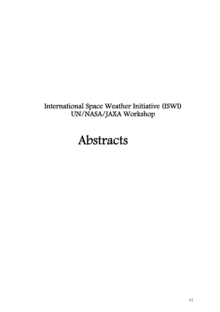# International Space Weather Initiative (ISWI) UN/NASA/JAXA Workshop

# Abstracts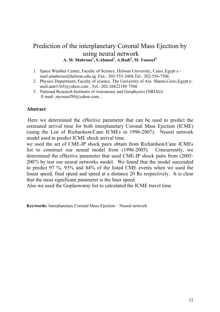### Prediction of the interplanetary Coronal Mass Ejection by using neural network **A. M. Mahrous<sup>1</sup> , S.Ahmed1 , A.Radi<sup>2</sup> , M. Youssef<sup>3</sup>**

- 1. Space Weather Center, Faculty of Science, Helwan University, Cairo, Egypt e mail: amahrous @helwan.edu.eg , Fax.: 202-555-2468.Tel.: 202-556-7506
- 2. Physics Department, Faculty of science, The University of Ain Shams,Cairo,Egypt email:amr1165@yahoo.com , Tel.: 202-26822189 7506
- 3. National Research Institutes of Astronomy and Geophysics (NRIAG) E-mail: myousef50@yahoo.com ,

### **Abstract**

Here we determined the effective parameter that can be used to predict the estimated arrival time for both interplanetary Coronal Mass Ejection (ICME) (using the [List of Richardson/Cane ICMEs in 1996-2007\)](http://rds.yahoo.com/_ylt=A0geuyYYxnZKMfcAa3dXNyoA;_ylu=X3oDMTBybnZlZnRlBHNlYwNzcgRwb3MDMQRjb2xvA2FjMgR2dGlkAw--/SIG=12dgpsjse/EXP=1249384344/**http%3a/www.ssg.sr.unh.edu/mag/ace/ACElists/ICMEtable.html). Neural network model used to predict ICME shock arrival time.

we used the set of CME-IP shock pairs obtain from Richardson/Cane ICMEs list to construct our neural model from (1996-2005). Concurrently, we determined the effective parameter that used CME-IP shock pairs from (2005- 2007) by test our neural networks model. We found that the model succeeded to predict 97 %, 93% and 84% of the listed CME events when we used the linear speed, final speed and speed at a distance 20 Rs respectively. It is clear that the most significant parameter is the liner speed.

Also we used the Goplaswamy list to calculated the ICME travel time

**Keywords:** Interplanetary Coronal Mass Ejection – Neural network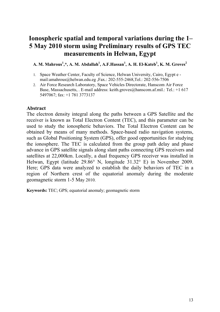# **Ionospheric spatial and temporal variations during the 1– 5 May 2010 storm using Preliminary results of GPS TEC measurements in Helwan, Egypt**

A. M. Mahrous<sup>1</sup>,\*, A. M. Abdallah<sup>1</sup>, A.F.Hassan<sup>1</sup>, A. H. El-Kateb<sup>1</sup>, K. M. Groves<sup>2</sup>

- 1. Space Weather Center, Faculty of Science, Helwan University, Cairo, Egypt e mail:[amahrous@helwan.edu.eg](http://us.mc1120.mail.yahoo.com/mc/compose?to=amahrous@helwan.edu.eg) ,Fax.: 202-555-2468,Tel.: 202-556-7506
- 2. Air Force Research Laboratory, Space Vehicles Directorate, Hanscom Air Force Base, Massachusetts, . E-mail address: keith.groves@hanscom.af.mil.: Tel.: +1 617 5497067; fax: +1 781 3773137

### **Abstract**

The electron density integral along the paths between a GPS Satellite and the receiver is known as Total Electron Content (TEC), and this parameter can be used to study the ionospheric behaviors. The Total Electron Content can be obtained by means of many methods. Space-based radio navigation systems, such as Global Positioning System (GPS), offer good opportunities for studying the ionosphere. The TEC is calculated from the group path delay and phase advance in GPS satellite signals along slant paths connecting GPS receivers and satellites at 22,000km. Locally, a dual frequency GPS receiver was installed in Helwan, Egypt (latitude 29.86° N, longitude 31.32° E) in November 2009. Here; GPS data were analyzed to establish the daily behaviors of TEC in a region of Northern crest of the equatorial anomaly during the moderate geomagnetic storm 1-5 May 2010.

**Keywords:** TEC; GPS; equatorial anomaly; geomagnetic storm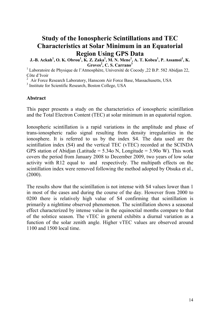# **Study of the Ionospheric Scintillations and TEC Characteristics at Solar Minimum in an Equatorial Region Using GPS Data**

**J.-B.** Ackah<sup>1</sup>, O. K. Obrou<sup>1</sup>, K. Z. Zaka<sup>1</sup>, M. N. Mene<sup>1</sup>, A. T. Kobea<sup>1</sup>, P. Assamoi<sup>1</sup>, K. **Groves<sup>2</sup> , C. S. Carrano3**

<sup>1</sup> Laboratoire de Physique de l'Atmosphère, Université de Cocody , 22 B.P. 582 Abidjan 22, Côte d'Ivoir

<sup>2</sup> Air Force Research Laboratory, Hanscom Air Force Base, Massachusetts, USA

<sup>3</sup> Institute for Scientific Research, Boston College, USA

### **Abstract**

This paper presents a study on the characteristics of ionospheric scintillation and the Total Electron Content (TEC) at solar minimum in an equatorial region.

Ionospheric scintillation is a rapid variations in the amplitude and phase of trans-ionospheric radio signal resulting from density irregularities in the ionosphere. It is referred to us by the index S4. The data used are the scintillation index (S4) and the vertical TEC (vTEC) recorded at the SCINDA GPS station of Abidjan (Latitude =  $5.34$ o N, Longitude =  $3.90$ o W). This work covers the period from January 2008 to December 2009, two years of low solar activity with R12 equal to and respectively. The multipath effects on the scintillation index were removed following the method adopted by Otsuka et al., (2000).

The results show that the scintillation is not intense with S4 values lower than 1 in most of the cases and during the course of the day. However from 2000 to 0200 there is relatively high value of S4 confirming that scintillation is primarily a nighttime observed phenomenon. The scintillation shows a seasonal effect characterized by intense value in the equinoctial months compare to that of the solstice season. The vTEC in general exhibits a diurnal variation as a function of the solar zenith angle. Higher vTEC values are observed around 1100 and 1500 local time.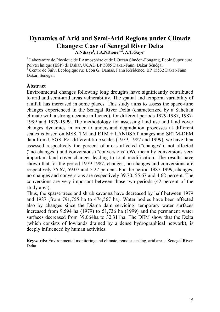# **Dynamics of Arid and Semi-Arid Regions under Climate Changes: Case of Senegal River Delta**

**A.Ndiaye<sup>1</sup> , J.A.NDione1, 2, A.T.Gaye1**

<sup>1</sup> Laboratoire de Physique de l'Atmosphère et de l'Océan Siméon-Fongang, Ecole Supérieure Polytechnique (ESP) de Dakar, UCAD BP 5085 Dakar-Fann, Dakar Sénégal. <sup>2</sup> Centre de Suivi Ecologique rue Léon G. Damas, Fann Résidence, BP 15532 Dakar-Fann, Dakar, Sénégal.

### **Abstract**

Environmental changes following long droughts have significantly contributed to arid and semi-arid areas vulnerability. The spatial and temporal variability of rainfall has increased in some places. This study aims to assess the space-time changes experienced in the Senegal River Delta (characterized by a Sahelian climate with a strong oceanic influence), for different periods 1979-1987, 1987- 1999 and 1979-1999. The methodology for assessing land use and land cover changes dynamics in order to understand degradation processes at different scales is based on MSS, TM and ETM + LANDSAT images and SRTM-DEM data from USGS. For different time scales (1979, 1987 and 1999), we have then assessed respectively the percent of areas affected ("changes"), not affected ("no changes") and conversions ("conversions").We mean by conversions very important land cover changes leading to total modification. The results have shown that for the period 1979-1987, changes, no changes and conversions are respectively 35.67, 59.07 and 5.27 percent. For the period 1987-1999, changes, no changes and conversions are respectively 39.70, 55.67 and 4.62 percent. The conversions are very important between those two periods (42 percent of the study area).

Thus, the sparse trees and shrub savanna have decreased by half between 1979 and 1987 (from 791,755 ha to 474,567 ha). Water bodies have been affected also by changes since the Diama dam servicing: temporary water surfaces increased from 9,594 ha (1979) to 51,736 ha (1999) and the permanent water surfaces decreased from 39,064ha to 32,311ha. The DEM show that the Delta (which consists of lowlands drained by a dense hydrographical network), is deeply influenced by human activities.

**Keywords:** Environmental monitoring and climate, remote sensing, arid areas, Senegal River Delta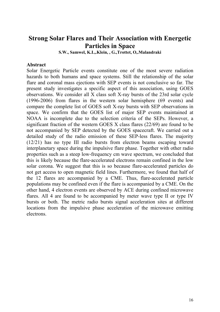## **Strong Solar Flares and Their Association with Energetic Particles in Space**

**S.W., Samwel, K.L,.Klein, , G.,Trottet, O,.Malandraki** 

### **Abstract**

Solar Energetic Particle events constitute one of the most severe radiation hazards to both humans and space systems. Still the relationship of the solar flare and coronal mass ejections with SEP events is not conclusive so far. The present study investigates a specific aspect of this association, using GOES observations. We consider all X class soft X-ray bursts of the 23rd solar cycle (1996-2006) from flares in the western solar hemisphere (69 events) and compare the complete list of GOES soft X-ray bursts with SEP observations in space. We confirm that the GOES list of major SEP events maintained at NOAA is incomplete due to the selection criteria of the SEPs. However, a significant fraction of the western GOES X class flares (22/69) are found to be not accompanied by SEP detected by the GOES spacecraft. We carried out a detailed study of the radio emission of these SEP-less flares. The majority (12/21) has no type III radio bursts from electron beams escaping toward interplanetary space during the impulsive flare phase. Together with other radio properties such as a steep low-frequency cm wave spectrum, we concluded that this is likely because the flare-accelerated electrons remain confined in the low solar corona. We suggest that this is so because flare-accelerated particles do not get access to open magnetic field lines. Furthermore, we found that half of the 12 flares are accompanied by a CME. Thus, flare-accelerated particle populations may be confined even if the flare is accompanied by a CME. On the other hand, 4 electron events are observed by ACE during confined microwave flares. All 4 are found to be accompanied by meter wave type II or type IV bursts or both. The metric radio bursts signal acceleration sites at different locations from the impulsive phase acceleration of the microwave emitting electrons.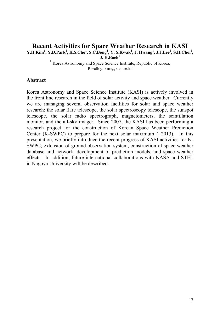### **Recent Activities for Space Weather Research in KASI Y.H.Kim1 , Y.D.Park<sup>1</sup> , K.S.Cho<sup>1</sup> , S.C.Bong<sup>1</sup> , Y. S.Kwak<sup>1</sup> , J. Hwang1 , J.J.Lee1 , S.H.Choi<sup>1</sup> , J. H.Baek<sup>1</sup>**

<sup>1</sup> Korea Astronomy and Space Science Institute, Republic of Korea, E-mail: yhkim@kasi.re.kr

### **Abstract**

Korea Astronomy and Space Science Institute (KASI) is actively involved in the front line research in the field of solar activity and space weather. Currently we are managing several observation facilities for solar and space weather research: the solar flare telescope, the solar spectroscopy telescope, the sunspot telescope, the solar radio spectrograph, magnetometers, the scintillation monitor, and the all-sky imager. Since 2007, the KASI has been performing a research project for the construction of Korean Space Weather Prediction Center (K-SWPC) to prepare for the next solar maximum  $(\sim 2013)$ . In this presentation, we briefly introduce the recent progress of KASI activities for K-SWPC; extension of ground observation system, construction of space weather database and network, development of prediction models, and space weather effects. In addition, future international collaborations with NASA and STEL in Nagoya University will be described.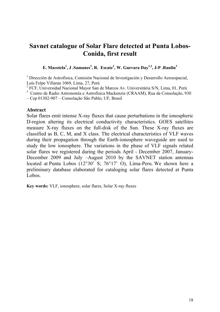## **Savnet catalogue of Solar Flare detected at Punta Lobos-Conida, first result**

### **E. Macotela1 , J .Samanes<sup>3</sup> , R. Escate2 , W. Guevara Day1,2, J-P .Raulin3**

<sup>1</sup> Dirección de Astrofísica, Comisión Nacional de Investigación y Desarrollo Aeroespacial, Luís Felpe Villaran 1069, Lima, 27, Perú

2 FCF, Universidad Nacional Mayor San de Marcos Av. Universitária S/N, Lima, 01, Perú

3 Centro de Radio Astronomía e Astrofísica Mackenzie (CRAAM), Rua da Consolação, 930

– Cep 01302-907 – Consolação São Pablo, UF, Brasil

### **Abstract**

Solar flares emit intense X-ray fluxes that cause perturbations in the ionospheric D-region altering its electrical conductivity characteristics. GOES satellites measure X-ray fluxes on the full-disk of the Sun. These X-ray fluxes are classified as B, C, M, and X class. The electrical characteristics of VLF waves during their propagation through the Earth-ionosphere waveguide are used to study the low ionosphere. The variations in the phase of VLF signals related solar flares we registered during the periods April - December 2007, January-December 2009 and July –August 2010 by the SAVNET station antennas located at Punta Lobos (12°30' S; 76°17' O), Lima-Peru. We shown here a preliminary database elaborated for cataloging solar flares detected at Punta Lobos.

**Key words:** VLF, ionosphere, solar flares, Solar X-ray fluxes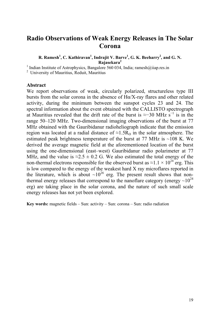## **Radio Observations of Weak Energy Releases in The Solar Corona**

### **R. Ramesh<sup>1</sup>, C. Kathiravan<sup>1</sup>, Indrajit V. Barve<sup>1</sup>, G. K. Beeharry<sup>2</sup>, and G. N. Rajasekara2**

<sup>1</sup> Indian Institute of Astrophysics, Bangalore 560 034, India; ramesh@iiap.res.in

2 University of Mauritius, Reduit, Mauritius

### **Abstract**

We report observations of weak, circularly polarized, structureless type III bursts from the solar corona in the absence of  $H\alpha/X$ -ray flares and other related activity, during the minimum between the sunspot cycles 23 and 24. The spectral information about the event obtained with the CALLISTO spectrograph at Mauritius revealed that the drift rate of the burst is  $\approx$ -30 MHz s<sup>-1</sup> is in the range 50–120 MHz. Two-dimensional imaging observations of the burst at 77 MHz obtained with the Gauribidanur radioheliograph indicate that the emission region was located at a radial distance of  $\approx 1.5R_\odot$  in the solar atmosphere. The estimated peak brightness temperature of the burst at 77 MHz is  $\sim$ 108 K. We derived the average magnetic field at the aforementioned location of the burst using the one-dimensional (east–west) Gauribidanur radio polarimeter at 77 MHz, and the value is  $\approx 2.5 \pm 0.2$  G. We also estimated the total energy of the non-thermal electrons responsible for the observed burst as  $\approx 1.1 \times 10^{24}$  erg. This is low compared to the energy of the weakest hard X ray microflares reported in the literature, which is about  $\sim 10^{26}$  erg. The present result shows that nonthermal energy releases that correspond to the nanoflare category (energy  $\sim 10^{24}$ ) erg) are taking place in the solar corona, and the nature of such small scale energy releases has not yet been explored.

**Key words:** magnetic fields – Sun: activity – Sun: corona – Sun: radio radiation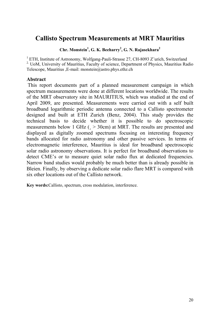# **Callisto Spectrum Measurements at MRT Mauritius**

**Chr. Monstein1 , G. K. Beeharry2 , G. N. Rajasekhara<sup>2</sup>**

<sup>1</sup> ETH, Institute of Astronomy, Wolfgang-Pauli-Strasse 27, CH-8093 Z"urich, Switzerland <sup>2.</sup> UoM, University of Mauritius, Faculty of science, Department of Physics, Mauritius Radio Telescope, Mauritius ,E-mail: monstein@astro.phys.ethz.ch

### **Abstract**

This report documents part of a planned measurement campaign in which spectrum measurements were done at different locations worldwide. The results of the MRT observatory site in MAURITIUS, which was studied at the end of April 2009, are presented. Measurements were carried out with a self built broadband logarithmic periodic antenna connected to a Callisto spectrometer designed and built at ETH Zurich (Benz, 2004). This study provides the technical basis to decide whether it is possible to do spectroscopic measurements below 1 GHz (¸ > 30cm) at MRT. The results are presented and displayed as digitally zoomed spectrums focusing on interesting frequency bands allocated for radio astronomy and other passive services. In terms of electromagnetic interference, Mauritius is ideal for broadband spectroscopic solar radio astronomy observations. It is perfect for broadband observations to detect CME's or to measure quiet solar radio flux at dedicated frequencies. Narrow band studies would probably be much better than is already possible in Bleien. Finally, by observing a dedicate solar radio flare MRT is compared with six other locations out of the Callisto network.

**Key words:**Callisto, spectrum, cross modulation, interference.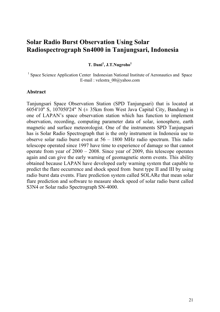## **Solar Radio Burst Observation Using Solar Radiospectrograph Sn4000 in Tanjungsari, Indonesia**

**T. Dani<sup>1</sup> , J.T.Nugroho<sup>1</sup>**

<sup>1</sup> Space Science Application Center Indonesian National Institute of Aeronautics and Space E-mail : velestra\_00@yahoo.com

#### **Abstract**

Tanjungsari Space Observation Station (SPD Tanjungsari) that is located at 6054'10" S, 107050'24" N  $(\pm 35km$  from West Java Capital City, Bandung) is one of LAPAN's space observation station which has function to implement observation, recording, computing parameter data of solar, ionosphere, earth magnetic and surface meteorologist. One of the instruments SPD Tanjungsari has is Solar Radio Spectrograph that is the only instrument in Indonesia use to observe solar radio burst event at 56 – 1800 MHz radio spectrum. This radio telescope operated since 1997 have time to experience of damage so that cannot operate from year of 2000 – 2008. Since year of 2009, this telescope operates again and can give the early warning of geomagnetic storm events. This ability obtained because LAPAN have developed early warning system that capable to predict the flare occurrence and shock speed from burst type II and III by using radio burst data events. Flare prediction system called SOLARe that mean solar flare prediction and software to measure shock speed of solar radio burst called S3N4 or Solar radio Spectrograph SN-4000.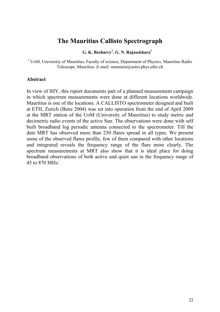## **The Mauritius Callisto Spectrograph**

### **G. K. Beeharry<sup>1</sup> , G. N. Rajasekhara1**

<sup>1</sup> UoM, University of Mauritius, Faculty of science, Department of Physics, Mauritius Radio Telescope, Mauritius ,E-mail: monstein@astro.phys.ethz.ch

#### **Abstract**

In view of IHY, this report documents part of a planned measurement campaign in which spectrum measurements were done at different locations worldwide. Mauritius is one of the locations. A CALLISTO spectrometer designed and built at ETH, Zurich (Benz 2004) was set into operation from the end of April 2009 at the MRT station of the UoM (University of Mauritius) to study metric and decimetric radio events of the active Sun. The observations were done with self built broadband log periodic antenna connected to the spectrometer. Till the date MRT has observed more than 250 flares spread in all types. We present some of the observed flares profile, few of them compared with other locations and integrated reveals the frequency range of the flare more clearly. The spectrum measurements at MRT also show that it is ideal place for doing broadband observations of both active and quiet sun in the frequency range of 45 to 870 MHz.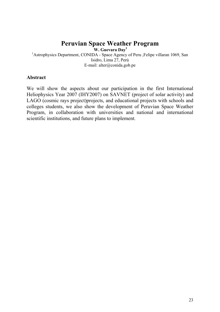## **Peruvian Space Weather Program**

 **W. Guevara Day1**

**1**<br><sup>1</sup> Astrophysics Department, CONIDA - Space Agency of Peru ,Felipe villaran 1069, San Isidro, Lima 27, Perú E-mail: [alter@conida.gob.pe](mailto:alter@conida.gob.pe)

### **Abstract**

We will show the aspects about our participation in the first International Heliophysics Year 2007 (IHY2007) on SAVNET (project of solar activity) and LAGO (cosmic rays project)projects, and educational projects with schools and colleges students, we also show the development of Peruvian Space Weather Program, in collaboration with universities and national and international scientific institutions, and future plans to implement.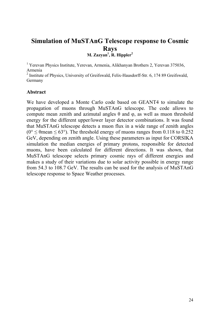### **Simulation of MuSTAnG Telescope response to Cosmic Rays** M. Zazyan<sup>1</sup>, R. Hippler<sup>2</sup>

<sup>1</sup> Yerevan Physics Institute, Yerevan, Armenia, Alikhanyan Brothers 2, Yerevan 375036, Armenia

<sup>2</sup> Institute of Physics, University of Greifswald, Felix-Hausdorff-Str. 6, 174 89 Greifswald, Germany

### **Abstract**

We have developed a Monte Carlo code based on GEANT4 to simulate the propagation of muons through MuSTAnG telescope. The code allows to compute mean zenith and azimutal angles θ and φ, as well as muon threshold energy for the different upper/lower layer detector combinations. It was found that MuSTAnG telescope detects a muon flux in a wide range of zenith angles ( $0^{\circ}$  <  $\theta$  mean <  $63^{\circ}$ ). The threshold energy of muons ranges from 0.118 to 0.252 GeV, depending on zenith angle. Using these parameters as input for CORSIKA simulation the median energies of primary protons, responsible for detected muons, have been calculated for different directions. It was shown, that MuSTAnG telescope selects primary cosmic rays of different energies and makes a study of their variations due to solar activity possible in energy range from 54.3 to 108.7 GeV. The results can be used for the analysis of MuSTAnG telescope response to Space Weather processes.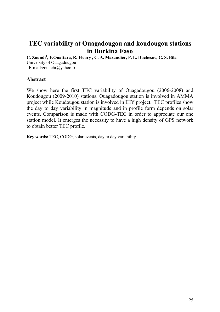## **TEC variability at Ouagadougou and koudougou stations in Burkina Faso**

**C. Zoundi<sup>1</sup> , F.Ouattara, R. Fleury , C. A. Mazaudier, P. L. Duchesne, G. S. Bila** 

University of Ouagadougou

E-mail:zounchr@yahoo.fr

### **Abstract**

We show here the first TEC variability of Ouagadougou (2006-2008) and Koudougou (2009-2010) stations. Ouagadougou station is involved in AMMA project while Koudougou station is involved in IHY project. TEC profiles show the day to day variability in magnitude and in profile form depends on solar events. Comparison is made with CODG-TEC in order to appreciate our one station model. It emerges the necessity to have a high density of GPS network to obtain better TEC profile.

**Key words:** TEC, CODG, solar events, day to day variability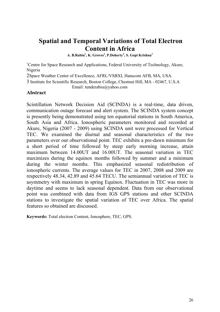## **Spatial and Temporal Variations of Total Electron Content in Africa**

A. B.Rabiu<sup>1</sup>, K. Groves<sup>2</sup>, P.Doherty<sup>3</sup>, S. Gopi Krishna<sup>3</sup>

<sup>1</sup>Centre for Space Research and Applications, Federal University of Technology, Akure, Nigeria

2Space Weather Center of Excellence, AFRL/VSBXI, Hanscom AFB, MA, USA.

3 Institute for Scientific Research, Boston College, Chestnut Hill, MA - 02467, U.S.A Email: tunderabiu@yahoo.com

**Abstract** 

Scintillation Network Decision Aid (SCINDA) is a real-time, data driven, communication outage forecast and alert system. The SCINDA system concept is presently being demonstrated using ten equatorial stations in South America, South Asia and Africa. Ionospheric parameters monitored and recorded at Akure, Nigeria (2007 - 2009) using SCINDA unit were processed for Vertical TEC. We examined the diurnal and seasonal characteristics of the two parameters over our observational point. TEC exhibits a pre-dawn minimum for a short period of time followed by steep early morning increase, attain maximum between 14.00UT and 16.00UT. The seasonal variation in TEC maximizes during the equinox months followed by summer and a minimum during the winter months. This emphasized seasonal redistribution of ionospheric currents. The average values for TEC in 2007, 2008 and 2009 are respectively 48.34, 42.89 and 45.64 TECU. The semiannual variation of TEC is asymmetry with maximum in spring Equinox. Fluctuation in TEC was more in daytime and seems to lack seasonal dependent. Data from our observational point was combined with data from IGS GPS stations and other SCINDA stations to investigate the spatial variation of TEC over Africa. The spatial features so obtained are discussed.

**Keywords:** Total electron Content, Ionosphere, TEC, GPS.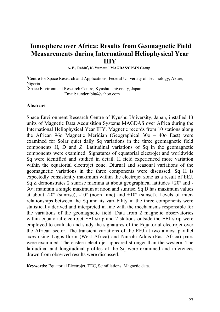## **Ionosphere over Africa: Results from Geomagnetic Field Measurements during International Heliophysical Year IHY**

**A. B., Rabiu<sup>1</sup> , K. Yumoto<sup>2</sup> , MAGDAS/CPMN Group <sup>2</sup>**

<sup>1</sup>Centre for Space Research and Applications, Federal University of Technology, Akure, Nigeria 2 Space Environment Research Centre, Kyushu University, Japan

Email: tunderabiu@yahoo.com

#### **Abstract**

Space Environment Research Centre of Kyushu University, Japan, installed 13 units of Magnetic Data Acquisition Systems MAGDAS over Africa during the International Heliophysical Year IHY. Magnetic records from 10 stations along the African 96o Magnetic Meridian (Geographical 30o – 40o East) were examined for Solar quiet daily Sq variations in the three geomagnetic field components H, D and Z. Latitudinal variations of Sq in the geomagnetic components were examined. Signatures of equatorial electrojet and worldwide Sq were identified and studied in detail. H field experienced more variation within the equatorial electrojet zone. Diurnal and seasonal variations of the geomagnetic variations in the three components were discussed. Sq H is expectedly consistently maximum within the electrojet zone as a result of EEJ. Sq Z demonstrates 2 sunrise maxima at about geographical latitudes  $+20^{\circ}$  and -30º; maintain a single maximum at noon and sunrise. Sq D has maximum values at about  $-20^{\circ}$  (sunrise),  $-10^{\circ}$  (noon time) and  $+10^{\circ}$  (sunset). Levels of interrelationships between the Sq and its variability in the three components were statistically derived and interpreted in line with the mechanisms responsible for the variations of the geomagnetic field. Data from 2 magnetic observatories within equatorial electrojet EEJ strip and 2 stations outside the EEJ strip were employed to evaluate and study the signatures of the Equatorial electrojet over the African sector. The transient variations of the EEJ at two almost parallel axes using Lagos-Ilorin (West Africa) and Nairobi-Addis (East Africa) pairs were examined. The eastern electrojet appeared stronger than the western. The latitudinal and longitudinal profiles of the Sq were examined and inferences drawn from observed results were discussed.

**Keywords:** Equatorial Electrojet, TEC, Scintillations, Magnetic data.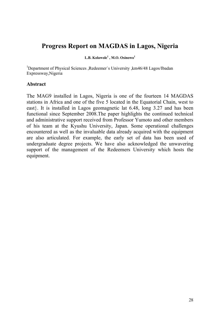## **Progress Report on MAGDAS in Lagos, Nigeria**

**L.B. Kolawole1 , M.O. Osinowo<sup>1</sup>**

<sup>1</sup>Department of Physical Sciences ,Redeemer's University ,km46/48 Lagos/Ibadan Expressway,Nigeria

### **Abstract**

The MAG9 installed in Lagos, Nigeria is one of the fourteen 14 MAGDAS stations in Africa and one of the five 5 located in the Equatorial Chain, west to east}. It is installed in Lagos geomagnetic lat 6.48, long 3.27 and has been functional since September 2008.The paper highlights the continued technical and administrative support received from Professor Yumoto and other members of his team at the Kyushu University, Japan. Some operational challenges encountered as well as the invaluable data already acquired with the equipment are also articulated. For example, the early set of data has been used of undergraduate degree projects. We have also acknowledged the unwavering support of the management of the Redeemers University which hosts the equipment.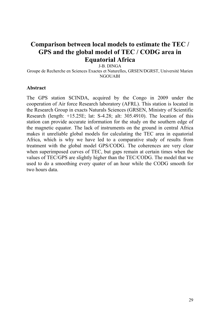## **Comparison between local models to estimate the TEC / GPS and the global model of TEC / CODG area in Equatorial Africa**

J-B. DINGA

Groupe de Recherche en Sciences Exactes et Naturelles, GRSEN/DGRST, Université Marien **NGOUARI** 

### **Abstract**

The GPS station SCINDA, acquired by the Congo in 2009 under the cooperation of Air force Research laboratory (AFRL). This station is located in the Research Group in exacts Naturals Sciences (GRSEN, Ministry of Scientific Research (length: +15.25E; lat: S-4.28; alt: 305.4910). The location of this station can provide accurate information for the study on the southern edge of the magnetic equator. The lack of instruments on the ground in central Africa makes it unreliable global models for calculating the TEC area in equatorial Africa, which is why we have led to a comparative study of results from treatment with the global model GPS/CODG. The coherences are very clear when superimposed curves of TEC, but gaps remain at certain times when the values of TEC/GPS are slightly higher than the TEC/CODG. The model that we used to do a smoothing every quater of an hour while the CODG smooth for two hours data.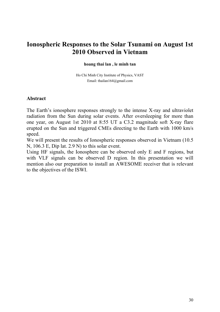## **Ionospheric Responses to the Solar Tsunami on August 1st 2010 Observed in Vietnam**

#### **hoang thai lan , le minh tan**

Ho Chi Minh City Institute of Physics, VAST Email: [thailan164@gmail.com](mailto:thailan164@gmail.com)

#### **Abstract**

The Earth's ionosphere responses strongly to the intense X-ray and ultraviolet radiation from the Sun during solar events. After oversleeping for more than one year, on August 1st 2010 at 8:55 UT a C3.2 magnitude soft X-ray flare erupted on the Sun and triggered CMEs directing to the Earth with 1000 km/s speed.

We will present the results of Ionospheric responses observed in Vietnam (10.5 N, 106.3 E, Dip lat. 2.9 N) to this solar event.

Using HF signals, the Ionosphere can be observed only E and F regions, but with VLF signals can be observed D region. In this presentation we will mention also our preparation to install an AWESOME receiver that is relevant to the objectives of the ISWI.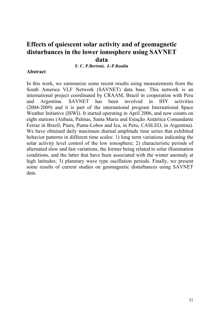## **Effects of quiescent solar activity and of geomagnetic disturbances in the lower ionosphere using SAVNET data**

#### **F. C. P.Bertoni, J.-P.Raulin**

#### **Abstract**

In this work, we summarize some recent results using measurements from the South America VLF Network (SAVNET) data base. This network is an international project coordinated by CRAAM, Brazil in cooperation with Peru and Argentina. SAVNET has been involved in IHY activities (2004-2009) and it is part of the international program International Space Weather Initiative (ISWI). It started operating in April 2006, and now counts on eight stations (Atibaia, Palmas, Santa Maria and Estação Antártica Comandante Ferraz in Brazil; Piura, Punta-Lobos and Ica, in Peru; CASLEO, in Argentina). We have obtained daily maximum diurnal amplitude time series that exhibited behavior patterns in different time scales: 1) long term variations indicating the solar activity level control of the low ionosphere; 2) characteristic periods of alternated slow and fast variations, the former being related to solar illumination conditions, and the latter that have been associated with the winter anomaly at high latitudes; 3) planetary wave type oscillation periods. Finally, we present some results of current studies on geomagnetic disturbances using SAVNET data.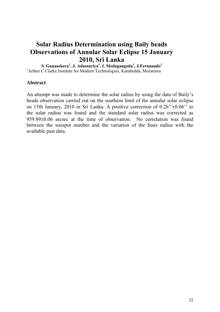## **Solar Radius Determination using Baily beads Observations of Annular Solar Eclipse 15 January 2010, Sri Lanka**

**S. Gunasekera1 , J. Adassuriya<sup>1</sup> , I. Medagangoda<sup>1</sup> , J.Fernanado<sup>1</sup>** <sup>1</sup> Arthur C Clarke Institute for Modern Technologies, Katubedda, Moratuwa

### **Abstract**

An attempt was made to determine the solar radius by using the data of Baily's beads observation carried out on the southern limit of the annular solar eclipse on 15th January, 2010 in Sri Lanka. A positive correction of 0.26''±0.06'' to the solar radius was found and the standard solar radius was corrected as 959.89±0.06 arcsec at the time of observation. No correlation was found between the sunspot number and the variation of the Suns radius with the available past data.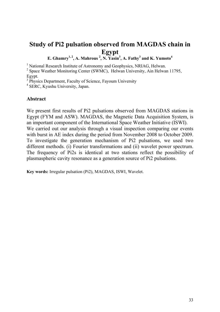# **Study of Pi2 pulsation observed from MAGDAS chain in Egypt**

**E.** Ghamry<sup>1, 2</sup>, A. Mahrous<sup>2</sup>, N. Yasin<sup>3</sup>, A. Fathy<sup>3</sup> and K. Yumoto<sup>4</sup>

<sup>1</sup> National Research Institute of Astronomy and Geophysics, NRIAG, Helwan.

<sup>2</sup> Space Weather Monitoring Center (SWMC), Helwan University, Ain Helwan 11795, Egypt.

<sup>3</sup> Physics Department, Faculty of Science, Fayoum University

4 SERC, Kyushu University, Japan.

### **Abstract**

We present first results of Pi2 pulsations observed from MAGDAS stations in Egypt (FYM and ASW). MAGDAS, the Magnetic Data Acquisition System, is an important component of the International Space Weather Initiative (ISWI). We carried out our analysis through a visual inspection comparing our events with burst in AE index during the period from November 2008 to October 2009. To investigate the generation mechanism of Pi2 pulsations, we used two different methods. (i) Fourier transformations and (ii) wavelet power spectrum. The frequency of Pi2s is identical at two stations reflect the possibility of plasmaspheric cavity resonance as a generation source of Pi2 pulsations.

**Key words:** Irregular pulsation (Pi2), MAGDAS, ISWI, Wavelet.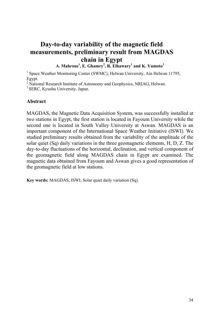# **Day-to-day variability of the magnetic field measurements, preliminary result from MAGDAS chain in Egypt**

**A. Mahrous<sup>1</sup> , E. Ghamry<sup>2</sup> , R. Elhawary1 and K. Yumoto<sup>3</sup>**

<sup>1</sup> Space Weather Monitoring Center (SWMC), Helwan University, Ain Helwan 11795, Egypt.

<sup>2</sup> National Research Institute of Astronomy and Geophysics, NRIAG, Helwan.

<sup>3</sup> SERC, Kyushu University, Japan.

### **Abstract**

MAGDAS, the Magnetic Data Acquisition System, was successfully installed at two stations in Egypt, the first station is located in Fayoum University while the second one is located in South Valley University at Aswan. MAGDAS is an important component of the International Space Weather Initiative (ISWI). We studied preliminary results obtained from the variability of the amplitude of the solar quiet (Sq) daily variations in the three geomagnetic elements, H, D, Z. The day-to-day fluctuations of the horizontal, declination, and vertical component of the geomagnetic field along MAGDAS chain in Egypt are examined. The magnetic data obtained from Fayoum and Aswan gives a good representation of the geomagnetic field at low stations.

**Key words:** MAGDAS, ISWI, Solar quiet daily variation (Sq).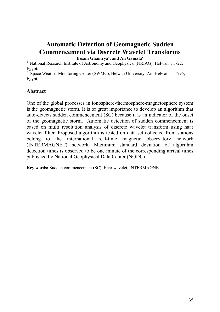# **Automatic Detection of Geomagnetic Sudden Commencement via Discrete Wavelet Transforms**

**Essam Ghamrya1 , and Ali Gamala2**

<sup>1</sup> National Research Institute of Astronomy and Geophysics, (NRIAG), Helwan, 11722, Egypt.

<sup>2</sup> Space Weather Monitoring Center (SWMC), Helwan University, Ain Helwan 11795, Egypt*.* 

### **Abstract**

One of the global processes in ionosphere-thermosphere-magnetosphere system is the geomagnetic storm. It is of great importance to develop an algorithm that auto-detects sudden commencement (SC) because it is an indicator of the onset of the geomagnetic storm. Automatic detection of sudden commencement is based on multi resolution analysis of discrete wavelet transform using haar wavelet filter. Proposed algorithm is tested on data set collected from stations belong to the international real-time magnetic observatory network (INTERMAGNET) network. Maximum standard deviation of algorithm detection times is observed to be one minute of the corresponding arrival times published by National Geophysical Data Center (NGDC).

**Key words:** Sudden commencement (SC), Haar wavelet, INTERMAGNET.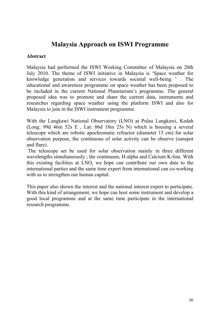## **Malaysia Approach on ISWI Programme**

### **Abstract**

Malaysia had performed the ISWI Working Committee of Malaysia on 20th July 2010. The theme of ISWI initiative in Malaysia is 'Space weather for knowledge generation and services towards societal well-being ' . The educational and awareness programme on space weather has been proposed to be included in the current National Planetarium's programme. The general proposed idea was to promote and share the current data, instruments and researches regarding space weather using the platform ISWI and also for Malaysia to join in the ISWI instrument programme.

With the Langkawi National Observatory (LNO) at Pulau Langkawi, Kedah (Long: 99d 46m 52s E , Lat: 06d 18m 25s N) which is housing a several telescope which are robotic apochromatic refractor (diameter 15 cm) for solar observation purpose, the continuous of solar activity can be observe (sunspot and flare).

 The telescope set be used for solar observation mainly in three different wavelengths simultaneously ; the continuum, H-alpha and Calcium K-line. With this existing facilities at LNO, we hope can contribute our own data to the international parties and the same time expert from international can co-working with us to strengthen our human capital.

This paper also shown the interest and the national interest expert to participate. With this kind of arrangement, we hope can host some instrument and develop a good local programme and at the same time participate in the international research programme.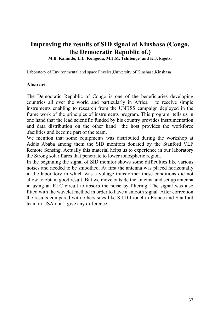# **Improving the results of SID signal at Kinshasa (Congo, the Democratic Republic of,)**

**M.B. Kahindo, L.L. Kongoda, M.J.M. Tshitenge and K.J. kigotsi** 

Laboratory of Environmental and space Physics,University of Kinshasa,Kinshasa

### **Abstract**

The Democratic Republic of Congo is one of the beneficiaries developing countries all over the world and particularly in Africa to receive simple instruments enabling to research from the UNBSS campaign deployed in the frame work of the principles of instruments program. This program tells us in one hand that the lead scientific funded by his country provides instrumentation and data distribution on the other hand the host provides the workforce ,facilities and become part of the team.

We mention that some equipments was distributed during the workshop at Addis Ababa among them the SID monitors donated by the Stanford VLF Remote Sensing. Actually this material helps us to experience in our laboratory the Strong solar flares that penetrate to lower ionospheric region.

In the beginning the signal of SID monitor shows some difficulties like various noises and needed to be smoothed. At first the antenna was placed horizontally in the laboratory in which was a voltage transformer these conditions did not allow to obtain good result. But we move outside the antenna and set up antenna in using an RLC circuit to absorb the noise by filtering. The signal was also fitted with the wavelet method in order to have a smooth signal. After correction the results compared with others sites like S.I.D Lionel in France and Stanford team in USA don't give any difference.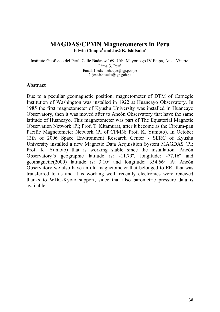### **MAGDAS/CPMN Magnetometers in Peru** Edwin Choque<sup>1</sup> and José K. Ishitsuka<sup>2</sup>

Instituto Geofísico del Perú, Calle Badajoz 169, Urb. Mayorazgo IV Etapa, Ate – Vitarte, Lima 3, Perú Email: 1. edwin.choque@igp.gob.pe 2. jose.ishitsuka@igp.gob.pe

#### **Abstract**

Due to a peculiar geomagnetic position, magnetometer of DTM of Carnegie Institution of Washington was installed in 1922 at Huancayo Observatory. In 1985 the first magnetometer of Kyushu University was installed in Huancayo Observatory, then it was moved after to Ancón Observatory that have the same latitude of Huancayo. This magnetometer was part of The Equatorial Magnetic Observation Network (PI; Prof. T. Kitamura), after it become as the Circum-pan Pacific Magnetometer Network (PI of CPMN; Prof. K. Yumoto). In October 13th of 2006 Space Environment Research Center - SERC of Kyushu University installed a new Magnetic Data Acquisition System MAGDAS (PI; Prof. K. Yumoto) that is working stable since the installation. Ancón Observatory's geographic latitude is: -11.79º, longitude: -77.16º and geomagnetic(2000) latitude is: 3.10º and longitude: 354.66º. At Ancón Observatory we also have an old magnetometer that belonged to ERI that was transferred to us and it is working well, recently electronics were renewed thanks to WDC-Kyoto support, since that also barometric pressure data is available.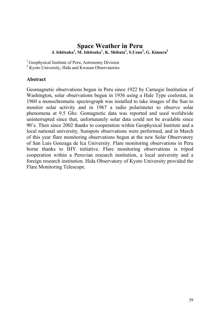### **Space Weather in Peru J. Ishitsuka1 , M. Ishitsuka1 , K. Shibata2 , S.Ueno<sup>2</sup> , G. Kimura2**

<sup>1</sup> Geophysical Institute of Peru, Astronomy Division

<sup>2</sup> Kyoto University, Hida and Kwasan Observatories

### **Abstract**

Geomagnetic observations begun in Peru since 1922 by Carnegie Institution of Washington, solar observations begun in 1936 using a Hale Type coelostat, in 1960 a monochromatic spectrograph was installed to take images of the Sun to monitor solar activity and in 1967 a radio polarimeter to observe solar phenomena at 9.5 Ghz. Gomagnetic data was reported and used worldwide uninterrupted since that, unfortunately solar data could not be available since 90's. Then since 2002 thanks to cooperation within Geophysical Institute and a local national university, Sunspots observations were performed, and in March of this year flare monitoring observations begun at the new Solar Observatory of San Luis Gonzaga de Ica University. Flare monitoring observations in Peru borne thanks to IHY initiative. Flare monitoring observations is tripod cooperation within a Peruvian research institution, a local university and a foreign research institution. Hida Observatory of Kyoto University provided the Flare Monitoring Telescope.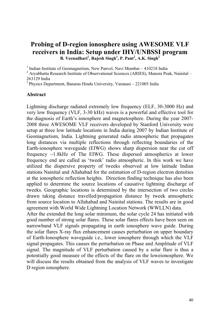### **Probing of D-region ionosphere using AWESOME VLF receivers in India: Setup under IHY/UNBSSI program B.** Veenadhari<sup>1</sup>, Rajesh Singh<sup>1</sup>, P. Pant<sup>2</sup>, A.K. Singh<sup>2</sup>

<sup>1</sup> Indian Institute of Geomagnetism, New Panvel, Navi Mumbai – 410218 India<br><sup>2</sup> Aryabhatta Research Institute of Observational Sciences (ARIES), Manora Peak, Nainital – 263129 India

 $3$  Physics Department, Banaras Hindu University, Varanasi – 221005 India

#### **Abstract**

Lightning discharge radiated extremely low frequency (ELF, 30-3000 Hz) and very low frequency (VLF, 3-30 kHz) waves is a powerful and effective tool for the diagnosis of Earth's ionosphere and magnetosphere. During the year 2007- 2008 three AWESOME VLF receivers developed by Stanford University were setup at three low latitude locations in India during 2007 by Indian Institute of Geomagnetism, India. Lightning generated radio atmospheric that propagates long distances via multiple reflections through reflecting boundaries of the Earth-ionosphere waveguide (EIWG) shows sharp dispersion near the cut off frequency ~1.8kHz of The EIWG. These dispersed atmospherics at lower frequency end are called as 'tweek' radio atmospheric. In this work we have utilized the dispersive property of tweeks observed at low latitude Indian stations Nainital and Allahabad for the estimation of D-region electron densities at the ionospheric reflection heights. Direction finding technique has also been applied to determine the source locations of causative lightning discharge of tweeks. Geographic locations is determined by the intersection of two circles drawn taking distance travelled/propagation distance by tweek atmospheric from source location to Allahabad and Nainital stations. The results are in good agreement with World Wide Lightning Location Network (WWLLN) data.

After the extended the long solar minimum, the solar cycle 24 has initiated with good number of strong solar flares. These solar flares effects have been seen on narrowband VLF signals propagating in earth ionosphere wave guide. During the solar flares X-ray flux enhancement causes perturbation on upper boundary of Earth-Ionosphere waveguide i.e., lower ionosphere through which the VLF signal propagates. This causes the perturbation on Phase and Amplitude of VLF signal. The magnitude of VLF perturbation caused by a solar flare is thus a potentially good measure of the effects of the flare on the loweionosphere. We will discuss the results obtained from the analysis of VLF waves to investigate D region ionosphere.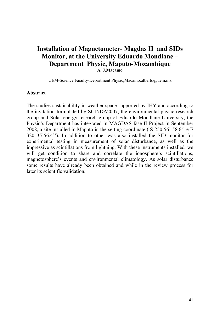## **Installation of Magnetometer- Magdas II and SIDs Monitor, at the University Eduardo Mondlane – Department Physic, Maputo-Mozambique A. J.Macamo**

UEM-Science Faculty-Department Physic,Macamo.alberto@uem.mz

#### **Abstract**

The studies sustainability in weather space supported by IHY and according to the invitation formulated by SCINDA2007, the environmental physic research group and Solar energy research group of Eduardo Mondlane University, the Physic's Department has integrated in MAGDAS fase II Project in September 2008, a site installed in Maputo in the setting coordinate ( S 250 56' 58.6'' e E 320 35'56.4''). In addition to other was also installed the SID monitor for experimental testing in measurement of solar disturbance, as well as the impressive as scintillations from lightning. With these instruments installed, we will get condition to share and correlate the ionosphere's scintillations, magnetosphere's events and environmental climatology. As solar disturbance some results have already been obtained and while in the review process for later its scientific validation.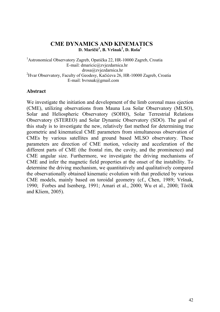### **CME DYNAMICS AND KINEMATICS D. Maričić 1 , B. Vršnak<sup>2</sup> , D. Roša1**

<sup>1</sup> Astronomical Observatory Zagreb, Opatička 22, HR-10000 Zagreb, Croatia E-mail: [dmaricic@zvjezdarnica.hr](mailto:dmaricic@zvjezdarnica.hr)  [drosa@zvjezdarnica.hr](mailto:drosa@zvjezdarnica.hr)<br><sup>2</sup>Hvar Observatory, Faculty of Geodesy, Kačićeva 26, HR-10000 Zagreb, Croatia E-mail: [bvrsnak@gmail.com](mailto:bvrsnak@gmail.com) 

### **Abstract**

We investigate the initiation and development of the limb coronal mass ejection (CME), utilizing observations from Mauna Loa Solar Observatory (MLSO), Solar and Heliospheric Observatory (SOHO), Solar Terrestrial Relations Observatory (STEREO) and Solar Dynamic Observatory (SDO). The goal of this study is to investigate the new, relatively fast method for determining true geometric and kinematical CME parameters from simultaneous observation of CMEs by various satellites and ground based MLSO observatory. These parameters are direction of CME motion, velocity and acceleration of the different parts of CME (the frontal rim, the cavity, and the prominence) and CME angular size. Furthermore, we investigate the driving mechanisms of CME and infer the magnetic field properties at the onset of the instability. To determine the driving mechanism, we quantitatively and qualitatively compared the observationally obtained kinematic evolution with that predicted by various CME models, mainly based on toroidal geometry (cf., Chen, 1989; Vršnak, 1990; [Forbes and Isenberg, 1991;](http://adsabs.harvard.edu/cgi-bin/nph-bib_query?bibcode=1991ApJ...373..294F&db_key=AST&high=39c53ec32219533) [Amari et al., 2000](http://adsabs.harvard.edu/cgi-bin/nph-bib_query?bibcode=2000ApJ...529L..49A&db_key=AST&high=39c53ec32219559); Wu et al., 2000; Török and Kliem, 2005).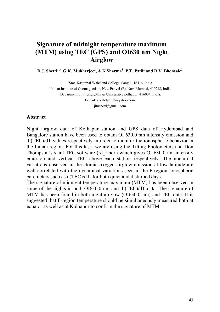## **Signature of midnight temperature maximum (MTM) using TEC (GPS) and OI630 nm Night Airglow**

**D.J.** Shetti<sup>1,3</sup>, G.K. Mukherjee<sup>2</sup>, A.K.Sharma<sup>3</sup>, P.T. Patil<sup>2</sup> and R.V. Bhonsale<sup>2</sup>

<sup>1</sup>Smt. Kasturbai Walchand College, Sangli, 416416, India <sup>2</sup>Indian Institute of Geomagnetism, New Panvel (E), Navi Mumbai, 410218, India <sup>3</sup>Department of Physics, Shivaji University, Kolhapur, 416004, India. E-mail: [shettidj2002@yahoo.com](mailto:shettidj2002@yahoo.com) jitushetti@gmail.com

#### **Abstract**

Night airglow data of Kolhapur station and GPS data of Hyderabad and Bangalore station have been used to obtain OI 630.0 nm intensity emission and d (TEC)/dT values respectively in order to monitor the ionospheric behavior in the Indian region. For this task, we are using the Tilting Photometers and Don Thompson's slant TEC software (rd\_rinex) which gives OI 630.0 nm intensity emission and vertical TEC above each station respectively. The nocturnal variations observed in the atomic oxygen airglow emission at low latitude are well correlated with the dynamical variations seen in the F-region ionospheric parameters such as d(TEC)/dT, for both quiet and disturbed days.

The signature of midnight temperature maximum (MTM) has been observed in some of the nights in both OI630.0 nm and d (TEC)/dT data. The signature of MTM has been found in both night airglow (OI630.0 nm) and TEC data. It is suggested that F-region temperature should be simultaneously measured both at equator as well as at Kolhapur to confirm the signature of MTM.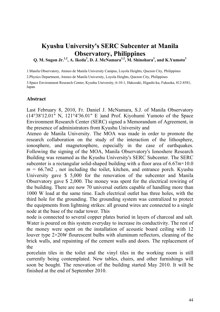## **Kyushu University's SERC Subcenter at Manila Observatory, Philippines**

Q. M. Sugon Jr.<sup>1,2</sup>, A. Ikeda<sup>3</sup>, D. J. McNamara<sup>1,2</sup>, M. Shinohara<sup>3</sup>, and K.Yumoto<sup>3</sup>

1.Manila Observatory, Ateneo de Manila University Campus, Loyola Heights, Quezon City, Philippines

2.Physics Department, Ateneo de Manila University, Loyola Heights, Quezon City, Philippines

3.Space Environment Research Center, Kyushu University, 6-10-1, Hakozaki, Higashi-ku, Fukuoka, 812-8581, Japan

### **Abstract**

Last February 8, 2010, Fr. Daniel J. McNamara, S.J. of Manila Observatory  $(14^{\circ}38'12.01''$  N,  $121^{\circ}4'36.01''$  E )and Prof. Kiyohumi Yumoto of the Space Environment Research Center (SERC) signed a Memorandum of Agreement, in the presence of administrators from Kyushu University and

Ateneo de Manila University. The MOA was made in order to promote the research collaboration on the study of the interaction of the lithosphere, ionosphere, and magnetosphere, especially in the case of earthquakes. Following the signing of the MOA, Manila Observatory's Ionoshere Research Building was renamed as the Kyushu University's SERC Subcenter. The SERC subcenter is a rectangular solid-shaped building with a floor area of 6.67*m*×10.0  $m = 66.7m2$ , not including the toilet, kitchen, and entrance porch. Kyushu University gave \$ 5,000 for the renovation of the subcenter and Manila Observatory gave \$ 2,000. The money was spent for the electrical rewiring of the building. There are now 70 universal outlets capable of handling more than 1000 W load at the same time. Each electrical outlet has three holes, with the third hole for the grounding. The grounding system was centralized to protect the equipments from lightning strikes: all ground wires are connected to a single node at the base of the radar tower. This

node is connected to several copper plates buried in layers of charcoal and salt. Water is poured on this system everyday to increase its conductivity. The rest of the money were spent on the installation of acoustic board ceiling with 12 louver type 2×20*W* flourescent bulbs with aluminum reflectors, cleaning of the brick walls, and repainting of the cement walls and doors. The replacement of the

porcelain tiles in the toilet and the vinyl tiles in the working room is still currently being contemplated. New tables, chairs, and other furnishings will soon be bought. The renovation of the building started May 2010. It will be finished at the end of September 2010.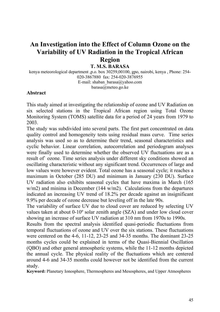## **An Investigation into the Effect of Column Ozone on the Variability of UV Radiation in the Tropical African Region**

### **T. M.S. BARASA**

kenya meteorological department ,p.o. box 30259,00100, gpo, nairobi, kenya , Phone: 254- 020-3867880 fax: 254-020-3876955 E-mail: shaban\_barasa@yahoo.com [barasa@meteo.go.ke](mailto:barasa@meteo.go.ke) 

### **Abstract**

This study aimed at investigating the relationship of ozone and UV Radiation on six selected stations in the Tropical African region using Total Ozone Monitoring System (TOMS) satellite data for a period of 24 years from 1979 to 2003.

The study was subdivided into several parts. The first part concentrated on data quality control and homogeneity tests using residual mass curve. Time series analysis was used so as to determine their trend, seasonal characteristics and cyclic behavior. Linear correlation, autocorrelation and periodogram analyses were finally used to determine whether the observed UV fluctuations are as a result of` ozone. Time series analysis under different sky conditions showed an oscillating characteristic without any significant trend. Occurrences of large and low values were however evident. Total ozone has a seasonal cycle; it reaches a maximum in October (285 DU) and minimum in January (230 DU). Surface UV radiation also exhibits seasonal cycles that have maxima in March (165 w/m2) and minima in December (144 w/m2). Calculations from the departures indicated an increasing UV trend of 18.2% per decade against an insignificant 9.9% per decade of ozone decrease but leveling off in the late 90s.

The variability of surface UV due to cloud cover are reduced by selecting UV values taken at about 0-10º solar zenith angle (SZA) and under low cloud cover showing an increase of surface UV radiation at 310 nm from 1970s to 1990s.

Results from the spectral analysis identified quasi-periodic fluctuations from temporal fluctuations of ozone and UV over the six stations. These fluctuations were centered on the 4-6, 11-12, 23-25 and 34-35 months. The dominant 23-25 months cycles could be explained in terms of the Quasi-Biennial Oscillation (QBO) and other general atmospheric systems, while the 11-12 months depicted the annual cycle. The physical reality of the fluctuations which are centered around 4-6 and 34-35 months could however not be identified from the current study.

**Keyword:** Planetary Ionosphere, Thermospheres and Mesospheres, and Upper Atmospheres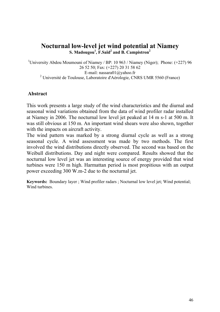### **Nocturnal low-level jet wind potential at Niamey S. Madougou1 , F.Saïd2 and B. Campistron<sup>2</sup>**

<sup>1</sup>University Abdou Moumouni of Niamey / BP: 10 963 / Niamey (Niger); Phone: (+227) 96 26 52 50; Fax: (+227) 20 31 58 62 E-mail: [nassara01@yahoo.fr](mailto:nassara01@yahoo.fr)  <sup>2</sup> Université de Toulouse, Laboratoire d'Aérologie, CNRS UMR 5560 (France)

### **Abstract**

This work presents a large study of the wind characteristics and the diurnal and seasonal wind variations obtained from the data of wind profiler radar installed at Niamey in 2006. The nocturnal low level jet peaked at 14 m s-1 at 500 m. It was still obvious at 150 m. An important wind shears were also shown, together with the impacts on aircraft activity.

The wind pattern was marked by a strong diurnal cycle as well as a strong seasonal cycle. A wind assessment was made by two methods. The first involved the wind distributions directly observed. The second was based on the Weibull distributions. Day and night were compared. Results showed that the nocturnal low level jet was an interesting source of energy provided that wind turbines were 150 m high. Harmattan period is most propitious with an output power exceeding 300 W.m-2 due to the nocturnal jet.

**Keywords:** Boundary layer ; Wind profiler radars ; Nocturnal low level jet; Wind potential; Wind turbines.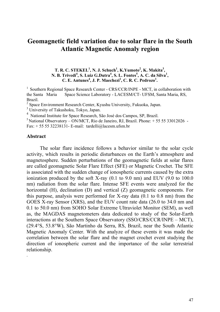## **Geomagnetic field variation due to solar flare in the South Atlantic Magnetic Anomaly region**

**T. R. C. STEKEL<sup>1</sup>, N. J. Schuch<sup>1</sup>, K.Yumoto<sup>2</sup>, K. Makita<sup>3</sup>, N. B. Trivedi<sup>4</sup>, S. Luiz G.Dutra<sup>4</sup>, S. L. Fontes<sup>5</sup>, A. C. da Silva<sup>1</sup>, C. E. Antunes<sup>4</sup> , J. P. Maechezi<sup>1</sup> , C. R. C. Pedrozo1 .**

<sup>1</sup> Southern Regional Space Research Center - CRS/CCR/INPE - MCT, in collaboration with the Santa Maria Space Science Laboratory - LACESM/CT- UFSM, Santa Maria, RS, Brazil.

<sup>2</sup> Space Environment Research Center, Kyushu University, Fukuoka, Japan.

<sup>3</sup> University of Takushoku, Tokyo, Japan.

4 National Institute for Space Research, São José dos Campos, SP, Brazil.

 $5$  National Observatory – ON/MCT, Rio de Janeiro, RJ, Brazil. Phone:  $+555533012026$  -Fax: + 55 55 32238131- E-mail: tardelli@lacesm.ufsm.br

#### **Abstract**

.

The solar flare incidence follows a behavior similar to the solar cycle activity, which results in periodic disturbances on the Earth's atmosphere and magnetosphere. Sudden perturbations of the geomagnetic fields at solar flares are called geomagnetic Solar Flare Effect (SFE) or Magnetic Crochet. The SFE is associated with the sudden change of ionospheric currents caused by the extra ionization produced by the soft X-ray (0.1 to 9.0 nm) and EUV (9.0 to 100.0 nm) radiation from the solar flare. Intense SFE events were analyzed for the horizontal (H), declination (D) and vertical (Z) geomagnetic components. For this purpose, analysis were performed for X-ray data (0.1 to 0.8 nm) from the GOES X-ray Sensor (XRS), and the EUV count rate data (26.0 to 34.0 nm and 0.1 to 50.0 nm) from SOHO Solar Extreme Ultraviolet Monitor (SEM), as well as, the MAGDAS magnetometers data dedicated to study of the Solar-Earth interactions at the Southern Space Observatory (SSO/CRS/CCR/INPE – MCT), (29.4°S, 53.8°W), São Martinho da Serra, RS, Brazil, near the South Atlantic Magnetic Anomaly Center. With the analyze of these events it was made the correlation between the solar flare and the magnet crochet event studying the direction of ionospheric current and the importance of the solar terrestrial relationship.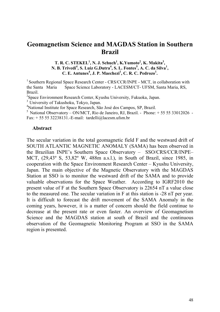## **Geomagnetism Science and MAGDAS Station in Southern Brazil**

#### **T. R. C. STEKEL<sup>1</sup>, N. J. Schuch<sup>1</sup>, K.Yumoto<sup>2</sup>, K. Makita<sup>3</sup>, N. B. Trivedi<sup>4</sup>, S. Luiz G.Dutra<sup>4</sup>, S. L. Fontes<sup>5</sup>, A. C. da Silva<sup>1</sup>, C. E. Antunes<sup>4</sup> , J. P. Maechezi<sup>1</sup> , C. R. C. Pedrozo1 .**

<sup>1</sup> Southern Regional Space Research Center - CRS/CCR/INPE - MCT, in collaboration with the Santa Maria Space Science Laboratory - LACESM/CT- UFSM, Santa Maria, RS, Brazil.

<sup>2</sup>Space Environment Research Center, Kyushu University, Fukuoka, Japan.

<sup>3</sup> University of Takushoku, Tokyo, Japan.

4 National Institute for Space Research, São José dos Campos, SP, Brazil.

 $5$  National Observatory – ON/MCT, Rio de Janeiro, RJ, Brazil. - Phone:  $+555533012026$  -Fax:  $+ 55 55 32238131$ .-E-mail: tardelli@lacesm.ufsm.br

#### **Abstract**

The secular variation in the total geomagnetic field F and the westward drift of SOUTH ATLANTIC MAGNETIC ANOMALY (SAMA) has been observed in the Brazilian INPE's Southern Space Observatory – SSO/CRS/CCR/INPE– MCT, (29,43º S, 53,82º W, 488m a.s.l.), in South of Brazil, since 1985, in cooperation with the Space Environment Research Center – Kyushu University, Japan. The main objective of the Magnetic Observatory with the MAGDAS Station at SSO is to monitor the westward drift of the SAMA and to provide valuable observations for the Space Weather. According to IGRF2010 the present value of F at the Southern Space Observatory is 22654 nT a value close to the measured one. The secular variation in F at this station is -28 nT per year. It is difficult to forecast the drift movement of the SAMA Anomaly in the coming years, however, it is a matter of concern should the field continue to decrease at the present rate or even faster. An overview of Geomagnetism Science and the MAGDAS station at south of Brazil and the continuous observation of the Geomagnetic Monitoring Program at SSO in the SAMA region is presented.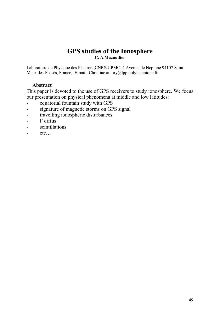### **GPS studies of the Ionosphere C. A.Mazaudier**

Laboratoire de Physique des Plasmas ,CNRS/UPMC ,4 Avenue de Neptune 94107 Saint-Maur-des-Fossés, France, E-mail: [Christine.amory@lpp.polytechnique.fr](mailto:Christine.amory@lpp.polytechnique.fr) 

### **Abstract**

This paper is devoted to the use of GPS receivers to study ionosphere. We focus our presentation on physical phenomena at middle and low latitudes:

- equatorial fountain study with GPS
- signature of magnetic storms on GPS signal
- travelling ionospheric disturbances
- F diffus
- scintillations
- etc…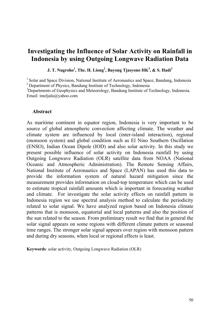## **Investigating the Influence of Solar Activity on Rainfall in Indonesia by using Outgoing Longwave Radiation Data**

 $\,$  **J. T.** Nugroho $^1$ , The. H. Liong $^2$ , Bayong Tjasyono HK $^3$ , & S. Hadi $^3$ 

<sup>1</sup> Solar and Space Division, National Institute of Aeronautics and Space, Bandung, Indonesia <sup>2</sup> Department of Physics, Bandung Institute of Technology, Indonesia

<sup>3</sup>Departments of Geophysics and Meteorology, Bandung Institute of Technology, Indonesia. Email: [imeljalu@yahoo.com](mailto:imeljalu@yahoo.com)

#### **Abstract**

As maritime continent in equator region, Indonesia is very important to be source of global atmospheric convection affecting climate. The weather and climate system are influenced by local (inter-island interaction), regional (monsoon system) and global condition such as El Nino Southern Oscillation (ENSO), Indian Ocean Dipole (IOD) and also solar activity. In this study we present possible influence of solar activity on Indonesia rainfall by using Outgoing Longwave Radiation (OLR) satellite data from NOAA [\(National](http://www.noaa.gov/)  [Oceanic and Atmospheric Administration\)](http://www.noaa.gov/). The Remote Sensing Affairs, National Institute of Aeronautics and Space (LAPAN) has used this data to provide the information system of natural hazard mitigation since the measurement provides information on cloud-top temperature which can be used to estimate tropical rainfall amounts which is important in forecasting weather and climate. For investigate the solar activity effects on rainfall pattern in Indonesia region we use spectral analysis method to calculate the periodicity related to solar signal. We have analyzed region based on Indonesia climate patterns that is monsoon, equatorial and local patterns and also the position of the sun related to the season. From preliminary result we find that in general the solar signal appears on some regions with different climate pattern or seasonal time ranges. The stronger solar signal appears over region with monsoon pattern and during dry seasons, when local or regional effects is least.

**Keywords**: solar activity, Outgoing Longwave Radiation (OLR)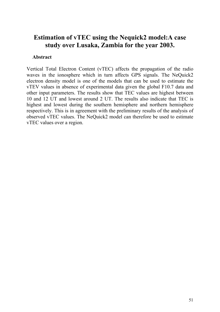## **Estimation of vTEC using the Nequick2 model:A case study over Lusaka, Zambia for the year 2003.**

### **Abstract**

Vertical Total Electron Content (vTEC) affects the propagation of the radio waves in the ionosphere which in turn affects GPS signals. The NeQuick2 electron density model is one of the models that can be used to estimate the vTEV values in absence of experimental data given the global F10.7 data and other input parameters. The results show that TEC values are highest between 10 and 12 UT and lowest around 2 UT. The results also indicate that TEC is highest and lowest during the southern hemisphere and northern hemisphere respectively. This is in agreement with the preliminary results of the analysis of observed vTEC values. The NeQuick2 model can therefore be used to estimate vTEC values over a region.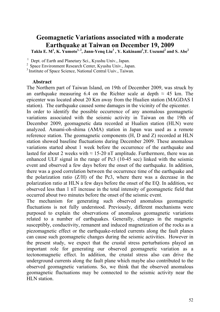## **Geomagnetic Variations associated with a moderate Earthquake at Taiwan on December 19, 2009**

 $\text{Takla} \times \text{M}^1, \text{K. } \text{Yumoto}^{1,2}, \text{Jann-Yeng Liu}^3, \text{Y. } \text{Kakinami}^3, \text{T. } \text{Uozumi}^2 \text{ and S. } \text{Abe}^2$ 

<sup>1</sup> Dept. of Earth and Planetary Sci., Kyushu Univ., Japan.

<sup>2</sup> Space Environment Research Center, Kyushu Univ., Japan.

<sup>3</sup> Institute of Space Science, National Central Uuiv., Taiwan.

#### **Abstract**

The Northern part of Taiwan Island, on 19th of December 2009, was struck by an earthquake measuring 6.4 on the Richter scale at depth  $\approx$  45 km. The epicenter was located about 20 Km away from the Hualien station (MAGDAS I station). The earthquake caused some damages in the vicinity of the epicenter.

In order to identify the possible occurrence of any anomalous geomagnetic variations associated with the seismic activity in Taiwan on the 19th of December 2009, geomagnetic data recorded at Hualien station (HLN) were analyzed. Amami-oh-shima (AMA) station in Japan was used as a remote reference station. The geomagnetic components (H, D and Z) recorded at HLN station showed baseline fluctuations during December 2009. These anomalous variations started about 1 week before the occurrence of the earthquake and lasted for about 2 weeks with  $\approx 15{\text -}20$  nT amplitude. Furthermore, there was an enhanced ULF signal in the range of Pc3 (10-45 sec) linked with the seismic event and observed a few days before the onset of the earthquake. In addition, there was a good correlation between the occurrence time of the earthquake and the polarization ratio  $(Z/H)$  of the Pc3, where there was a decrease in the polarization ratio at HLN a few days before the onset of the EQ. In addition, we observed less than 1 nT increase in the total intensity of geomagnetic field that occurred about two minutes before the onset of the seismic event.

The mechanism for generating such observed anomalous geomagnetic fluctuations is not fully understood. Previously, different mechanisms were purposed to explain the observations of anomalous geomagnetic variations related to a number of earthquakes. Generally, changes in the magnetic susceptibly, conductivity, remanent and induced magnetization of the rocks as a piezomagnetic effect or the earthquake-related currents along the fault planes can cause such geomagnetic changes during the seismic activities. However in the present study, we expect that the crustal stress perturbations played an important role for generating our observed geomagnetic variation as a tectonomagnetic effect. In addition, the crustal stress also can drive the underground currents along the fault plane which maybe also contributed to the observed geomagnetic variations. So, we think that the observed anomalous geomagnetic fluctuations may be connected to the seismic activity near the HLN station.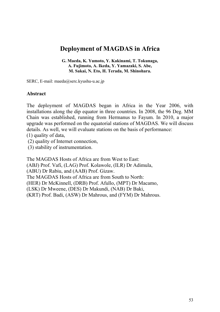## **Deployment of MAGDAS in Africa**

**G. Maeda, K. Yumoto, Y. Kakinami, T. Tokunaga, A. Fujimoto, A. Ikeda, Y. Yamazaki, S. Abe, M. Sakai, N. Eto, H. Terada, M. Shinohara.** 

SERC, E-mail: maeda@serc.kyushu-u.ac.jp

### **Abstract**

The deployment of MAGDAS began in Africa in the Year 2006, with installations along the dip equator in three countries. In 2008, the 96 Deg. MM Chain was established, running from Hermanus to Fayum. In 2010, a major upgrade was performed on the equatorial stations of MAGDAS. We will discuss details. As well, we will evaluate stations on the basis of performance:

(1) quality of data,

(2) quality of Internet connection,

(3) stability of instrumentation.

The MAGDAS Hosts of Africa are from West to East: (ABJ) Prof. Vafi, (LAG) Prof. Kolawole, (ILR) Dr Adimula, (ABU) Dr Rabiu, and (AAB) Prof. Gizaw. The MAGDAS Hosts of Africa are from South to North: (HER) Dr McKinnell, (DRB) Prof. Afullo, (MPT) Dr Macamo, (LSK) Dr Mweene, (DES) Dr Makundi, (NAB) Dr Baki, (KRT) Prof. Badi, (ASW) Dr Mahrous, and (FYM) Dr Mahrous.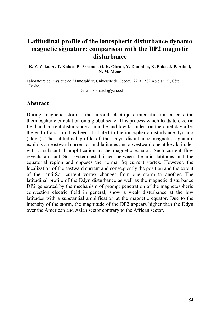## **Latitudinal profile of the ionospheric disturbance dynamo magnetic signature: comparison with the DP2 magnetic disturbance**

#### **K. Z. Zaka, A. T. Kobea, P. Assamoi, O. K. Obrou, V. Doumbia, K. Boka, J.-P. Adohi, N. M. Mene**

Laboratoire de Physique de l'Atmosphère, Université de Cocody, 22 BP 582 Abidjan 22, Côte d'Ivoire,

E-mail: komzach@yahoo.fr

### **Abstract**

During magnetic storms, the auroral electrojets intensification affects the thermospheric circulation on a global scale. This process which leads to electric field and current disturbance at middle and low latitudes, on the quiet day after the end of a storm, has been attributed to the ionospheric disturbance dynamo (Ddyn). The latitudinal profile of the Ddyn disturbance magnetic signature exhibits an eastward current at mid latitudes and a westward one at low latitudes with a substantial amplification at the magnetic equator. Such current flow reveals an "anti-Sq" system established between the mid latitudes and the equatorial region and opposes the normal Sq current vortex. However, the localization of the eastward current and consequently the position and the extent of the "anti-Sq" current vortex changes from one storm to another. The latitudinal profile of the Ddyn disturbance as well as the magnetic disturbance DP2 generated by the mechanism of prompt penetration of the magnetospheric convection electric field in general, show a weak disturbance at the low latitudes with a substantial amplification at the magnetic equator. Due to the intensity of the storm, the magnitude of the DP2 appears higher than the Ddyn over the American and Asian sector contrary to the African sector.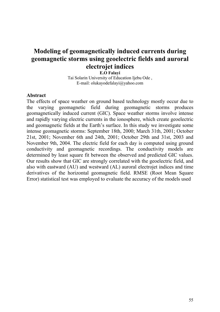## **Modeling of geomagnetically induced currents during geomagnetic storms using geoelectric fields and auroral electrojet indices**

**E.O Falayi** 

Tai Solarin University of Education Ijebu Ode , E-mail: olukayodefalayi@yahoo.com

### **Abstract**

The effects of space weather on ground based technology mostly occur due to the varying geomagnetic field during geomagnetic storms produces geomagnetically induced current (GIC). Space weather storms involve intense and rapidly varying electric currents in the ionosphere, which create geoelectric and geomagnetic fields at the Earth's surface. In this study we investigate some intense geomagnetic storms: September 18th, 2000; March 31th, 2001; October 21st, 2001; November 6th and 24th, 2001; October 29th and 31st, 2003 and November 9th, 2004. The electric field for each day is computed using ground conductivity and geomagnetic recordings. The conductivity models are determined by least square fit between the observed and predicted GIC values. Our results show that GIC are strongly correlated with the geoelectric field, and also with eastward (AU) and westward (AL) auroral electrojet indices and time derivatives of the horizontal geomagnetic field. RMSE (Root Mean Square Error) statistical test was employed to evaluate the accuracy of the models used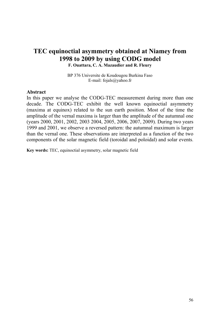# **TEC equinoctial asymmetry obtained at Niamey from 1998 to 2009 by using CODG model**

**F. Ouattara, C. A. Mazaudier and R. Fleury** 

BP 376 Universite de Koudougou Burkina Faso E-mail: [fojals@yahoo.fr](mailto:fojals@yahoo.fr)

#### **Abstract**

In this paper we analyse the CODG-TEC measurement during more than one decade. The CODG-TEC exhibit the well known equinoctial asymmetry (maxima at equinox) related to the sun earth position. Most of the time the amplitude of the vernal maxima is larger than the amplitude of the autumnal one (years 2000, 2001, 2002, 2003 2004, 2005, 2006, 2007, 2009). During two years 1999 and 2001, we observe a reversed pattern: the autumnal maximum is larger than the vernal one. These observations are interpreted as a function of the two components of the solar magnetic field (toroidal and poloidal) and solar events.

**Key words:** TEC, equinoctial asymmetry, solar magnetic field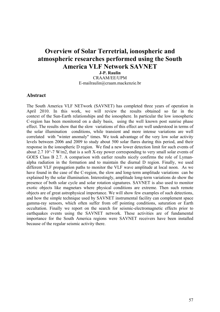## **Overview of Solar Terretrial, ionospheric and atmospheric researches performed using the South America VLF Network SAVNET**

**J-P. Raulin** 

CRAAM/EE/UPM [E-mailraulin@craam.mackenzie.br](mailto:E-mailraulin@craam.mackenzie.br) 

#### **Abstract**

The South America VLF NETwork (SAVNET) has completed three years of operation in April 2010. In this work, we will review the results obtained so far in the context of the Sun-Earth relationships and the ionosphere. In particular the low ionospheric C-region has been monitored on a daily basis, using the well known post sunrise phase effect. The results show that the slow variations of this effect are well understood in terms of the solar illumination conditions, while transient and more intense variations are well correlated with "winter anomaly" times. We took advantage of the very low solar activity levels between 2006 and 2009 to study about 500 solar flares during this period, and their response in the ionospheric D region. We find a new lower detection limit for such events of about 2.7 10 $^{\circ}$ -7 W/m2, that is a soft X-ray power corresponding to very small solar events of GOES Class B 2.7. A comparison with earlier results nicely confirms the role of Lymanalpha radiation in the formation and to maintain the diurnal D region. Finally, we used different VLF propagation paths to monitor the VLF wave amplitude at local noon. As we have found in the case of the C-region, the slow and long-term amplitude variations can be explained by the solar illumination. Interestingly, amplitude long-term variations do show the presence of both solar cycle and solar rotation signatures. SAVNET is also used to monitor exotic objects like magnetars where physical conditions are extreme. Then such remote objects are of great astrophysical importance. We will show few examples of such detections, and how the simple technique used by SAVNET instrumental facility can complement space gamma-ray sensors, which often suffer from off pointing conditions, saturation or Earth occultation. Finally we report on the search for seismic-electromagnetic effects prior to earthquakes events using the SAVNET network. These activities are of fundamental importance for the South America regions were SAVNET receivers have been installed because of the regular seismic activity there.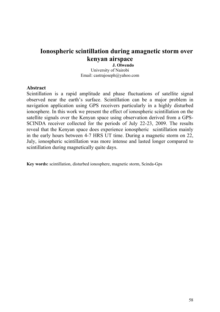## **Ionospheric scintillation during amagnetic storm over kenyan airspace**

**J. Olwendo** University of Nairobi Email: [castrajoseph@yahoo.com](mailto:castrajoseph@yahoo.com) 

#### **Abstract**

Scintillation is a rapid amplitude and phase fluctuations of satellite signal observed near the earth's surface. Scintillation can be a major problem in navigation application using GPS receivers particularly in a highly disturbed ionosphere. In this work we present the effect of ionospheric scintillation on the satellite signals over the Kenyan space using observation derived from a GPS-SCINDA receiver collected for the periods of July 22-23, 2009. The results reveal that the Kenyan space does experience ionospheric scintillation mainly in the early hours between 4-7 HRS UT time. During a magnetic storm on 22, July, ionospheric scintillation was more intense and lasted longer compared to scintillation during magnetically quite days.

**Key words:** scintillation, disturbed ionosphere, magnetic storm, Scinda-Gps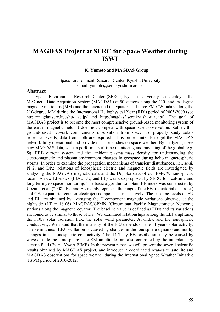## **MAGDAS Project at SERC for Space Weather during ISWI**

#### **K. Yumoto and MAGDAS Group**

Space Environment Research Center, Kyushu University E-mail: yumoto@serc.kyushu-u.ac.jp

#### **Abstract**

The Space Environment Research Center (SERC), Kyushu University has deployed the MAGnetic Data Acqusition System (MAGDAS) at 50 stations along the 210- and 96-degree magnetic meridians (MM) and the magnetic Dip equator, and three FM-CW radars along the 210-degree MM during the International Heliophysical Year (IHY) period of 2005-2009 (see http://magdas.serc.kyushu-u.ac.jp/ and http://magdas2.serc.kyushu-u.ac.jp/). The goal of MAGDAS project is to become the most comprehensive ground-based monitoring system of the earth's magnetic field. It does not compete with space-based observation. Rather, this ground-based network complements observation from space. To properly study solarterrestrial events, data from both are required. This project intends to get the MAGDAS network fully operational and provide data for studies on space weather. By analyzing these new MAGDAS data, we can perform a real-time monitoring and modeling of the global (e.g. Sq, EEJ) current system and the ambient plasma mass density for understanding the electromagnetic and plasma environment changes in geospace during helio-magnetospheric storms. In order to examine the propagation mechanisms of transient disturbances, i.e., sc/si, Pi 2, and DP2, relations of ionospheric electric and magnetic fields are investigated by analyzing the MAGDAS magnetic data and the Doppler data of our FM-CW ionospheric radar. A new EE-index (EDst, EU, and EL) was also proposed by SERC for real-time and long-term geo-space monitoring. The basic algorithm to obtain EE-index was constructed by Uozumi et al. (2008). EU and EL mainly represent the range of the EEJ (equatorial electrojet) and CEJ (equatorial counter electrojet) components, respectively. The baseline levels of EU and EL are obtained by averaging the H-component magnetic variations observed at the nightside (LT = 18-06) MAGDAS/CPMN (Circum-pan Pacific Magnetometer Network) stations along the magnetic equator. The baseline value is defined as EDst and its variations are found to be similar to those of Dst. We examined relationships among the EEJ amplitude, the F10.7 solar radiation flux, the solar wind parameter, Ap-index and the ionospheric conductivity. We found that the intensity of the EEJ depends on the 11-years solar activity. The semi-annual EEJ oscillation is caused by changes in the ionosphere dynamo and not by changes in the ionospheric conductivity. The 14.5-day EEJ oscillation may be caused by waves inside the atmosphere. The EEJ amplitudes are also controlled by the interplanetary electric field (Ey =  $\sim$  Vsw x BIMF). In the present paper, we will present the several scientific results obtained by MAGDAS project, and introduce a coordinated near-earth satellite and MAGDAS observations for space weather during the International Space Weather Initiative (ISWI) period of 2010-2012.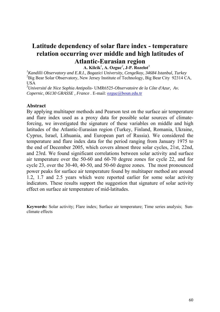# **Latitude dependency of solar flare index - temperature relation occurring over middle and high latitudes of Atlantic-Eurasian region**

**A. Kilcik***<sup>1</sup>* **, A. Ozguc***<sup>2</sup>* **, J-P. Rozelot***<sup>3</sup>*

*1 Kandilli Observatory and E.R.I., Bogazici University, Cengelkoy, 34684 Istanbul, Turkey* <sup>2</sup>Big Bear Solar Observatory, New Jersey Institute of Technology, Big Bear City 92314 CA, **USA** 

*3 Université de Nice Sophia Antipolis-* UMR6525-*Observatoire de la Côte d'Azur, Av. Copernic, 06130 GRASSE , France* . E-mail: [ozguc@boun.edu.tr](mailto:ozguc@boun.edu.tr)

#### **Abstract**

By applying multitaper methods and Pearson test on the surface air temperature and flare index used as a proxy data for possible solar sources of climateforcing, we investigated the signature of these variables on middle and high latitudes of the Atlantic-Eurasian region (Turkey, Finland, Romania, Ukraine, Cyprus, Israel, Lithuania, and European part of Russia). We considered the temperature and flare index data for the period ranging from January 1975 to the end of December 2005, which covers almost three solar cycles, 21st, 22nd, and 23rd. We found significant correlations between solar activity and surface air temperature over the 50-60 and 60-70 degree zones for cycle 22, and for cycle 23, over the 30-40, 40-50, and 50-60 degree zones. The most pronounced power peaks for surface air temperature found by multitaper method are around 1.2, 1.7 and 2.5 years which were reported earlier for some solar activity indicators. These results support the suggestion that signature of solar activity effect on surface air temperature of mid-latitudes.

**Keywords:** Solar activity; Flare index; Surface air temperature; Time series analysis; Sunclimate effects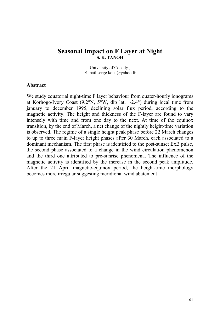### **Seasonal Impact on F Layer at Night S. K. TANOH**

University of Cocody , E-mail:serge.koua@yahoo.fr

#### **Abstract**

We study equatorial night-time F layer behaviour from quater-hourly ionograms at Korhogo/Ivory Coast (9.2°N, 5°W, dip lat. -2.4°) during local time from january to december 1995, declining solar flux period, according to the magnetic activity. The height and thickness of the F-layer are found to vary intensely with time and from one day to the next. At time of the equinox transition, by the end of March, a net change of the nightly height-time variation is observed. The regime of a single height peak phase before 22 March changes to up to three main F-layer height phases after 30 March, each associated to a dominant mechanism. The first phase is identified to the post-sunset ExB pulse, the second phase associated to a change in the wind circulation phenomenon and the third one attributed to pre-sunrise phenomena. The influence of the magnetic activity is identified by the increase in the second peak amplitude. After the 21 April magnetic-equinox period, the height-time morphology becomes more irregular suggesting meridional wind abatement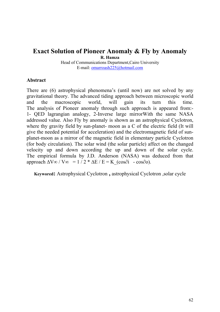# **Exact Solution of Pioneer Anomaly & Fly by Anomaly**

**R. Hamza** 

Head of Communications Department,Cairo University E-mail: [omarroash225@hotmail.com](mailto:omarroash225@hotmail.com)

#### **Abstract**

There are (6) astrophysical phenomena's (until now) are not solved by any gravitational theory. The advanced tiding approach between microscopic world and the macroscopic world, will gain its turn this time. The analysis of Pioneer anomaly through such approach is appeared from:- 1- QED lagrangian analogy, 2-Inverse large mirrorWith the same NASA addressed value. Also Fly by anomaly is shown as an astrophysical Cyclotron, where thy gravity field by sun-planet- moon as a C of the electric field (It will give the needed potential for acceleration) and the electromagnetic field of sunplanet-moon as a mirror of the magnetic field in elementary particle Cyclotron (for body circulation). The solar wind (the solar particle) affect on the changed velocity up and down according the up and down of the solar cycle. The empirical formula by J.D. Anderson (NASA) was deduced from that approach  $\Delta V \infty / V \infty = 1 / 2 * \Delta E / E = K (\cos \partial i - \cos \partial \partial).$ 

**Keywored:** Astrophysical Cyclotron **,** astrophysical Cyclotron ,solar cycle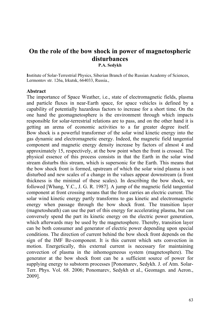## **On the role of the bow shock in power of magnetospheric disturbances P.A. Sedykh**

**I**nstitute of Solar-Terrestrial Physics, Siberian Branch of the Russian Academy of Sciences, Lermontov str. 126a, Irkutsk, 664033, Russia.,

### **Abstract**

The importance of Space Weather, i.e., state of electromagnetic fields, plasma and particle fluxes in near-Earth space, for space vehicles is defined by a capability of potentially hazardous factors to increase for a short time. On the one hand the geomagnetosphere is the environment through which impacts responsible for solar-terrestrial relations are to pass, and on the other hand it is getting an arena of economic activities to a far greater degree itself. Bow shock is a powerful transformer of the solar wind kinetic energy into the gas dynamic and electromagnetic energy. Indeed, the magnetic field tangential component and magnetic energy density increase by factors of almost 4 and approximately 15, respectively, at the bow point when the front is crossed. The physical essence of this process consists in that the Earth in the solar wind stream disturbs this stream, which is supersonic for the Earth. This means that the bow shock front is formed, upstream of which the solar wind plasma is not disturbed and new scales of a change in the values appear downstream (a front thickness is the minimal of these scales). In describing the bow shock, we followed [Whang, Y.C., J. G. R. 1987]. A jump of the magnetic field tangential component at front crossing means that the front carries an electric current. The solar wind kinetic energy partly transforms to gas kinetic and electromagnetic energy when passage through the bow shock front. The transition layer (magnetosheath) can use the part of this energy for accelerating plasma, but can conversely spend the part its kinetic energy on the electric power generation, which afterwards may be used by the magnetosphere. Thereby, transition layer can be both consumer and generator of electric power depending upon special conditions. The direction of current behind the bow shock front depends on the sign of the IMF Bz-component. It is this current which sets convection in motion. Energetically, this external current is necessary for maintaining convection of plasma in the inhomogeneous system (magnetosphere). The generator at the bow shock front can be a sufficient source of power for supplying energy to substorm processes [Ponomarev, Sedykh. J. of Atm. Solar-Terr. Phys. Vol. 68. 2006; Ponomarev, Sedykh et al., Geomagn. and Aeron., 2009].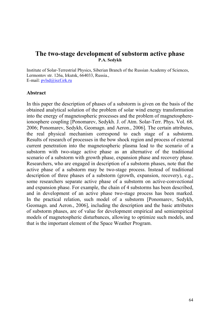## **The two-stage development of substorm active phase P.A. Sedykh**

Institute of Solar-Terrestrial Physics, Siberian Branch of the Russian Academy of Sciences, Lermontov str. 126a, Irkutsk, 664033, Russia., E-mail: [pvlsd@iszf.irk.ru](mailto:pvlsd@iszf.irk.ru)

### **Abstract**

In this paper the description of phases of a substorm is given on the basis of the obtained analytical solution of the problem of solar wind energy transformation into the energy of magnetospheric processes and the problem of magnetosphereionosphere coupling [Ponomarev, Sedykh. J. of Atm. Solar-Terr. Phys. Vol. 68. 2006; Ponomarev, Sedykh, Geomagn. and Aeron., 2006]. The certain attributes, the real physical mechanism correspond to each stage of a substorm. Results of research of processes in the bow shock region and process of external current penetration into the magnetospheric plasma lead to the scenario of a substorm with two-stage active phase as an alternative of the traditional scenario of a substorm with growth phase, expansion phase and recovery phase. Researchers, who are engaged in description of a substorm phases, note that the active phase of a substorm may be two-stage process. Instead of traditional description of three phases of a substorm (growth, expansion, recovery), e.g., some researchers separate active phase of a substorm on active-convectional and expansion phase. For example, the chain of 4 substorms has been described, and in development of an active phase two-stage process has been marked. In the practical relation, such model of a substorm [Ponomarev, Sedykh, Geomagn. and Aeron., 2006], including the description and the basic attributes of substorm phases, are of value for development empirical and semiempirical models of magnetospheric disturbances, allowing to optimize such models, and that is the important element of the Space Weather Program.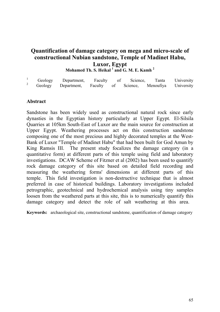## **Quantification of damage category on mega and micro-scale of constructional Nubian sandstone, Temple of Madinet Habu, Luxor, Egypt Mohamed Th. S. Heikal <sup>1</sup> and G. M. E. Kamh <sup>2</sup>**

| Geology | Department,                                                  |  | Faculty of Science, | Tanta | University |
|---------|--------------------------------------------------------------|--|---------------------|-------|------------|
|         | Geology Department, Faculty of Science, Menoufiya University |  |                     |       |            |

### **Abstract**

Sandstone has been widely used as constructional natural rock since early dynasties in the Egyptian history particularly at Upper Egypt. El-Silsila Quarries at 105km South-East of Luxor are the main source for construction at Upper Egypt. Weathering processes act on this construction sandstone composing one of the most precious and highly decorated temples at the West-Bank of Luxor "Temple of Madinet Habu" that had been built for God Amun by King Ramsis III. The present study focalizes the damage category (in a quantitative form) at different parts of this temple using field and laboratory investigations. DCAW Scheme of Fitzner et al (2002) has been used to quantify rock damage category of this site based on detailed field recording and measuring the weathering forms' dimensions at different parts of this temple. This field investigation is non-destructive technique that is almost preferred in case of historical buildings. Laboratory investigations included petrographic, geotechnical and hydrochemical analysis using tiny samples loosen from the weathered parts at this site, this is to numerically quantify this damage category and detect the role of salt weathering at this area.

**Keywords:** archaeological site, constructional sandstone, quantification of damage category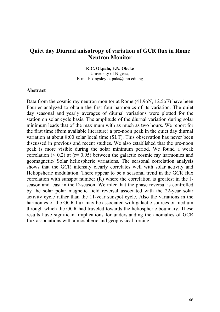### **Quiet day Diurnal anisotropy of variation of GCR flux in Rome Neutron Monitor**

**K.C. Okpala, F.N. Okeke** 

University of Nigeria, E-mail: [kingsley.okpala@unn.edu.ng](mailto:kingsley.okpala@unn.edu.ng)

#### **Abstract**

Data from the cosmic ray neutron monitor at Rome (41.9oN, 12.5oE) have been Fourier analyzed to obtain the first four harmonics of its variation. The quiet day seasonal and yearly averages of diurnal variations were plotted for the station on solar cycle basis. The amplitude of the diurnal variation during solar minimum leads that of the maximum with as much as two hours. We report for the first time (from available literature) a pre-noon peak in the quiet day diurnal variation at about 8:00 solar local time (SLT). This observation has never been discussed in previous and recent studies. We also established that the pre-noon peak is more visible during the solar minimum period. We found a weak correlation  $(< 0.2$ ) at  $(r= 0.95)$  between the galactic cosmic ray harmonics and geomagnetic/ Solar heliospheric variations. The seasonal correlation analysis shows that the GCR intensity clearly correlates well with solar activity and Heliopsheric modulation. There appear to be a seasonal trend in the GCR flux correlation with sunspot number (R) where the correlation is greatest in the Jseason and least in the D-season. We infer that the phase reversal is controlled by the solar polar magnetic field reversal associated with the 22-year solar activity cycle rather than the 11-year sunspot cycle. Also the variations in the harmonics of the GCR flux may be associated with galactic sources or medium through which the GCR had traveled towards the heliospheric boundary. These results have significant implications for understanding the anomalies of GCR flux associations with atmospheric and geophysical forcing.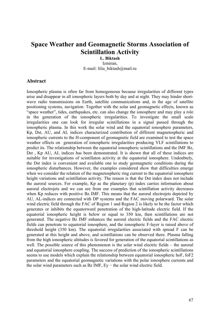## **Space Weather and Geomagnetic Storms Association of Scintillation Activity**

**L. Biktash**  Izmiran, E-mail: [lilia\\_biktash@mail.ru](mailto:lilia_biktash@mail.ru)

#### **Abstract**

Ionospheric plasma is often far from homogeneous because irregularities of different types arise and disappear in all ionospheric layers both by day and at night. They may hinder shortwave radio transmissions on Earth, satellite communications and, in the age of satellite positioning systems, navigation. Together with the solar and geomagnetic effects, known as "space weather", tides, earthquakes, etc. can also change the ionosphere and may play a role in the generation of the ionospheric irregularities. To investigate the small scale irregularities one can look for irregular scintillations in a signal passed through the ionospheric plasma. In this work the solar wind and the equatorial ionosphere parameters, Kp, Dst, AU, and AL indices characterized contribution of different magnetospheric and ionospheric currents to the H-component of geomagnetic field are examined to test the space weather effects on generation of ionospheric irregularities producing VLF scintillations to predict its. The relationship between the equatorial ionospheric scintillations and the IMF Bz, Dst , Kp AU, AL indices has been demonstrated. It is shown that all of these indices are suitable for investigations of scintillaton activity at the equatorial ionosphere. Undoubtely, the Dst index is convenient and available one to study geomagnetic conditions during the ionospheric disturbances. However, the examples considered show that difficulties emerge when we consider the relation of the magnetospheric ring current to the equatorial ionosphere height variations and scintillation activity. The reason is that the Dst index does not include the auroral sources. For example, Kp as the planetary (p) index carries information about auroral electrojets and we can see from our examples that scintillation activity decreases when Kp reduces with positive Bz IMF. This means that the auroral electrojets depicted by AU, AL-indices are connected with DP systems and the FAC moving polarward. The solar wind electric field through the FAC of Region 1 and Region 2 is likely to be the factor which generates or inhibits the equatorward penetration of the high-latitude electric field. If the equatorial ionospheric height is below or equal to 350 km, then scintillations are not generated. The negative Bz IMF enhances the auroral electric fields and the FAC electric fields can penetrate to equatorial ionosphere, and the ionospheric F-layer is raised above of threshold height (350 km). The equatorial irregularities associated with spread F can be generated at this height and above, and scintillations can be observed there. Plasma falling from the high ionospheric altitudes is favored for generation of the equatorial scintillations as well. The possible source of this phenomenon is the solar wind electric fields – the auroral and equatorial ionosphere coupling. The success of prediction of the ionospheric scintillations seems to use models which explain the relationship between equatorial ionospheric hoF, foF2 parameters and the equatorial geomagnetic variations with the polar ionosphere currents and the solar wind parameters such as Bz IMF, Ey − the solar wind electric field.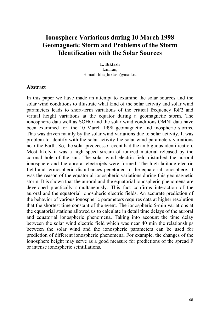# **Ionosphere Variations during 10 March 1998 Geomagnetic Storm and Problems of the Storm Identification with the Solar Sources**

**L. Biktash**  Izmiran, E-mail: [lilia\\_biktash@mail.ru](mailto:lilia_biktash@mail.ru)

#### **Abstract**

In this paper we have made an attempt to examine the solar sources and the solar wind conditions to illustrate what kind of the solar activity and solar wind parameters leads to short-term variations of the critical frequency foF2 and virtual height variations at the equator during a geomagnetic storm. The ionospheric data well as SOHO and the solar wind conditions OMNI data have been examined for the 10 March 1998 geomagnetic and inospheric storms. This was driven mainly by the solar wind variations due to solar activity. It was problem to identify with the solar activity the solar wind parameters variations near the Earth. So, the solar predecessor event had the ambiguous identification. Most likely it was a high speed stream of ionized material released by the coronal hole of the sun. The solar wind electric field disturbed the auroral ionosphere and the auroral electrojets were formed. The high-latitude electric field and termospheric disturbances penetrated to the equatorial ionosphere. It was the reason of the equatorial ionospheric variations during this geomagnetic storm. It is shown that the auroral and the equatorial ionospheric phenomena are developed practically simultaneously. This fact confirms interaction of the auroral and the equatorial ionospheric electric fields. An accurate prediction of the behavior of various ionospheric parameters requires data at higher resolution that the shortest time constant of the event. The ionospheric 5-min variations at the equatorial stations allowed us to calculate in detail time delays of the auroral and equatorial ionospheric phenomena. Taking into account the time delay between the solar wind electric field which was near 40 min the relationships between the solar wind and the ionospheric parameters can be used for prediction of different ionospheric phenomena. For example, the changes of the ionosphere height may serve as a good measure for predictions of the spread F or intense ionospheric scintillations.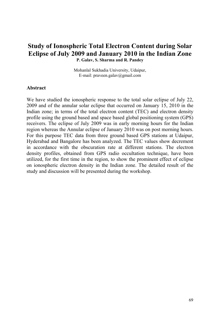## **Study of Ionospheric Total Electron Content during Solar Eclipse of July 2009 and January 2010 in the Indian Zone P. Galav, S. Sharma and R. Pandey**

Mohanlal Sukhadia University, Udaipur, E-mail: praveen.galav@gmail.com

#### **Abstract**

We have studied the ionospheric response to the total solar eclipse of July 22, 2009 and of the annular solar eclipse that occurred on January 15, 2010 in the Indian zone; in terms of the total electron content (TEC) and electron density profile using the ground based and space based global positioning system (GPS) receivers. The eclipse of July 2009 was in early morning hours for the Indian region whereas the Annular eclipse of January 2010 was on post morning hours. For this purpose TEC data from three ground based GPS stations at Udaipur, Hyderabad and Bangalore has been analyzed. The TEC values show decrement in accordance with the obscuration rate at different stations. The electron density profiles, obtained from GPS radio occultation technique, have been utilized, for the first time in the region, to show the prominent effect of eclipse on ionospheric electron density in the Indian zone. The detailed result of the study and discussion will be presented during the workshop.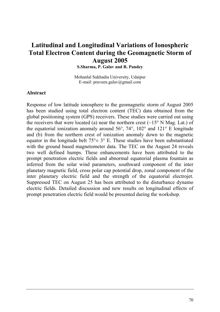# **Latitudinal and Longitudinal Variations of Ionospheric Total Electron Content during the Geomagnetic Storm of August 2005**

**S.Sharma, P. Galav and R. Pandey** 

Mohanlal Sukhadia University, Udaipur E-mail: praveen.galav@gmail.com

#### **Abstract**

Response of low latitude ionosphere to the geomagnetic storm of August 2005 has been studied using total electron content (TEC) data obtained from the global positioning system (GPS) receivers. These studies were carried out using the receivers that were located (a) near the northern crest ( $\sim$ 15° N Mag. Lat.) of the equatorial ionization anomaly around 56°, 74°, 102° and 121° E longitude and (b) from the northern crest of ionization anomaly down to the magnetic equator in the longitude belt  $75^{\circ} \pm 3^{\circ}$  E. These studies have been substantiated with the ground based magnetometer data. The TEC on the August 24 reveals two well defined humps. These enhancements have been attributed to the prompt penetration electric fields and abnormal equatorial plasma fountain as inferred from the solar wind parameters, southward component of the inter planetary magnetic field, cross polar cap potential drop, zonal component of the inter planetary electric field and the strength of the equatorial electrojet. Suppressed TEC on August 25 has been attributed to the disturbance dynamo electric fields. Detailed discussion and new results on longitudinal effects of prompt penetration electric field would be presented during the workshop.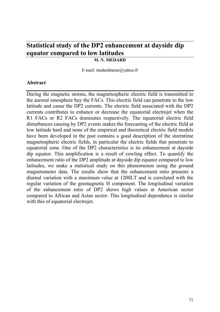# **Statistical study of the DP2 enhancement at dayside dip equator compared to low latitudes**

### **M. N. MEDARD**

E-mail: medardmene@yahoo.fr

#### **Abstract**

During the magnetic storms, the magnetospheric electric field is transmitted to the auroral ionosphere buy the FACs. This electric field can penetrate to the low latitude and cause the DP2 currents. The electric field associated with the DP2 currents contributes to enhance or decrease the equatorial electrojet when the R1 FACs or R2 FACs dominates respectively. The equatorial electric field disturbances causing by DP2 events makes the forecasting of the electric field at low latitude hard and none of the empirical and theoretical electric field models have been developed in the past contains a good description of the stormtime magnetospheric electric fields, in particular the electric fields that penetrate to equatorial zone. One of the DP2 characteristics is its enhancement at dayside dip equator. This amplification is a result of cowling effect. To quantify the enhancement ratio of the DP2 amplitude at dayside dip equator compared to low latitudes, we make a statistical study on this phenomenon using the ground magnetometer data. The results show that the enhancement ratio presents a diurnal variation with a maximum value at 1200LT and is correlated with the regular variation of the geomagnetic H component. The longitudinal variation of the enhancement ratio of DP2 shows high values at American sector compared to African and Asian sector. This longitudinal dependence is similar with this of equatorial electrojet.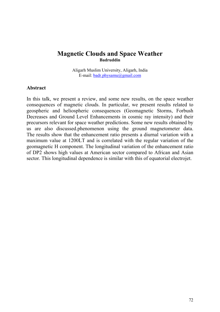## **Magnetic Clouds and Space Weather Badruddin**

Aligarh Muslim University, Aligarh, India E-mail: [badr.physamu@gmail.com](mailto:badr.physamu@gmail.com)

#### **Abstract**

In this talk, we present a review, and some new results, on the space weather consequences of magnetic clouds. In particular, we present results related to geospheric and heliospheric consequences (Geomagnetic Storms, Forbush Decreases and Ground Level Enhancements in cosmic ray intensity) and their precursors relevant for space weather predictions. Some new results obtained by us are also discussed.phenomenon using the ground magnetometer data. The results show that the enhancement ratio presents a diurnal variation with a maximum value at 1200LT and is correlated with the regular variation of the geomagnetic H component. The longitudinal variation of the enhancement ratio of DP2 shows high values at American sector compared to African and Asian sector. This longitudinal dependence is similar with this of equatorial electrojet.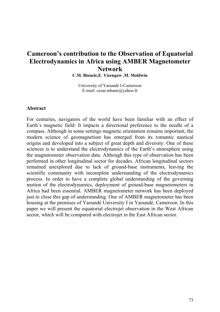# **Cameroon's contribution to the Observation of Equatorial Electrodynamics in Africa using AMBER Magnetometer Network**

**C.M. Biouele,E. Yizengaw ,M. Moldwin**

University of Yaoundé I-Cameroon E-mail: cesar.mbane@yahoo.fr

#### **Abstract**

For centuries, navigators of the world have been familiar with an effect of Earth's magnetic field: It impacts a directional preference to the needle of a compass. Although in some settings magnetic orientation remains important, the modern science of geomagnetism has emerged from its romantic nautical origins and developed into a subject of great depth and diversity. One of these sciences is to understand the electrodynamics of the Earth's atmosphere using the magnetometer observation data. Although this type of observation has been performed in other longitudinal sector for decades. African longitudinal sectors remained unexplored due to lack of ground-base instruments, leaving the scientific community with incomplete understanding of the electrodynamics process. In order to have a complete global understanding of the governing motion of the electrodynamics, deployment of ground-base magnetometers in Africa had been essential. AMBER magnetometer network has been deployed just to close this gap of understanding. One of AMBER magnetometer has been housing at the premises of Yaoundé University I in Yaoundé, Cameroon. In this paper we will present the equatorial electrojet observation in the West African sector, which will be compared with electrojet in the East African sector.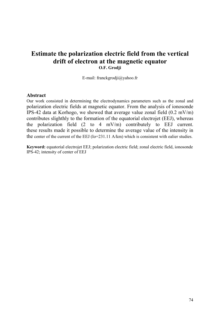## **Estimate the polarization electric field from the vertical drift of electron at the magnetic equator O.F. Grodji**

E-mail: franckgrodji@yahoo.fr

#### **Abstract**

Our work consisted in determining the electrodynamics parameters such as the zonal and polarization electric fields at magnetic equator. From the analysis of ionosonde IPS-42 data at Korhogo, we showed that average value zonal field (0.2 mV/m) contributes slighthly to the formation of the equatorial electrojet (EEJ), whereas the polarization field (2 to 4 mV/m) contributely to EEJ current. these results made it possible to determine the average value of the intensity in the center of the current of the EEJ (Io=231.11 A/km) which is consistent with ealier studies.

**Keyword:** equatorial electrojet EEJ; polarization electric field; zonal electric field, ionosonde IPS-42; intensity of center of EEJ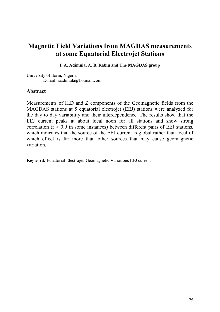# **Magnetic Field Variations from MAGDAS measurements at some Equatorial Electrojet Stations**

**I. A. Adimula, A. B. Rabiu and The MAGDAS group** 

University of Ilorin, Nigeria E-mail: iaadimula@hotmail.com

### **Abstract**

Measurements of H,D and Z components of the Geomagnetic fields from the MAGDAS stations at 5 equatorial electrojet (EEJ) stations were analyzed for the day to day variability and their interdependence. The results show that the EEJ current peaks at about local noon for all stations and show strong correlation ( $r > 0.9$  in some instances) between different pairs of EEJ stations, which indicates that the source of the EEJ current is global rather than local of which effect is far more than other sources that may cause geomagnetic variation.

**Keyword:** Equatorial Electrojet, Geomagnetic Variations EEJ current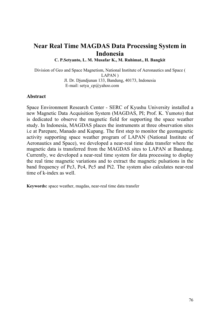# **Near Real Time MAGDAS Data Processing System in Indonesia**

**C. P.Setyanto, L. M. Musafar K., M. Ruhimat., H. Bangkit** 

Division of Geo and Space Magnetism, National Institute of Aeronautics and Space ( LAPAN ) Jl. Dr. Djundjunan 133, Bandung, 40173, Indonesia E-mail: setya\_cp@yahoo.com

#### **Abstract**

Space Environment Research Center - SERC of Kyushu University installed a new Magnetic Data Acquisition System (MAGDAS, PI; Prof. K. Yumoto) that is dedicated to observe the magnetic field for supporting the space weather study. In Indonesia, MAGDAS places the instruments at three observation sites i.e at Parepare, Manado and Kupang. The first step to monitor the geomagnetic activity supporting space weather program of LAPAN (National Institute of Aeronautics and Space), we developed a near-real time data transfer where the magnetic data is transferred from the MAGDAS sites to LAPAN at Bandung. Currently, we developed a near-real time system for data processing to display the real time magnetic variations and to extract the magnetic pulsations in the band frequency of Pc3, Pc4, Pc5 and Pi2. The system also calculates near-real time of k-index as well.

**Keywords:** space weather, magdas, near-real time data transfer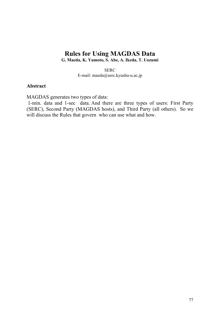# **Rules for Using MAGDAS Data**

**G. Maeda, K. Yumoto, S. Abe, A. Ikeda, T. Uozumi** 

**SERC** E-mail: maeda@serc.kyushu-u.ac.jp

#### **Abstract**

MAGDAS generates two types of data:

 1-min. data and 1-sec data. And there are three types of users: First Party (SERC), Second Party (MAGDAS hosts), and Third Party (all others). So we will discuss the Rules that govern who can use what and how.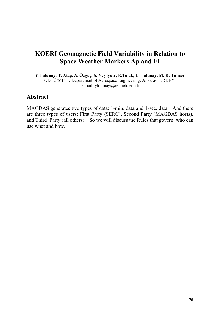# **KOERI Geomagnetic Field Variability in Relation to Space Weather Markers Ap and FI**

**Y.Tulunay, T. Ataç, A. Özgüç, S. Yeşilyutr, E.Tolak, E. Tulunay, M. K. Tuncer**  ODTÜ/METU Department of Aerospace Engineering, Ankara-TURKEY, E-mail: ytulunay@ae.metu.edu.tr

### **Abstract**

MAGDAS generates two types of data: 1-min. data and 1-sec. data. And there are three types of users: First Party (SERC), Second Party (MAGDAS hosts), and Third Party (all others). So we will discuss the Rules that govern who can use what and how.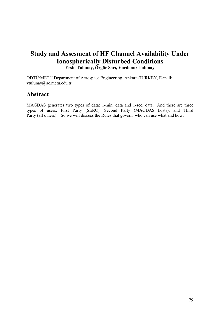## **Study and Assesment of HF Channel Availability Under Ionospherically Disturbed Conditions Ersin Tulunay, Özgür Sarı, Yurdanur Tulunay**

ODTÜ/METU Department of Aerospace Engineering, Ankara-TURKEY, E-mail: ytulunay@ae.metu.edu.tr

## **Abstract**

MAGDAS generates two types of data: 1-min. data and 1-sec. data. And there are three types of users: First Party (SERC), Second Party (MAGDAS hosts), and Third Party (all others). So we will discuss the Rules that govern who can use what and how.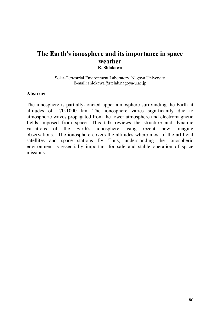## **The Earth's ionosphere and its importance in space weather K. Shiokawa**

#### Solar-Terrestrial Environment Laboratory, Nagoya University E-mail: shiokawa@stelab.nagoya-u.ac.jp

### **Abstract**

The ionosphere is partially-ionized upper atmosphere surrounding the Earth at altitudes of  $\sim$ 70-1000 km. The ionosphere varies significantly due to atmospheric waves propagated from the lower atmosphere and electromagnetic fields imposed from space. This talk reviews the structure and dynamic variations of the Earth's ionosphere using recent new imaging observations. The ionosphere covers the altitudes where most of the artificial satellites and space stations fly. Thus, understanding the ionospheric environment is essentially important for safe and stable operation of space missions.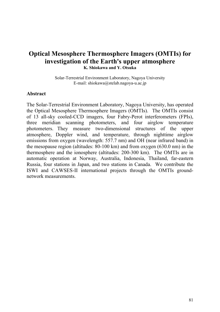## **Optical Mesosphere Thermosphere Imagers (OMTIs) for investigation of the Earth's upper atmosphere K. Shiokawa and Y. Otsuka**

Solar-Terrestrial Environment Laboratory, Nagoya University E-mail: shiokawa@stelab.nagoya-u.ac.jp

### **Abstract**

The Solar-Terrestrial Environment Laboratory, Nagoya University, has operated the Optical Mesosphere Thermosphere Imagers (OMTIs). The OMTIs consist of 13 all-sky cooled-CCD imagers, four Fabry-Perot interferometers (FPIs), three meridian scanning photometers, and four airglow temperature photometers. They measure two-dimensional structures of the upper atmosphere, Doppler wind, and temperature, through nighttime airglow emissions from oxygen (wavelength: 557.7 nm) and OH (near infrared band) in the mesopause region (altitudes: 80-100 km) and from oxygen (630.0 nm) in the thermosphere and the ionosphere (altitudes: 200-300 km). The OMTIs are in automatic operation at Norway, Australia, Indonesia, Thailand, far-eastern Russia, four stations in Japan, and two stations in Canada. We contribute the ISWI and CAWSES-II international projects through the OMTIs groundnetwork measurements.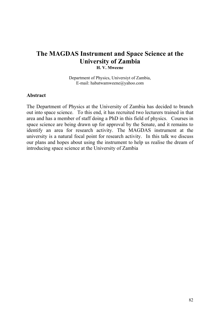## **The MAGDAS Instrument and Space Science at the University of Zambia H. V. Mweene**

Department of Physics, Universiyt of Zambia, E-mail: habatwamweene@yahoo.com

#### **Abstract**

The Department of Physics at the University of Zambia has decided to branch out into space science. To this end, it has recruited two lecturers trained in that area and has a member of staff doing a PhD in this field of physics. Courses in space science are being drawn up for approval by the Senate, and it remains to identify an area for research activity. The MAGDAS instrument at the university is a natural focal point for research activity. In this talk we discuss our plans and hopes about using the instrument to help us realise the dream of introducing space science at the University of Zambia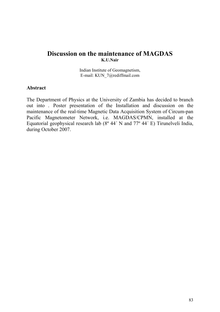## **Discussion on the maintenance of MAGDAS K.U.Nair**

Indian Institute of Geomagnetism, E-mail: KUN\_7@rediffmail.com

#### **Abstract**

The Department of Physics at the University of Zambia has decided to branch out into . Poster presentation of the Installation and discussion on the maintenance of the real-time Magnetic Data Acquisition System of Circum-pan Pacific Magnetometer Network, i.e. MAGDAS/CPMN, installed at the Equatorial geophysical research lab (8º 44´ N and 77º 44´ E) Tirunelveli India, during October 2007.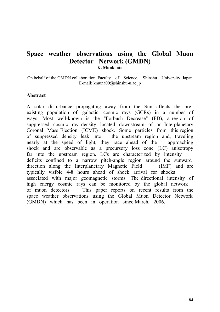## **Space weather observations using the Global Muon Detector Network (GMDN) K. Munkaata**

On behalf of the GMDN collaboration, Faculty of Science, Shinshu University, Japan E-mail: kmuna00@shinshu-u.ac.jp

### **Abstract**

A solar disturbance propagating away from the Sun affects the preexisting population of galactic cosmic rays (GCRs) in a number of ways. Most well-known is the "Forbush Decrease" (FD), a region of suppressed cosmic ray density located downstream of an Interplanetary Coronal Mass Ejection (ICME) shock. Some particles from this region of suppressed density leak into the upstream region and, traveling nearly at the speed of light, they race ahead of the approaching shock and are observable as a precursory loss cone (LC) anisotropy far into the upstream region. LCs are characterized by intensity deficits confined to a narrow pitch-angle region around the sunward direction along the Interplanetary Magnetic Field (IMF) and are typically visible 4-8 hours ahead of shock arrival for shocks associated with major geomagnetic storms. The directional intensity of high energy cosmic rays can be monitored by the global network of muon detectors. This paper reports on recent results from the space weather observations using the Global Muon Detector Network (GMDN) which has been in operation since March, 2006.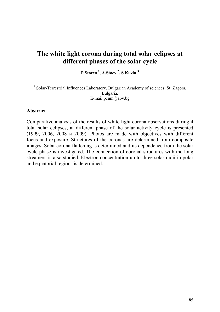# **The white light corona during total solar eclipses at different phases of the solar cycle**

**P.Stoeva 1, A.Stoev 2 , S.Kuzin <sup>3</sup>**

<sup>1</sup> Solar-Terrestrial Influences Laboratory, Bulgarian Academy of sciences, St. Zagora, Bulgaria, E-mail:penm@abv.bg

### **Abstract**

Comparative analysis of the results of white light corona observations during 4 total solar eclipses, at different phase of the solar activity cycle is presented (1999, 2006, 2008 и 2009). Photos are made with objectives with different focus and exposure. Structures of the coronas are determined from composite images. Solar corona flattening is determined and its dependence from the solar cycle phase is investigated. The connection of coronal structures with the long streamers is also studied. Electron concentration up to three solar radii in polar and equatorial regions is determined.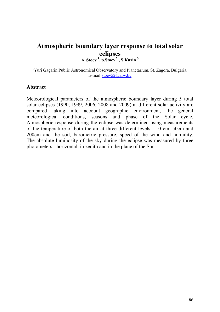# **Atmospheric boundary layer response to total solar eclipses**

**A. Stoev <sup>1</sup> , p.Stoev.2 , S.Kuzin 3**

<sup>1</sup>Yuri Gagarin Public Astronomical Observatory and Planetarium, St. Zagora, Bulgaria, E-mail[:stoev52@abv.bg](mailto:stoev52@abv.bg)

#### **Abstract**

Meteorological parameters of the atmospheric boundary layer during 5 total solar eclipses (1990, 1999, 2006, 2008 and 2009) at different solar activity are compared taking into account geographic environment, the general meteorological conditions, seasons and phase of the Solar cycle. Atmospheric response during the eclipse was determined using measurements of the temperature of both the air at three different levels - 10 cm, 50cm and 200cm and the soil, barometric pressure, speed of the wind and humidity. The absolute luminosity of the sky during the eclipse was measured by three photometers - horizontal, in zenith and in the plane of the Sun.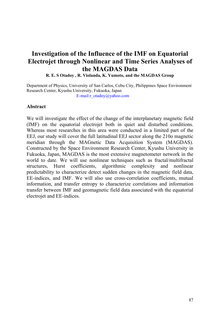# **Investigation of the Influence of the IMF on Equatorial Electrojet through Nonlinear and Time Series Analyses of the MAGDAS Data**

**R. E. S Otadoy , R. Violanda, K. Yumoto, and the MAGDAS Group**

Department of Physics, University of San Carlos, Cebu City, Philippines Space Environment Research Center, Kyushu University, Fukuoka, Japan<br>E-mail:r\_otadoy@yahoo.com

### **Abstract**

We will investigate the effect of the change of the interplanetary magnetic field (IMF) on the equatorial electrojet both in quiet and disturbed conditions. Whereas most researches in this area were conducted in a limited part of the EEJ, our study will cover the full latitudinal EEJ sector along the 210o magnetic meridian through the MAGnetic Data Acquisition System (MAGDAS). Constructed by the Space Environment Research Center, Kyushu University in Fukuoka, Japan, MAGDAS is the most extensive magnetometer network in the world to date. We will use nonlinear techniques such as fractal/multifractal structures, Hurst coefficients, algorithmic complexity and nonlinear predictability to characterize detect sudden changes in the magnetic field data, EE-indices, and IMF. We will also use cross-correlation coefficients, mutual information, and transfer entropy to characterize correlations and information transfer between IMF and geomagnetic field data associated with the equatorial electrojet and EE-indices.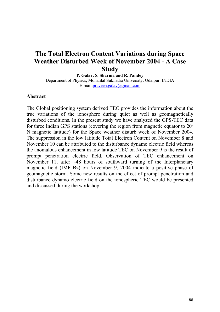# **The Total Electron Content Variations during Space Weather Disturbed Week of November 2004 - A Case Study**

**P. Galav, S. Sharma and R. Pandey**  Department of Physics, Mohanlal Sukhadia University, Udaipur, INDIA E-mail[:praveen.galav@gmail.com](mailto:praveen.galav@gmail.com)

#### **Abstract**

The Global positioning system derived TEC provides the information about the true variations of the ionosphere during quiet as well as geomagnetically disturbed conditions. In the present study we have analyzed the GPS-TEC data for three Indian GPS stations (covering the region from magnetic equator to 20º N magnetic latitude) for the Space weather disturb week of November 2004. The suppression in the low latitude Total Electron Content on November 8 and November 10 can be attributed to the disturbance dynamo electric field whereas the anomalous enhancement in low latitude TEC on November 9 is the result of prompt penetration electric field. Observation of TEC enhancement on November 11, after  $\sim$  48 hours of southward turning of the Interplanetary magnetic field (IMF Bz) on November 9, 2004 indicate a positive phase of geomagnetic storm. Some new results on the effect of prompt penetration and disturbance dynamo electric field on the ionospheric TEC would be presented and discussed during the workshop.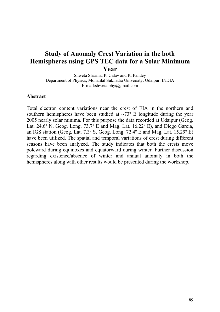# **Study of Anomaly Crest Variation in the both Hemispheres using GPS TEC data for a Solar Minimum Year**

Shweta Sharma, P. Galav and R. Pandey Department of Physics, Mohanlal Sukhadia University, Udaipur, INDIA E-mail[:shweta.phy@gmail.com](mailto:shweta.phy@gmail.com)

#### **Abstract**

Total electron content variations near the crest of EIA in the northern and southern hemispheres have been studied at  $\sim 73^{\circ}$  E longitude during the year 2005 nearly solar minima. For this purpose the data recorded at Udaipur (Geog. Lat. 24.6º N, Geog. Long. 73.7º E and Mag. Lat. 16.22º E), and Diego Garcia, an IGS station (Geog. Lat. 7.3º S, Geog. Long. 72.4º E and Mag. Lat. 15.29º E) have been utilized. The spatial and temporal variations of crest during different seasons have been analyzed. The study indicates that both the crests move poleward during equinoxes and equatorward during winter. Further discussion regarding existence/absence of winter and annual anomaly in both the hemispheres along with other results would be presented during the workshop.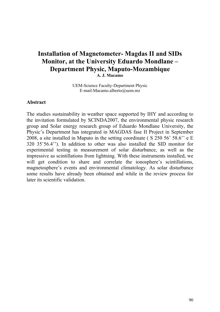## **Installation of Magnetometer- Magdas II and SIDs Monitor, at the University Eduardo Mondlane – Department Physic, Maputo-Mozambique A. J. Macamo**

UEM-Science Faculty-Department Physic E-mail:[Macamo.alberto@uem.mz](mailto:Macamo.alberto@uem.mz)

### **Abstract**

The studies sustainability in weather space supported by IHY and according to the invitation formulated by SCINDA2007, the environmental physic research group and Solar energy research group of Eduardo Mondlane University, the Physic's Department has integrated in MAGDAS fase II Project in September 2008, a site installed in Maputo in the setting coordinate ( S 250 56' 58.6'' e E 320 35'56.4''). In addition to other was also installed the SID monitor for experimental testing in measurement of solar disturbance, as well as the impressive as scintillations from lightning. With these instruments installed, we will get condition to share and correlate the ionosphere's scintillations, magnetosphere's events and environmental climatology. As solar disturbance some results have already been obtained and while in the review process for later its scientific validation.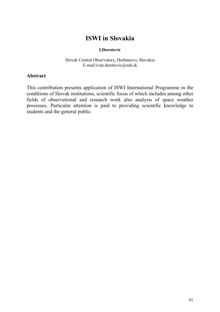# **ISWI in Slovakia**

#### **I.Dorotovic**

Slovak Central Observatory, Hurbanovo, Slovakia E-mail[:ivan.dorotovic@suh.sk](mailto:ivan.dorotovic@suh.sk)

### **Abstract**

This contribution presents application of ISWI International Programme in the conditions of Slovak institutions, scientific focus of which includes among other fields of observational and research work also analysis of space weather processes. Particular attention is paid to providing scientific knowledge to students and the general public.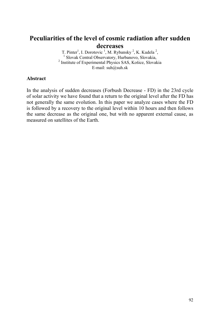# **Peculiarities of the level of cosmic radiation after sudden decreases**

T. Pinter<sup>1</sup>, I. Dorotovic<sup>1</sup>, M. Rybansky<sup>2</sup>, K. Kudela<sup>2</sup>, <sup>1</sup> Slovak Central Observatory, Hurbanovo, Slovakia, 2 Institute of Experimental Physics SAS, Košice, Slovakia E-mail: [suh@suh.sk](mailto:suh@suh.sk)

### **Abstract**

In the analysis of sudden decreases (Forbush Decrease - FD) in the 23rd cycle of solar activity we have found that a return to the original level after the FD has not generally the same evolution. In this paper we analyze cases where the FD is followed by a recovery to the original level within 10 hours and then follows the same decrease as the original one, but with no apparent external cause, as measured on satellites of the Earth.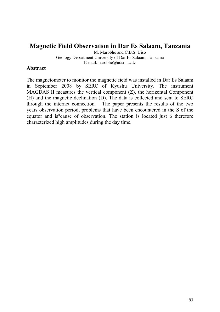## **Magnetic Field Observation in Dar Es Salaam, Tanzania**

M. Marobhe and C.B.S. Uiso Geology Department University of Dar Es Salaam, Tanzania E-mail[:marobhe@udsm.ac.tz](mailto:marobhe@udsm.ac.tz)

### **Abstract**

The magnetometer to monitor the magnetic field was installed in Dar Es Salaam in September 2008 by SERC of Kyushu University. The instrument MAGDAS II measures the vertical component  $(Z)$ , the horizontal Component (H) and the magnetic declination (D). The data is collected and sent to SERC through the internet connection. The paper presents the results of the two years observation period, problems that have been encountered in the S of the equator and is°cause of observation. The station is located just 6 therefore characterized high amplitudes during the day time.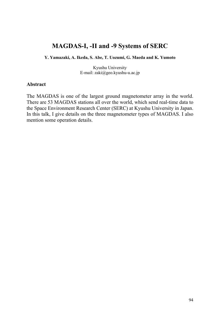## **MAGDAS-I, -II and -9 Systems of SERC**

**Y. Yamazaki, A. Ikeda, S. Abe, T. Uozumi, G. Maeda and K. Yumoto**

Kyushu University E-mail: [zaki@geo.kyushu-u.ac.jp](mailto:zaki@geo.kyushu-u.ac.jp)

### **Abstract**

The MAGDAS is one of the largest ground magnetometer array in the world. There are 53 MAGDAS stations all over the world, which send real-time data to the Space Environment Research Center (SERC) at Kyushu University in Japan. In this talk, I give details on the three magnetometer types of MAGDAS. I also mention some operation details.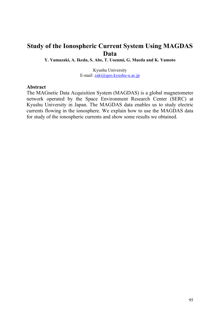### **Study of the Ionospheric Current System Using MAGDAS Data**

**Y. Yamazaki, A. Ikeda, S. Abe, T. Uozumi, G. Maeda and K. Yumoto**

Kyushu University E-mail: [zaki@geo.kyushu-u.ac.jp](mailto:zaki@geo.kyushu-u.ac.jp)

#### **Abstract**

The MAGnetic Data Acquisition System (MAGDAS) is a global magnetometer network operated by the Space Environment Research Center (SERC) at Kyushu University in Japan. The MAGDAS data enables us to study electric currents flowing in the ionosphere. We explain how to use the MAGDAS data for study of the ionospheric currents and show some results we obtained.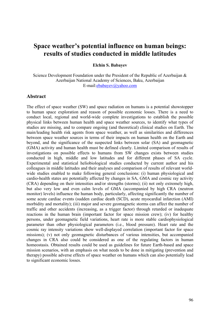### **Space weather's potential influence on human beings: results of studies conducted in middle latitudes**

**Elchin S. Babayev** 

Science Development Foundation under the President of the Republic of Azerbaijan & Azerbaijan National Academy of Sciences, Baku, Azerbaijan E-mail[:ebabayev@yahoo.com](mailto:ebabayev@yahoo.com)

#### **Abstract**

The effect of space weather (SW) and space radiation on humans is a potential showstopper to human space exploration and reason of possible economic losses. There is a need to conduct local, regional and world-wide complete investigations to establish the possible physical links between human health and space weather sources, to identify what types of studies are missing, and to compare ongoing (and theoretical) clinical studies on Earth. The main/leading health risk agents from space weather, as well as similarities and differences between space weather sources in terms of their impacts on human health on the Earth and beyond, and the significance of the suspected links between solar (SA) and geomagnetic (GMA) activity and human health must be defined clearly. Limited comparison of results of investigations on possible effects to humans from SW changes exists between studies conducted in high, middle and low latitudes and for different phases of SA cycle. Experimental and statistical heliobiological studies conducted by current author and his colleagues in middle latitudes and their analyses and comparison of results of relevant worldwide studies enabled to make following general conclusions: (i) human physiological and cardio-health states are potentially affected by changes in SA, GMA and cosmic ray activity (CRA) depending on their intensities and/or strengths (storms); (ii) not only extremely high, but also very low and even calm levels of GMA (accompanied by high CRA (neutron monitor) levels) influence the human body, particularly, affecting significantly the number of some acute cardiac events (sudden cardiac death (SCD), acute myocardial infarction (AMI) morbidity and mortality); (iii) major and severe geomagnetic storms can affect the number of traffic and other accidents (increasing, as a trigger factor) through retarded or inadequate reactions in the human brain (important factor for space mission crew); (iv) for healthy persons, under geomagnetic field variations, heart rate is more stable cardiophysiological parameter than other physiological parameters (i.e., blood pressure). Heart rate and the cosmic ray intensity variations show well-displayed correlation (important factor for space missions); (v) not only geomagnetic disturbances of various intensities, but accompanied changes in CRA also could be considered as one of the regulating factors in human homeostasis. Obtained results could be used as guidelines for future Earth-based and space mission scenarios, with an emphasis on what needs to be done in mitigating (prevention and therapy) possible adverse effects of space weather on humans which can also potentially lead to significant economic losses.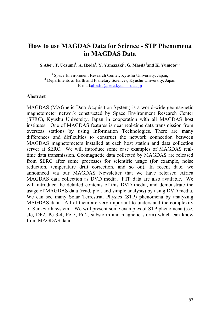### **How to use MAGDAS Data for Science - STP Phenomena in MAGDAS Data**

 $\mathbf{S}.\mathbf{A}\mathbf{b}\mathbf{e}^1$ ,  $\mathbf{T}.\mathbf{U}\mathbf{o}\mathbf{z}\mathbf{u}\mathbf{m}\mathbf{i}^1$ ,  $\mathbf{A}.\mathbf{I}\mathbf{k}\mathbf{e}\mathbf{d}\mathbf{a}^1$ ,  $\mathbf{Y}.\mathbf{Y}\mathbf{a}\mathbf{m}\mathbf{a}\mathbf{z}\mathbf{a}\mathbf{k}\mathbf{i}^2$ ,  $\mathbf{G}.\mathbf{M}\mathbf{a}\mathbf{e}\mathbf{d}\mathbf{a}^1$ and  $\mathbf{K}.\mathbf{Y}\mathbf{u}\mathbf{m}\mathbf{o$ 

 $<sup>1</sup>$  Space Environment Research Center, Kyushu University, Japan,</sup> <sup>2</sup> Departments of Earth and Planetary Sciences, Kyushu University, Japan E-mail:[abeshu@serc.kyushu-u.ac.jp](mailto:abeshu@serc.kyushu-u.ac.jp)

#### **Abstract**

MAGDAS (MAGnetic Data Acquisition System) is a world-wide geomagnetic magnetometer network constructed by Space Environment Research Center (SERC), Kyushu University, Japan in cooperation with all MAGDAS host institutes. One of MAGDAS features is near real-time data transmission from overseas stations by using Information Technologies. There are many differences and difficulties to construct the network connection between MAGDAS magnetometers installed at each host station and data collection server at SERC. We will introduce some case examples of MAGDAS realtime data transmission. Geomagnetic data collected by MAGDAS are released from SERC after some processes for scientific usage (for example, noise reduction, temperature drift correction, and so on). In recent date, we announced via our MAGDAS Newsletter that we have released Africa MAGDAS data collection as DVD media. FTP data are also available. We will introduce the detailed contents of this DVD media, and demonstrate the usage of MAGDAS data (read, plot, and simple analysis) by using DVD media. We can see many Solar Terrestrial Physics (STP) phenomena by analyzing MAGDAS data. All of them are very important to understand the complexity of Sun-Earth system. We will present some examples of STP phenomena (ssc, sfe, DP2, Pc 3-4, Pc 5, Pi 2, substorm and magnetic storm) which can know from MAGDAS data.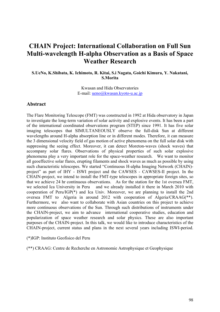### **CHAIN Project: International Collaboration on Full Sun Multi-wavelength H-alpha Observation as a Basis of Space Weather Research**

**S.UeNo, K.Shibata, K. Ichimoto, R. Kitai, S.i Nagata, Goichi Kimura, Y. Nakatani, S.Morita** 

> Kwasan and Hida Observatories E-mail: [ueno@kwasan.kyoto-u.ac.jp](mailto:ueno@kwasan.kyoto-u.ac.jp)

#### **Abstract**

The Flare Monitoring Telescope (FMT) was constructed in 1992 at Hida observatory in Japan to investigate the long-term variation of solar activity and explosive events. It has been a part of the international coordinated observations program (STEP) since 1991. It has five solar imaging telescopes that SIMULTANEOUSLY observe the full-disk Sun at different wavelengths around H-alpha absorption line or in different modes. Therefore, it can measure the 3 dimensional velocity field of gas motion of active phenomena on the full solar disk with suppressing the seeing effect. Moreover, it can detect Moreton-waves (shock waves) that accompany solar flares. Observations of physical properties of such solar explosive phenomena play a very important role for the space-weather research. We want to monitor all geoeffective solar flares, erupting filaments and shock waves as much as possible by using such characteristic telescopes. We started "Continuous H-alpha Imaging Network (CHAIN) project" as part of IHY - ISWI project and the CAWSES - CAWSES-II project. In the CHAIN-project, we intend to install the FMT-type telescopes in appropriate foreign sites, so that we achieve 24 hr continuous observations. As for the station for the 1st oversea FMT, we selected Ica University in Peru and we already installed it there in March 2010 with cooperation of Peru/IGP(\*) and Ica Univ. Moreover, we are planning to install the 2nd oversea FMT to Algeria in around 2012 with cooperation of Algeria/CRAAG(\*\*). Furthermore, we also want to collaborate with Asian countries on this project to achieve more continuous observations of the Sun. Through such distributions of instruments under the CHAIN-project, we aim to advance international cooperative studies, education and popularization of space weather research and solar physics. These are also important purposes of the CHAIN-project. In this talk, we would like to introduce characteristics of the CHAIN-project, current status and plans in the next several years including ISWI-period.

(\*)IGP: Instituto Geofisico del Peru

(\*\*) CRAAG: Centre de Recherche en Astronomie Astrophysique et Geophysique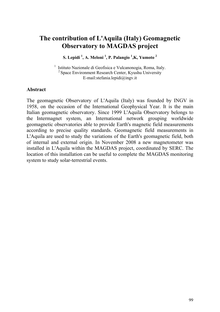## **The contribution of L'Aquila (Italy) Geomagnetic Observatory to MAGDAS project**

**S. Lepidi 1 , A. Meloni 1 , P. Palangio <sup>1</sup> ,K, Yumoto 2**

<sup>1</sup> Istituto Nazionale di Geofisica e Vulcanonogia, Roma, Italy. 2 Space Environment Research Center, Kyushu University E-mail:[stefania.lepidi@ingv.it](mailto:stefania.lepidi@ingv.it) 

### **Abstract**

The geomagnetic Observatory of L'Aquila (Italy) was founded by INGV in 1958, on the occasion of the International Geophysical Year. It is the main Italian geomagnetic observatory. Since 1999 L'Aquila Observatory belongs to the Intermagnet system, an International network grouping worldwide geomagnetic observatories able to provide Earth's magnetic field measurements according to precise quality standards. Geomagnetic field measurements in L'Aquila are used to study the variations of the Earth's geomagnetic field, both of internal and external origin. In November 2008 a new magnetometer was installed in L'Aquila within the MAGDAS project, coordinated by SERC. The location of this installation can be useful to complete the MAGDAS monitoring system to study solar-terrestrial events.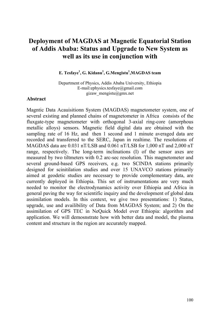## **Deployment of MAGDAS at Magnetic Equatorial Station of Addis Ababa: Status and Upgrade to New System as well as its use in conjunction with**

#### **E. Tesfaye<sup>1</sup>, G. Kidanu<sup>1</sup>, G. Mengistu<sup>1</sup>, MAGDAS team**

Department of Physics, Addis Ababa University, Ethiopia E-mail:[ephysics.tesfaye@gmail.com](mailto:ephysics.tesfaye@gmail.comgizaw_mengistu@gmx.net)  gizaw mengistu@gmx.net

#### **Abstract**

Magntic Data Acauisitionn System (MAGDAS) magnetometer system, one of several existing and planned chains of magnetometer in Africa consists of the fluxgate-type magnetometer with orthogonal 3-axial ring-core (amorphous metallic alloys) sensors. Magnetic field digital data are obtained with the sampling rate of 16 Hz, and then 1 second and 1 minute averaged data are recorded and transferred to the SERC, Japan in realtime. The resolutions of MAGDAS data are 0.031 nT/LSB and 0.061 nT/LSB for 1,000 nT and 2,000 nT range, respectively. The long-term inclinations (I) of the sensor axes are measured by two tiltmeters with 0.2 arc-sec resolution. This magnetometer and several ground-based GPS receivers, e.g. two SCINDA stations primarily designed for scinitilation studies and over 15 UNAVCO stations primarily aimed at geodetic studies are necessary to provide complementary data, are currently deployed in Ethiopia. This set of instrumentations are very much needed to monitor the electrodynamics activity over Ethiopia and Africa in general paving the way for scientific inquiry and the development of global data assimilation models. In this context, we give two presentations: 1) Status, upgrade, use and availibility of Data from MAGDAS System; and 2) On the assimilation of GPS TEC in NeQuick Model over Ethiopia: algorithm and application. We will demosnstrate how with better data and model, the plasma content and structure in the region are accurately mapped.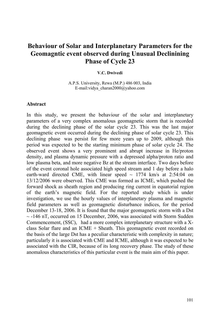### **Behaviour of Solar and Interplanetary Parameters for the Geomagntic event observed during Unusual Declinining Phase of Cycle 23**

#### **V.C. Dwivedi**

A.P.S. University, Rewa (M.P.) 486 003, India E-mail[:vidya\\_charan2000@yahoo.com](mailto:vidya_charan2000@yahoo.com) 

#### **Abstract**

In this study, we present the behaviour of the solar and interplanetary parameters of a very complex anomalous geomagnetic storm that is recorded during the declining phase of the solar cycle 23. This was the last major geomagnetic event occurred during the declining phase of solar cycle 23. This declining phase was persist for few more years up to 2009, although this period was expected to be the starting minimum phase of solar cycle 24. The observed event shows a very prominent and abrupt increase in He/proton density, and plasma dynamic pressure with a depressed alpha/proton ratio and low plasma beta, and more negative Bz at the stream interface. Two days before of the event coronal hole associated high speed stream and 1 day before a halo earth-ward directed CME, with linear speed  $\sim$  1774 km/s at 2:54:04 on 13/12/2006 were observed. This CME was formed as ICME, which pushed the forward shock as sheath region and producing ring current in equatorial region of the earth's magnetic field. For the reported study which is under investigation, we use the hourly values of interplanetary plasma and magnetic field parameters as well as geomagnetic disturbance indices, for the period December 13-18, 2006. It is found that the major geomagnetic storm with a Dst  $\sim$  -146 nT, occurred on 15 December, 2006, was associated with Storm Sudden Commencement, (SSC), had a more complex interplanetary structure with a Xclass Solar flare and an ICME + Sheath. This geomagnetic event recorded on the basis of the large Dst has a peculiar characteristic with complexity in nature; particularly it is associated with CME and ICME, although it was expected to be associated with the CIR, because of its long recovery phase. The study of these anomalous characteristics of this particular event is the main aim of this paper.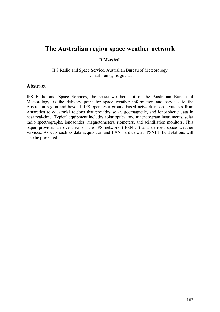### **The Australian region space weather network**

#### **R.Marshall**

IPS Radio and Space Service, Australian Bureau of Meteorology E-mail: [ram@ips.gov.au](mailto:ram@ips.gov.au) 

#### **Abstract**

IPS Radio and Space Services, the space weather unit of the Australian Bureau of Meteorology, is the delivery point for space weather information and services to the Australian region and beyond. IPS operates a ground-based network of observatories from Antarctica to equatorial regions that provides solar, geomagnetic, and ionospheric data in near real-time. Typical equipment includes solar optical and magnetogram instruments, solar radio spectrographs, ionosondes, magnetometers, riometers, and scintillation monitors. This paper provides an overview of the IPS network (IPSNET) and derived space weather services. Aspects such as data acquisition and LAN hardware at IPSNET field stations will also be presented.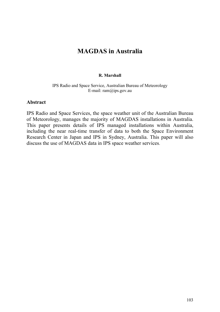## **MAGDAS in Australia**

#### **R. Marshall**

#### IPS Radio and Space Service, Australian Bureau of Meteorology E-mail: [ram@ips.gov.au](mailto:ram@ips.gov.au)

### **Abstract**

IPS Radio and Space Services, the space weather unit of the Australian Bureau of Meteorology, manages the majority of MAGDAS installations in Australia. This paper presents details of IPS managed installations within Australia, including the near real-time transfer of data to both the Space Environment Research Center in Japan and IPS in Sydney, Australia. This paper will also discuss the use of MAGDAS data in IPS space weather services.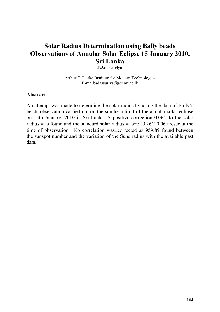### **Solar Radius Determination using Baily beads Observations of Annular Solar Eclipse 15 January 2010, Sri Lanka J.Adassuriya**

Arthur C Clarke Institute for Modern Technologies E-mail:[adassuriya@accmt.ac.lk](mailto:adassuriya@accmt.ac.lk) 

#### **Abstract**

An attempt was made to determine the solar radius by using the data of Baily's beads observation carried out on the southern limit of the annular solar eclipse on 15th January, 2010 in Sri Lanka. A positive correction 0.06'' to the solar radius was found and the standard solar radius was±of 0.26'' 0.06 arcsec at the time of observation. No correlation was±corrected as 959.89 found between the sunspot number and the variation of the Suns radius with the available past data.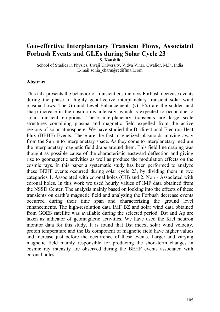## **Geo-effective Interplanetary Transient Flows, Associated Forbush Events and GLEs during Solar Cycle 23**

**S. Kaushik**

School of Studies in Physics, Jiwaji University, Vidya Vihar, Gwalior, M.P., India E-mail:sonia\_charu@rediffmail.com

#### **Abstract**

This talk presents the behavior of transient cosmic rays Forbush decrease events during the phase of highly geoeffective interplanetary transient solar wind plasma flows. The Ground Level Enhancements (GLE's) are the sudden and sharp increase in the cosmic ray intensity, which is expected to occur due to solar transient eruptions. These interplanetary transients are large scale structures containing plasma and magnetic field expelled from the active regions of solar atmosphere. We have studied the Bi-directional Electron Heat Flux (BEHF) Events. These are the fast magnetized plasmoids moving away from the Sun in to interplanetary space. As they come to interplanetary medium the interplanetary magnetic field drape around them. This field line draping was thought as possible cause of the characteristic eastward deflection and giving rise to geomagnetic activities as well as produce the modulation effects on the cosmic rays. In this paper a systematic study has been performed to analyze these BEHF events occurred during solar cycle 23, by dividing them in two categories 1. Associated with coronal holes (CH) and 2. Non - Associated with coronal holes. In this work we used hourly values of IMF data obtained from the NSSD Center. The analysis mainly based on looking into the effects of these transients on earth's magnetic field and analyzing the Forbush decrease events occurred during their time span and characterizing the ground level enhancements. The high-resolution data IMF BZ and solar wind data obtained from GOES satellite was available during the selected period. Dst and Ap are taken as indicator of geomagnetic activities. We have used the Kiel neutron monitor data for this study. It is found that Dst index, solar wind velocity, proton temperature and the Bz component of magnetic field have higher values and increase just before the occurrence of these events. Larger and varying magnetic field mainly responsible for producing the short-term changes in cosmic ray intensity are observed during the BEHF events associated with coronal holes.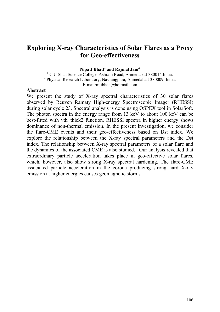### **Exploring X-ray Characteristics of Solar Flares as a Proxy for Geo-effectiveness**

**Nipa J Bhatt<sup>1</sup> and Rajmal Jain2**

<sup>1</sup> C U Shah Science College, Ashram Road, Ahmedabad-380014, India. 2 Physical Research Laboratory, Navrangpura, Ahmedabad-380009, India. E-mail:nijibhatt@hotmail.com

#### **Abstract**

We present the study of X-ray spectral characteristics of 30 solar flares observed by Reuven Ramaty High-energy Spectroscopic Imager (RHESSI) during solar cycle 23. Spectral analysis is done using OSPEX tool in SolarSoft. The photon spectra in the energy range from 13 keV to about 100 keV can be best-fitted with vth+thick2 function. RHESSI spectra in higher energy shows dominance of non-thermal emission. In the present investigation, we consider the flare-CME events and their geo-effectiveness based on Dst index. We explore the relationship between the X-ray spectral parameters and the Dst index. The relationship between X-ray spectral parameters of a solar flare and the dynamics of the associated CME is also studied. Our analysis revealed that extraordinary particle acceleration takes place in geo-effective solar flares, which, however, also show strong X-ray spectral hardening. The flare-CME associated particle acceleration in the corona producing strong hard X-ray emission at higher energies causes geomagnetic storms.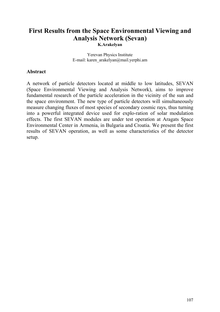## **First Results from the Space Environmental Viewing and Analysis Network (Sevan)**

**K.Arakelyan**

Yerevan Physics Institute E-mail: karen\_arakelyan@mail.yerphi.am

### **Abstract**

A network of particle detectors located at middle to low latitudes, SEVAN (Space Environmental Viewing and Analysis Network), aims to improve fundamental research of the particle acceleration in the vicinity of the sun and the space environment. The new type of particle detectors will simultaneously measure changing fluxes of most species of secondary cosmic rays, thus turning into a powerful integrated device used for explo-ration of solar modulation effects. The first SEVAN modules are under test operation at Aragats Space Environmental Center in Armenia, in Bulgaria and Croatia. We present the first results of SEVAN operation, as well as some characteristics of the detector setup.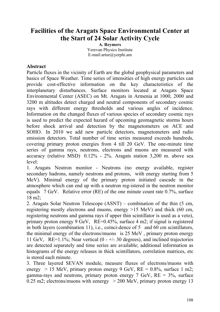## **Facilities of the Aragats Space Environmental Center at the Start of 24 Solar Activity Cycle**

**A. Reymers**  Yerevan Physics Institute E-mail:artur@yerphi.am

### **Abstract**

Particle fluxes in the vicinity of Earth are the global geophysical parameters and basics of Space Weather. Time series of intensities of high energy particles can provide cost-effective information on the key characteristics of the interplanetary disturbances. Surface monitors located at Aragats Space Environmental Center (ASEC) on Mt. Aragats in Armenia at 1000, 2000 and 3200 m altitudes detect charged and neutral components of secondary cosmic rays with different energy thresholds and various angles of incidence. Information on the changed fluxes of various species of secondary cosmic rays is used to predict the expected hazard of upcoming geomagnetic storms hours before shock arrival and detection by the magnetometers on ACE and SOHO. In 2010 we add new particle detectors, magnetometers and radio emission detectors. Total number of time series measured exceeds hundreds, covering primary proton energies from 4 till 20 GeV. The one-minute time series of gamma rays, neutrons, electrons and muons are measured with accuracy (relative MSD) 0.12% - 2%. Aragats station 3,200 m. above sea level:

1. Aragats Neutron monitor - Neutrons (no energy available, register secondary hadrons, namely neutrons and protons, with energy starting from 5 MeV). Minimal energy of the primary proton initiated cascade in the atmosphere which can end up with a neutron reg-istered in the neutron monitor equals 7 GeV. Relative error (RE) of the one minute count rate 0.7%, surface 18 m2;

2. Aragats Solar Neutron Telescope (ASNT) – combination of the thin (5 cm, registering mostly electrons and muons, energy >15 MeV) and thick (60 cm, registering neutrons and gamma rays if upper thin scintillator is used as a veto), primary proton energy 9 GeV, RE=0.45%, surface 4 m2; if signal is registered in both layers (combination 11), i.e., coinci-dence of 5 and 60 cm scintillators, the minimal energy of the electrons/muons is 25 MeV , primary proton energy 11 GeV,  $RE=1.1\%$ ; Near vertical  $(0 - +/- 30$  degrees), and inclined trajectories are detected separately and time series are available; additional information as histograms of the energy releases in thick scintillators, correlation matrices, etc is stored each minute.

3. Three layered SEVAN module, measure fluxes of electrons/muons with energy  $> 15$  MeV, primary proton energy 9 GeV, RE = 0.8%, surface 1 m2; gamma-rays and neutrons, primary proton energy 7 GeV,  $RE = 3\%$ , surface 0.25 m2; electrons/muons with eenergy  $> 200$  MeV, primary proton energy 13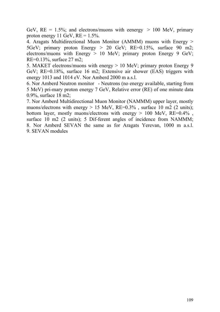GeV,  $RE = 1.5\%$ ; and electrons/muons with eenergy  $> 100$  MeV, primary proton energy 11 GeV,  $RE = 1.5\%$ .

4. Aragats Multidirectional Muon Monitor (AMMM) muons with Energy > 5GeV; primary proton Energy > 20 GeV; RE=0.15%, surface 90 m2; electrons/muons with Energy > 10 MeV; primary proton Energy 9 GeV; RE=0.13%, surface 27 m2;

5. MAKET electrons/muons with energy > 10 MeV; primary proton Energy 9 GeV; RE=0.18%, surface 16 m2; Extensive air shower (EAS) triggers with energy 1013 and 1014 eV. Nor Amberd 2000 m a.s.l.

6. Nor Amberd Neutron monitor - Neutrons (no energy available, starting from 5 MeV) pri-mary proton energy 7 GeV, Relative error (RE) of one minute data 0.9%, surface 18 m2;

7. Nor Amberd Multidirectional Muon Monitor (NAMMM) upper layer, mostly muons/electrons with energy  $> 15$  MeV, RE=0.3%, surface 10 m2 (2 units); bottom layer, mostly muons/electrons with energy  $> 100$  MeV, RE=0.4%, surface 10 m2 (2 units); 5 Dif-ferent angles of incidence from NAMMM; 8. Nor Amberd SEVAN the same as for Aragats Yerevan, 1000 m a.s.l. 9. SEVAN modules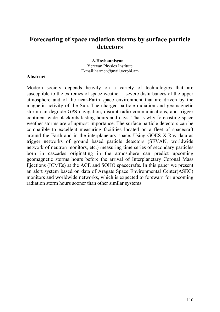### **Forecasting of space radiation storms by surface particle detectors**

 **A.Hovhannisyan** Yerevan Physics Institute E-mail:[harmen@mail.yerphi.am](mailto:harmen@mail.yerphi.am)

#### **Abstract**

Modern society depends heavily on a variety of technologies that are susceptible to the extremes of space weather – severe disturbances of the upper atmosphere and of the near-Earth space environment that are driven by the magnetic activity of the Sun. The charged-particle radiation and geomagnetic storm can degrade GPS navigation, disrupt radio communications, and trigger continent-wide blackouts lasting hours and days. That's why forecasting space weather storms are of upmost importance. The surface particle detectors can be compatible to excellent measuring facilities located on a fleet of spacecraft around the Earth and in the interplanetary space. Using GOES X-Ray data as trigger networks of ground based particle detectors (SEVAN, worldwide network of neutron monitors, etc.) measuring time series of secondary particles born in cascades originating in the atmosphere can predict upcoming geomagnetic storms hours before the arrival of Interplanetary Coronal Mass Ejections (ICMEs) at the ACE and SOHO spacecrafts. In this paper we present an alert system based on data of Aragats Space Environmental Center(ASEC) monitors and worldwide networks, which is expected to forewarn for upcoming radiation storm hours sooner than other similar systems.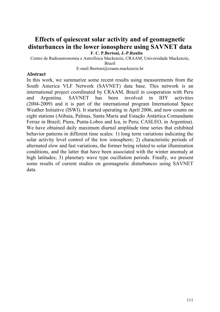### **Effects of quiescent solar activity and of geomagnetic disturbances in the lower ionosphere using SAVNET data F. C. P.Bertoni, J.-P.Raulin**

Centro de Radioastronomia e Astrofísica Mackenzie, CRAAM, Universidade Mackenzie,

Brazil

E-mail:fbertoni@craam.mackenzie.br

### **Abstract**

In this work, we summarize some recent results using measurements from the South America VLF Network (SAVNET) data base. This network is an international project coordinated by CRAAM, Brazil in cooperation with Peru and Argentina. SAVNET has been involved in IHY activities (2004-2009) and it is part of the international program International Space Weather Initiative (ISWI). It started operating in April 2006, and now counts on eight stations (Atibaia, Palmas, Santa Maria and Estação Antártica Comandante Ferraz in Brazil; Piura, Punta-Lobos and Ica, in Peru; CASLEO, in Argentina). We have obtained daily maximum diurnal amplitude time series that exhibited behavior patterns in different time scales: 1) long term variations indicating the solar activity level control of the low ionosphere; 2) characteristic periods of alternated slow and fast variations, the former being related to solar illumination conditions, and the latter that have been associated with the winter anomaly at high latitudes; 3) planetary wave type oscillation periods. Finally, we present some results of current studies on geomagnetic disturbances using SAVNET data.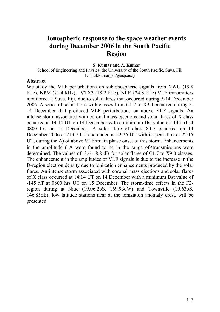### **Ionospheric response to the space weather events during December 2006 in the South Pacific Region**

#### **S. Kumar and A. Kumar**

School of Engineering and Physics, the University of the South Pacific, Suva, Fiji E-mail: kumar\_su $@$ usp.ac.fj

#### **Abstract**

We study the VLF perturbations on subionospheric signals from NWC (19.8 kHz), NPM (21.4 kHz), VTX3 (18.2 kHz), NLK (24.8 kHz) VLF transmitters monitored at Suva, Fiji, due to solar flares that occurred during 5-14 December 2006. A series of solar flares with classes from C1.7 to X9.0 occurred during 5- 14 December that produced VLF perturbations on above VLF signals. An intense storm associated with coronal mass ejections and solar flares of X class occurred at 14:14 UT on 14 December with a minimum Dst value of -145 nT at 0800 hrs on 15 December. A solar flare of class X1.5 occurred on 14 December 2006 at 21:07 UT and ended at 22:26 UT with its peak flux at 22:15 UT, during the A) of above VLFΔmain phase onset of this storm. Enhancements in the amplitude ( A were found to be in the range ofΔtransmissions were determined. The values of 3.6 - 8.8 dB for solar flares of C1.7 to X9.0 classes. The enhancement in the amplitudes of VLF signals is due to the increase in the D-region electron density due to ionization enhancements produced by the solar flares. An intense storm associated with coronal mass ejections and solar flares of X class occurred at 14:14 UT on 14 December with a minimum Dst value of -145 nT at 0800 hrs UT on 15 December. The storm-time effects in the F2 region during at Niue (19.06.2oS, 169.93oW) and Townville (19.63oS, 146.85oE), low latitude stations near at the ionization anomaly crest, will be presented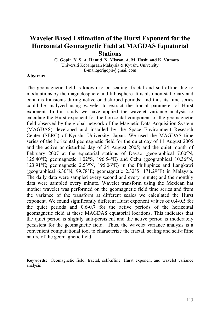## **Wavelet Based Estimation of the Hurst Exponent for the Horizontal Geomagnetic Field at MAGDAS Equatorial Stations**

**G. Gopir, N. S. A. Hamid, N. Misran, A. M. Hasbi and K. Yumoto** Universiti Kebangsaan Malaysia & Kyushu University E-mail:[gerigopir@gmail.com](mailto:gerigopir@gmail.com)

#### **Abstract**

The geomagnetic field is known to be scaling, fractal and self-affine due to modulations by the magnetosphere and lithosphere. It is also non-stationary and contains transients during active or disturbed periods; and thus its time series could be analyzed using wavelet to extract the fractal parameter of Hurst exponent. In this study we have applied the wavelet variance analysis to calculate the Hurst exponent for the horizontal component of the geomagnetic field observed by the global network of the Magnetic Data Acquisition System (MAGDAS) developed and installed by the Space Environment Research Center (SERC) of Kyushu University, Japan. We used the MAGDAS time series of the horizontal geomagnetic field for the quiet day of 11 August 2005 and the active or disturbed day of 24 August 2005; and the quiet month of February 2007 at the equatorial stations of Davao (geographical 7.00°N, 125.40°E; geomagnetic 1.02°S, 196.54°E) and Cebu (geographical 10.36°N, 123.91°E; geomagnetic 2.53°N, 195.06°E) in the Philippines and Langkawi (geographical 6.30°N, 99.78°E; geomagnetic 2.32°S, 171.29°E) in Malaysia. The daily data were sampled every second and every minute; and the monthly data were sampled every minute. Wavelet transform using the Mexican hat mother wavelet was performed on the geomagnetic field time series and from the variance of the transform at different scales we calculated the Hurst exponent. We found significantly different Hurst exponent values of 0.4-0.5 for the quiet periods and 0.6-0.7 for the active periods of the horizontal geomagnetic field at these MAGDAS equatorial locations. This indicates that the quiet period is slightly anti-persistent and the active period is moderately persistent for the geomagnetic field. Thus, the wavelet variance analysis is a convenient computational tool to characterize the fractal, scaling and self-affine nature of the geomagnetic field.

**Keywords:** Geomagnetic field, fractal, self-affine, Hurst exponent and wavelet variance analysis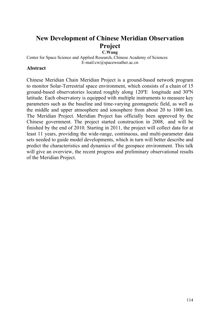## **New Development of Chinese Meridian Observation Project**

**C.Wang**

Center for Space Science and Applied Research, Chinese Academy of Sciences E-mail:[cw@spaceweather.ac.cn](mailto:cw@spaceweather.ac.cn)

### **Abstract**

Chinese Meridian Chain Meridian Project is a ground-based network program to monitor Solar-Terrestrial space environment, which consists of a chain of 15 ground-based observatories located roughly along 120ºE longitude and 30ºN latitude. Each observatory is equipped with multiple instruments to measure key parameters such as the baseline and time-varying geomagnetic field, as well as the middle and upper atmosphere and ionosphere from about 20 to 1000 km. The Meridian Project. Meridian Project has officially been approved by the Chinese government. The project started construction in 2008, and will be finished by the end of 2010. Starting in 2011, the project will collect data for at least 11 years, providing the wide-range, continuous, and multi-parameter data sets needed to guide model developments, which in turn will better describe and predict the characteristics and dynamics of the geospace environment. This talk will give an overview, the recent progress and preliminary observational results of the Meridian Project.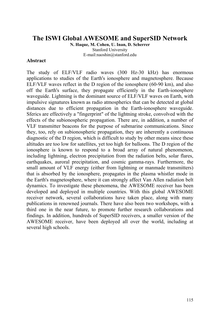### **The ISWI Global AWESOME and SuperSID Network**

**N. Haque, M. Cohen, U. Inan, D. Scherrer** Stanford University E-mail:[naoshin@stanford.edu](mailto:naoshin@stanford.edu) 

#### **Abstract**

The study of ELF/VLF radio waves (300 Hz-30 kHz) has enormous applications to studies of the Earth's ionosphere and magnetosphere. Because ELF/VLF waves reflect in the D region of the ionosphere (60-90 km), and also off the Earth's surface, they propagate efficiently in the Earth-ionosphere waveguide. Lightning is the dominant source of ELF/VLF waves on Earth, with impulsive signatures known as radio atmospherics that can be detected at global distances due to efficient propagation in the Earth-ionosphere waveguide. Sferics are effectively a "fingerprint" of the lightning stroke, convolved with the effects of the subionospheric propagation. There are, in addition, a number of VLF transmitter beacons for the purpose of submarine communications. Since they, too, rely on subionospheric propagation, they are inherently a continuous diagnostic of the D region, which is difficult to study by other means since these altitudes are too low for satellites, yet too high for balloons. The D region of the ionosphere is known to respond to a broad array of natural phenomenon, including lightning, electron precipitation from the radiation belts, solar flares, earthquakes, auroral precipitation, and cosmic gamma-rays. Furthermore, the small amount of VLF energy (either from lightning or manmade transmitters) that is absorbed by the ionosphere, propagates in the plasma whistler mode in the Earth's magnetosphere, where it can strongly affect Van Allen radiation belt dynamics. To investigate these phenomena, the AWESOME receiver has been developed and deployed in multiple countries. With this global AWESOME receiver network, several collaborations have taken place, along with many publications in renowned journals. There have also been two workshops, with a third one in the near future, to promote further research collaborations and findings. In addition, hundreds of SuperSID receivers, a smaller version of the AWESOME receiver, have been deployed all over the world, including at several high schools.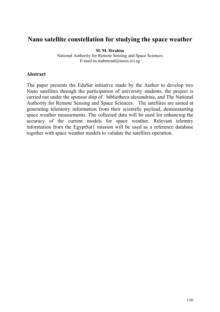### **Nano satellite constellation for studying the space weather**

**M. M. Ibrahim**

National Authority for Remote Sensing and Space Sciences E-mail[:m.mahmoud@narss.sci.eg](mailto:m.mahmoud@narss.sci.eg)

### **Abstract**

The paper presents the EduSat initiative made by the Author to develop two Nano satellites through the participation of university students. the project is carried out under the sponsor ship of bibliotheca alexandrina, and The National Authority for Remote Sensing and Space Sciences. The satellites are aimed at generating telemetry information from their scientific payload, demonstarting space weather measurments. The collected data will be used for enhancing the accuracy of the current models for space weather. Relevant telemtry information from the EgyptSat1 mission will be used as a reference database together with space weather models to validate the satellites operation.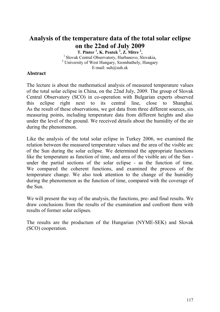## **Analysis of the temperature data of the total solar eclipse on the 22nd of July 2009**

**T. Pinter 1 , K. Pentek <sup>2</sup> , Z. Mitre 2** <sup>1</sup> Slovak Central Observatory, Hurbanovo, Slovakia, <sup>2</sup> University of West Hungary, Szombathely, Hungary E-mail: [suh@suh.sk](mailto:suh@suh.sk)

### **Abstract**

The lecture is about the mathematical analysis of measured temperature values of the total solar eclipse in China, on the 22nd July, 2009. The group of Slovak Central Observatory (SCO) in co-operation with Bulgarian experts observed this eclipse right next to its central line, close to Shanghai. As the result of these observations, we got data from three different sources, six measuring points, including temperature data from different heights and also under the level of the ground. We received details about the humidity of the air during the phenomenon.

Like the analysis of the total solar eclipse in Turkey 2006, we examined the relation between the measured temperature values and the area of the visible arc of the Sun during the solar eclipse. We determined the appropriate functions like the temperature as function of time, and area of the visible arc of the Sun under the partial sections of the solar eclipse - as the function of time. We compared the coherent functions, and examined the process of the temperature change. We also took attention to the change of the humidity during the phenomenon as the function of time, compared with the coverage of the Sun.

We will present the way of the analysis, the functions, pre- and final results. We draw conclusions from the results of the examination and confront them with results of former solar eclipses.

The results are the productum of the Hungarian (NYME-SEK) and Slovak (SCO) cooperation.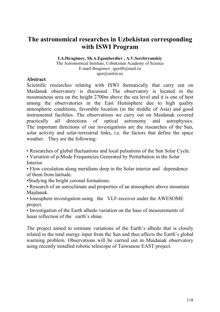## **The astronomical researches in Uzbekistan corresponding with ISWI Program**

**I.A.Ibragimov, Sh.A.Egamberdiev , A.V.Serebryanskiy** 

The Astronomical Institute, Uzbekistan Academy of Science E-mail:ibragimov\_igor48@mail.ru [igor@astrin.uz](mailto:igor@astrin.uz)

### **Abstract**

Scientific researches relating with ISWI thematically that carry out on Maidanak observatory is discussed. The observatory is located in the mountainous area on the height 2700m above the sea level and it is one of best among the observatories in the East Hemisphere due to high quality atmospheric conditions, favorable location (in the middle of Asia) and good instrumental facilities. The observations we carry out on Maidanak covered practically all directions of optical astronomy and astrophysics. The important directions of our investigations are the researches of the Sun, solar activity and solar-terrestrial links, i.e. the factors that define the space weather. They are the following:

• Researches of global fluctuations and local pulsations of the Sun Solar Cycle.

• Variation of p-Mode Frequencies Generated by Perturbation in the Solar Interior.

• Flow circulation along meridians deep in the Solar interior and dependence of them from latitude.

•Studying the bright coronal formations.

• Research of an astroclimate and properties of an atmosphere above mountain Majdanak.

• Ionosphere investigation using the VLF-receiver under the AWESOME project.

• Investigation of the Earth albedo variation on the base of measurements of lunar reflection of the earth's shine.

The project aimed to estimate variations of the Earth's albedo that is closely related to the total energy input from the Sun and thus affects the Earth's global warming problem. Observations will be carried out in Maidanak observatory using recently installed robotic telescope of Taiwanese EAST project.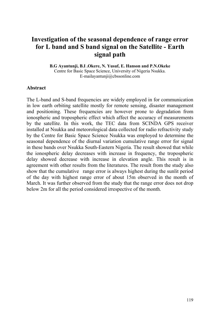## **Investigation of the seasonal dependence of range error for L band and S band signal on the Satellite - Earth signal path**

**B.G Ayantunji, B.I .Okere, N. Yusuf, E. Hanson and P.N.Okeke**  Centre for Basic Space Science, University of Nigeria Nsukka. E-mail[ayantunji@cbssonline.com](mailto:ayantunji@cbssonline.com) 

#### **Abstract**

The L-band and S-band frequencies are widely employed in for communication in low earth orbiting satellite mostly for remote sensing, disaster management and positioning. These frequencies are however prone to degradation from ionospheric and tropospheric effect which affect the accuracy of measurements by the satellite. In this work, the TEC data from SCINDA GPS receiver installed at Nsukka and meteorological data collected for radio refractivity study by the Centre for Basic Space Science Nsukka was employed to determine the seasonal dependence of the diurnal variation cumulative range error for signal in these bands over Nsukka South-Eastern Nigeria. The result showed that while the ionospheric delay decreases with increase in frequency, the tropospheric delay showed decrease with increase in elevation angle. This result is in agreement with other results from the literatures. The result from the study also show that the cumulative range error is always highest during the sunlit period of the day with highest range error of about 15m observed in the month of March. It was further observed from the study that the range error does not drop below 2m for all the period considered irrespective of the month.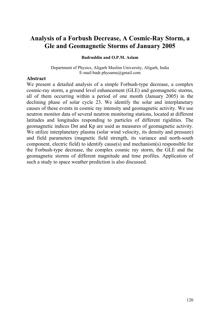## **Analysis of a Forbush Decrease, A Cosmic-Ray Storm, a Gle and Geomagnetic Storms of January 2005**

#### **Badruddin and O.P.M. Aslam**

Department of Physics, Aligarh Muslim University, Aligarh, India E-mail:[badr.physamu@gmail.com](mailto:badr.physamu@gmail.com) 

#### **Abstract**

We present a detailed analysis of a simple Forbush-type decrease, a complex cosmic-ray storm, a ground level enhancement (GLE) and geomagnetic storms, all of them occurring within a period of one month (January 2005) in the declining phase of solar cycle 23. We identify the solar and interplanetary causes of these events in cosmic ray intensity and geomagnetic activity. We use neutron monitor data of several neutron monitoring stations, located at different latitudes and longitudes responding to particles of different rigidities. The geomagnetic indices Dst and Kp are used as measures of geomagnetic activity. We utilize interplanetary plasma (solar wind velocity, its density and pressure) and field parameters (magnetic field strength, its variance and north-south component, electric field) to identify cause(s) and mechanism(s) responsible for the Forbush-type decrease, the complex cosmic ray storm, the GLE and the geomagnetic storms of different magnitude and time profiles. Application of such a study to space weather prediction is also discussed.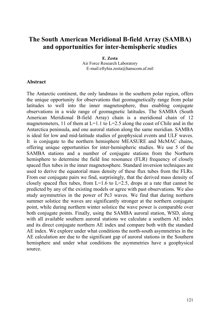## **The South American Meridional B-field Array (SAMBA) and opportunities for inter-hemispheric studies**

**E. Zesta** Air Force Research Laboratory E-mail:[eftyhia.zesta@hanscom.af.mil](mailto:eftyhia.zesta@hanscom.af.mil)

### **Abstract**

The Antarctic continent, the only landmass in the southern polar region, offers the unique opportunity for observations that geomagnetically range from polar latitudes to well into the inner magnetosphere, thus enabling conjugate observations in a wide range of geomagnetic latitudes. The SAMBA (South American Meridional B-field Array) chain is a meridional chain of 12 magnetometers, 11 of them at  $L=1.1$  to  $L=2.5$  along the coast of Chile and in the Antarctica peninsula, and one auroral station along the same meridian. SAMBA is ideal for low and mid-latitude studies of geophysical events and ULF waves. It is conjugate to the northern hemisphere MEASURE and McMAC chains, offering unique opportunities for inter-hemispheric studies. We use 5 of the SAMBA stations and a number of conjugate stations from the Northern hemisphere to determine the field line resonance (FLR) frequency of closely spaced flux tubes in the inner magnetosphere. Standard inversion techniques are used to derive the equatorial mass density of these flux tubes from the FLRs. From our conjugate pairs we find, surprisingly, that the derived mass density of closely spaced flux tubes, from  $L=1.6$  to  $L=2.5$ , drops at a rate that cannot be predicted by any of the existing models or agree with past observations. We also study asymmetries in the power of Pc3 waves. We find that during northern summer solstice the waves are significantly stronger at the northern conjugate point, while during northern winter solstice the wave power is comparable over both conjugate points. Finally, using the SAMBA auroral station, WSD, along with all available southern auroral stations we calculate a southern AE index and its direct conjugate northern AE index and compare both with the standard AE index. We explore under what conditions the north-south asymmetries in the AE calculation are due to the significant gap of auroral stations in the Southern hemisphere and under what conditions the asymmetries have a geophysical source.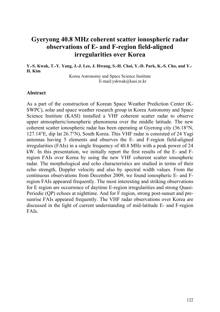### **Gyeryong 40.8 MHz coherent scatter ionospheric radar observations of E- and F-region field-aligned irregularities over Korea**

**Y.-S. Kwak, T.-Y. Yang, J.-J. Lee, J. Hwang, S.-H. Choi, Y.-D. Park, K.-S. Cho, and Y.- H. Kim**

> Korea Astronomy and Space Science Institute E-mail:[yskwak@kasi.re.kr](mailto:yskwak@kasi.re.kr)

#### **Abstract**

As a part of the construction of Korean Space Weather Prediction Center (K-SWPC), solar and space weather research group in Korea Astronomy and Space Science Institute (KASI) installed a VHF coherent scatter radar to observe upper atmospheric/ionospheric phenomena over the middle latitude. The new coherent scatter ionospheric radar has been operating at Gyerong city (36.18°N, 127.14°E, dip lat 26.7°N), South Korea. This VHF radar is consisted of 24 Yagi antennas having 5 elements and observes the E- and F-region field-aligned irregularities (FAIs) in a single frequency of 40.8 MHz with a peak power of 24 kW. In this presentation, we initially report the first results of the E- and Fregion FAIs over Korea by using the new VHF coherent scatter ionospheric radar. The morphological and echo characteristics are studied in terms of their echo strength, Doppler velocity and also by spectral width values. From the continuous observations from December 2009, we found ionospheric E- and Fregion FAIs appeared frequently. The most interesting and striking observations for E region are occurrence of daytime E-region irregularities and strong Quasi-Periodic (QP) echoes at nighttime. And for F region, strong post-sunset and presunrise FAIs appeared frequently. The VHF radar observations over Korea are discussed in the light of current understanding of mid-latitude E- and F-region FAIs.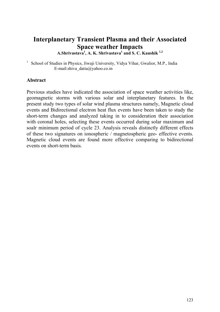## **Interplanetary Transient Plasma and their Associated Space weather Impacts**

**A.Shrivastava<sup>1</sup> , A. K. Shrivastava<sup>1</sup> and S. C. Kaushik 1,2**

<sup>1</sup> School of Studies in Physics, Jiwaii University, Vidya Vihar, Gwalior, M.P., India E-mail:shiva\_datia@yahoo.co.in

### **Abstract**

Previous studies have indicated the association of space weather activities like, geomagnetic storms with various solar and interplanetary features. In the present study two types of solar wind plasma structures namely, Magnetic cloud events and Bidirectional electron heat flux events have been taken to study the short-term changes and analyzed taking in to consideration their association with coronal holes, selecting these events occurred during solar maximum and soalr minimum period of cycle 23. Analysis reveals distinctly different effects of these two signatures on ionospheric / magnetospheric geo- effective events. Magnetic cloud events are found more effective comparing to bidirectional events on short-term basis.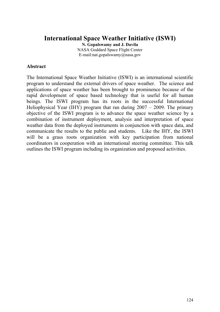## **International Space Weather Initiative (ISWI)**

**N. Gopalswamy and J. Davila** NASA Goddard Space Flight Center E-mail:[nat.gopalswamy@nasa.gov](mailto:nat.gopalswamy@nasa.gov)

### **Abstract**

The International Space Weather Initiative (ISWI) is an international scientific program to understand the external drivers of space weather. The science and applications of space weather has been brought to prominence because of the rapid development of space based technology that is useful for all human beings. The ISWI program has its roots in the successful International Heliophysical Year (IHY) program that ran during  $2007 - 2009$ . The primary objective of the ISWI program is to advance the space weather science by a combination of instrument deployment, analysis and interpretation of space weather data from the deployed instruments in conjunction with space data, and communicate the results to the public and students. Like the IHY, the ISWI will be a grass roots organization with key participation from national coordinators in cooperation with an international steering committee. This talk outlines the ISWI program including its organization and proposed activities.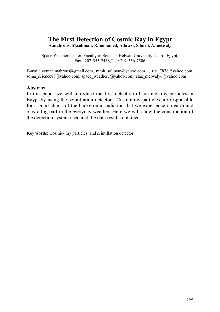## **The First Detection of Cosmic Ray in Egypt**

**A.mahrous, M.soliman, R.mohamed, A.fawzi, S.farid, A.metwaly** 

Space Weather Center, Faculty of Science, Helwan University, Cairo, Egypt, Fax.: 202-555-2468,Tel.: 202-556-7506

E-mail: ayman.mahrous@gmail.com, mmh soliman@yahoo.com , riri 7878@yahoo.com, [soma\\_science88@yahoo.com,](mailto:soma_science88@yahoo.com) [space\\_weather7@yahoo.com](mailto:space_weather7@yahoo.com), [alaa\\_metwaly6@yahoo.com](mailto:alaa_metwaly6@yahoo.com)

### **Abstract**

In this paper we will introduce the first detection of cosmic- ray particles in Egypt by using the scintillation detector. Cosmic-ray particles are responsible for a good chunk of the background radiation that we experience on earth and play a big part in the everyday weather. Here we will show the construction of the detection system used and the data results obtained.

**Key words:** Cosmic- ray particles and scintillation detector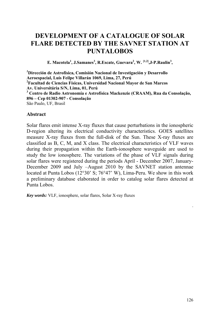## **DEVELOPMENT OF A CATALOGUE OF SOLAR FLARE DETECTED BY THE SAVNET STATION AT PUNTALOBOS**

E. Macotela<sup>1</sup>, J.Samanes<sup>3</sup>, R.Escate, Guevara<sup>2</sup>, W. <sup>[1,2]</sup>, J-P.Raulin<sup>3</sup>,

*1* **Dirección de Astrofísica, Comisión Nacional de Investigación y Desarrollo Aeroespacial, Luís Feilpe Villarán 1069, Lima, 27, Perú 2 Facultad de Ciencias Físicas, Universidad Nacional Mayor de San Marcos Av. Universitária S/N, Lima, 01, Perú 3 Centro de Radio Astronomía e Astrofísica Mackenzie (CRAAM), Rua da Consolação, 896 – Cep 01302-907 - Consolação**  São Paulo, UF, Brasil

### **Abstract**

Solar flares emit intense X-ray fluxes that cause perturbations in the ionospheric D-region altering its electrical conductivity characteristics. GOES satellites measure X-ray fluxes from the full-disk of the Sun. These X-ray fluxes are classified as B, C, M, and X class. The electrical characteristics of VLF waves during their propagation within the Earth-ionosphere waveguide are used to study the low ionosphere. The variations of the phase of VLF signals during solar flares were registered during the periods April - December 2007, January-December 2009 and July –August 2010 by the SAVNET station antennae located at Punta Lobos (12°30' S; 76°47' W), Lima-Peru. We show in this work a preliminary database elaborated in order to catalog solar flares detected at Punta Lobos.

*Key words:* VLF, ionosphere, solar flares, Solar X-ray fluxes

.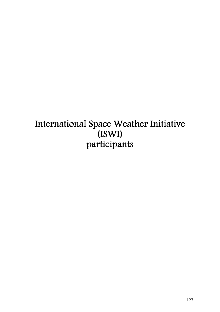# International Space Weather Initiative (ISWI) participants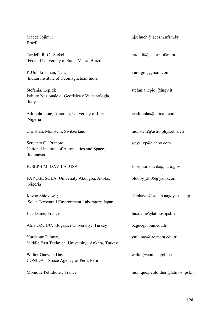### Maeda Jojimr ; Brazil

Tardelli R. C., Stekel; Federal University of Santa Maria, Brazil

K.Unnikrishnan, Nair; Indian Institute of Geomagnetism,India

Stefania, Lepidi; Istituto Nazionale di Geofisica e Vulcanologia, Italy

Adimula Issac, Abiodun; University of Ilorin, Nigeria

Christian, Monstein; Switzerland monstein@astro.phys.ethz.ch

Setyanto C., Pranoto; National Institute of Aeronautics and Space, Indonesia

#### JOSEPH M. DAVILA; USA Joseph.m.davila@nasa.gov

FAYOSE SOLA; University Akungba, Akoko, Nigeria

Kazuo Shiokawa; Solar-Terrestrial Environment Laboratory,Japan

Atila OZGUC; Bogazici University, Turkey ozguc@boun.edu.tr

Yurdanur Tulunay; Middle East Technical University, Ankara, Turkey

Walter Guevara Day ; CONIDA – Space Agency of Peru, Peru

njschuch@lacesm.ufsm.br

tardelli@lacesm.ufsm.br

[kuniigm@gmail.com](mailto:kuniigm@gmail.com) 

[stefania.lepidi@ingv.it](mailto:stefania.lepidi@ingv.it)

iaadimula@hotmail.com

setya cp@yahoo.com

oluboy\_2005@yaho.com

shiokawa@stelab.nagoya-u.ac.jp

Luc Damé; France luc.dame@latmos.ipsl.fr

ytulunay@ae.metu.edu.tr

walter@conida.gob.pe

Monique Petitdidier; France monique.petitdidier@latmos.ipsl.fr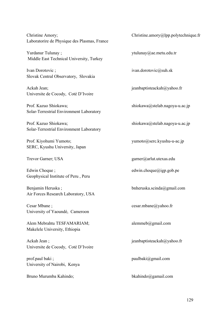Christine Amory; Laboratorire de Physique des Plasmas, France

Yurdanur Tulunay ; Middle East Technical University, Turkey

Ivan Dorotovic ; Slovak Central Observatory, Slovakia

Ackah Jean; Universite de Cocody, Coté D'Ivoire

Prof. Kazuo Shiokawa; Solar-Terrestrial Environment Laboratory

Prof. Kazuo Shiokawa; Solar-Terrestrial Environment Laboratory

Prof. Kiyohumi Yumoto; SERC, Kyushu University, Japan

Edwin Choque ; Geophysical Institute of Peru , Peru

Benjamin Heruska ; Air Forces Research Laboratory, USA

Cesar Mbane ; University of Yaoundé, Cameroon

Alem Mebrahtu TESFAMARIAM; Makelele University, Ethiopia

Ackah Jean ; Universite de Cocody, Coté D'Ivoire

prof.paul baki ; University of Nairobi, Kenya

Bruno Murumba Kahindo; bkahindo@gamail.com

Christine.amory@lpp.polytechnique.fr

ytulunay@ae.metu.edu.tr

ivan.dorotovic@suh.sk

jeanbaptisteackah@yahoo.fr

shiokawa@stelab.nagoya-u.ac.jp

shiokawa@stelab.nagoya-u.ac.jp

yumoto@serc.kyushu-u-ac.jp

Trevor Garner; USA garner@arlut.utexas.edu

edwin.choque@igp.gob.pe

bnheruska.scinda@gmail.com

cesar.mbane@yahoo.fr

alemmeb@gmail.com

jeanbaptisteackah@yahoo.fr

paulbaki@gmail.com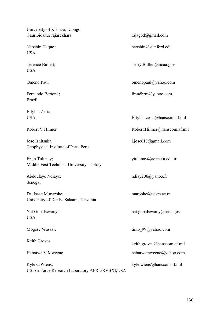University of Kishasa, Congo Gauribidanur rajasekhara rajagbd@gmail.com

Naoshin Haque ; USA

Terence Bullett; USA

Omeno Paul

Fernando Bertoni ; Brazil

Eftyhia Zesta; **USA** 

Robert V Hilmer

Jose Ishitsuka, Geophysical Institute of Peru, Peru

Ersin Tulunay; Middle East Technical University, Turkey

Abdoulaye Ndiaye; Senegal

Dr: Isaac M.marbhe; University of Dar Es Salaam, Tanzania

Nat Gopalswamy; **USA** 

Mogese Wassaie

Keith Groves

Habatwa V.Mweene

Kyle C.Wiens; US Air Force Research Laboratory AFRL/RVBXI,USA

naoshin@stanford.edu

Terry.Bullett@noaa.gov

omenopaul@yahoo.com

frnndbrtn@yahoo.com

Eftyhia.zesta@hanscom.af.mil

Robert.Hilmer@hanscom.af.mil

i.jose617@gmail.com

ytulunay@ae.metu.edu.tr

ndiay206@yahoo.fr

marobhe@udsm.ac.tz

nat.gopalswamy@nasa.gov

timo 99@yahoo.com

keith.groves@hanscom.af.mil

habatwamweene@yahoo.com

kyle.wiens@hanscom.af.mil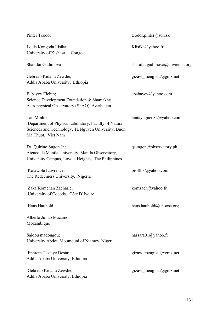| Pinter Teodor                                                                                                                                    | teodor.pinter@suh.sk                                   |
|--------------------------------------------------------------------------------------------------------------------------------------------------|--------------------------------------------------------|
| Louis Kongoda Lisika;<br>University of Kishasa, Congo                                                                                            | Klisika@yahoo.fr                                       |
| Sharafat Gadimova                                                                                                                                | sharafat.gadimova@unvienna.org                         |
| Gebreab Kidanu Zewdie;<br>Addis Ababa University, Ethiopia                                                                                       | gizaw mengistu@gmx.net                                 |
| Babayev Elchin;<br>Science Development Foundation & Shamakhy<br>Astrophysical Observatory (ShAO), Azerbaijan                                     | ebabayev@yahoo.com                                     |
| Tan Minhle;<br>Department of Physics Laboratory, Faculty of Natural<br>Sciences and Technology, Ta Nguyen University, Buon<br>Ma Thuot, Viet Nam | $\tan \tan \theta$ and $\cos \theta$ and $\cos \theta$ |
| Dr. Quirino Sugon Jr.;<br>Ateneo de Manila University, Manila Observatory,<br>University Campus, Loyola Heights, The Philippines                 | qsungon@observatory.ph                                 |
| Kolawole Lawrence;<br>The Redeemers University, Nigeria                                                                                          | profibk@yahoo.com                                      |
| Zaka Komenan Zacharie;<br>University of Cocody, Côte D'Ivoire                                                                                    | komzach@yahoo.fr                                       |
| Hans Haubold                                                                                                                                     | hans.haubold@unoosa.org                                |
| Alberto Juliao Macamo;<br>Mozambique                                                                                                             |                                                        |
| Saidou madougou;<br>University Abdou Moumouni of Niamey, Niger                                                                                   | nassara01@yahoo.fr                                     |
| Ephrem Tesfaye Desta;<br>Addis Ababa University, Ethiopia                                                                                        | gizaw mengistu@gmx.net                                 |
| Gebreab Kidanu Zewdie;<br>Addis Ababa University, Ethiopia                                                                                       | gizaw mengistu@gmx.net                                 |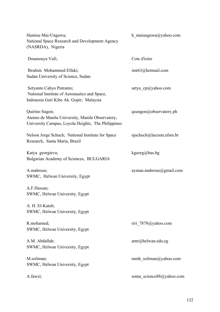| Hamisu Mai-Unguwa;<br>National Space Research and Development Agency<br>(NASRDA), Nigeria                                | h maiunguwa@yahoo.com    |
|--------------------------------------------------------------------------------------------------------------------------|--------------------------|
| Doumouya Vafi;                                                                                                           | Cote d'ioire             |
| Ibrahim Mohammed Elfaki;<br>Sudan University of Science, Sudan                                                           | imt63@hotmail.com        |
| Setyanto Cahyo Putranto;<br>National Institute of Aeronautics and Space,<br>Indonesia Geri Kibe Ak. Gopir; Malaysia      | setya_cp@yahoo.com       |
| Quirino Sugon;<br>Ateneo de Manila University, Manila Observatory,<br>University Campus, Loyola Heights, The Philippines | qsungon@observatory.ph   |
| Nelson Jorge Schuch; National Institute for Space<br>Research, Santa Maria, Brazil                                       | njschuch@lacesm.ufsm.br  |
| Katya georgieva;<br>Bulgarian Academy of Sciences, BULGARIA                                                              | $kgeorg(a)$ bas.bg       |
| A.mahrous;<br>SWMC, Helwan University, Egypt                                                                             | ayman.mahrous@gmail.com  |
| A.F.Hassan;<br>SWMC, Helwan University, Egypt                                                                            |                          |
| A. H. El-Kateb;<br>SWMC, Helwan University, Egypt                                                                        |                          |
| R.mohamed;<br>SWMC, Helwan University, Egypt                                                                             | riri 7878@yahoo.com      |
| A.M. Abdallah;<br>SWMC, Helwan University, Egypt                                                                         | $amr@$ helwan.edu.eg     |
| M.soliman;<br>SWMC, Helwan University, Egypt                                                                             | mmh_soliman@yahoo.com    |
| A.fawzi;                                                                                                                 | soma science88@yahoo.com |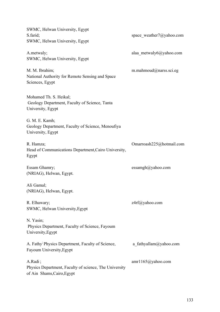SWMC, Helwan University, Egypt S.farid; SWMC, Helwan University, Egypt space\_weather7@yahoo.com A.metwaly; SWMC, Helwan University, Egypt alaa\_metwaly6@yahoo.com M. M. Ibrahim; National Authority for Remote Sensing and Space Sciences, Egypt m.mahmoud@narss.sci.eg Mohamed Th. S. Heikal; Geology Department, Faculty of Science, Tanta University, Egypt G. M. E. Kamh; Geology Department, Faculty of Science, Menoufiya University, Egypt R. Hamza; Head of Communications Department,Cairo University, Egypt Omarroash225@hotmail.com Essam Ghamry; (NRIAG), Helwan, Egypt. essamgh@yahoo.com Ali Gamal; (NRIAG), Helwan, Egypt. R. Elhawary; SWMC, Helwan University,Egypt z4rf@yahoo.com N. Yasin; Physics Department, Faculty of Science, Fayoum University,Egypt A. Fathy; Physics Department, Faculty of Science, Fayoum University,Egypt a\_fathyallam@yahoo.com A.Radi ; Physics Department, Faculty of science, The University of Ain Shams,Cairo,Egypt amr1165@yahoo.com